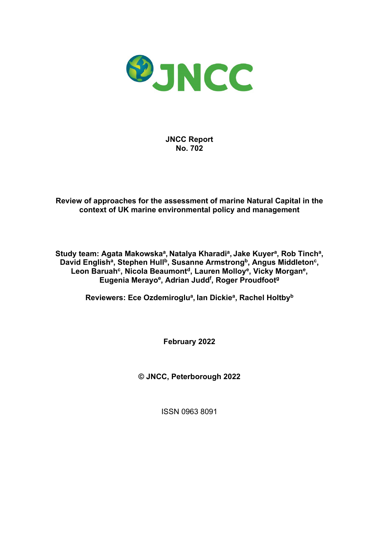

**JNCC Report No. 702**

#### **Review of approaches for the assessment of marine Natural Capital in the context of UK marine environmental policy and management**

**Study team: Agata Makowskaa, Natalya Kharadia, Jake Kuyera, Rob Tincha,**  David English<sup>a</sup>, Stephen Hull<sup>b</sup>, Susanne Armstrong<sup>b</sup>, Angus Middleton<sup>c</sup>, Leon Baruah<sup>c</sup>, Nicola Beaumont<sup>d</sup>, Lauren Molloy<sup>e</sup>, Vicky Morgan<sup>e</sup>, **Eugenia Merayoe, Adrian Juddf , Roger Proudfootg** 

**Reviewers: Ece Ozdemiroglua, Ian Dickiea, Rachel Holtbyb**

**February 2022**

**© JNCC, Peterborough 2022** 

ISSN 0963 8091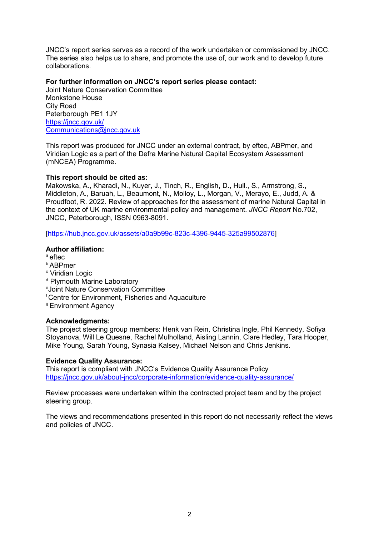JNCC's report series serves as a record of the work undertaken or commissioned by JNCC. The series also helps us to share, and promote the use of, our work and to develop future collaborations.

#### **For further information on JNCC's report series please contact:**

Joint Nature Conservation Committee Monkstone House City Road Peterborough PE1 1JY <https://jncc.gov.uk/> Communications@jncc.gov.uk

This report was produced for JNCC under an external contract, by eftec, ABPmer, and Viridian Logic as a part of the Defra Marine Natural Capital Ecosystem Assessment (mNCEA) Programme.

#### **This report should be cited as:**

Makowska, A., Kharadi, N., Kuyer, J., Tinch, R., English, D., Hull., S., Armstrong, S., Middleton, A., Baruah, L., Beaumont, N., Molloy, L., Morgan, V., Merayo, E., Judd, A. & Proudfoot, R. 2022. Review of approaches for the assessment of marine Natural Capital in the context of UK marine environmental policy and management. *JNCC Report* No.702, JNCC, Peterborough, ISSN 0963-8091.

[\[https://hub.jncc.gov.uk/assets/a0a9b99c-823c-4396-9445-325a99502876\]](https://hub.jncc.gov.uk/assets/a0a9b99c-823c-4396-9445-325a99502876)

#### **Author affiliation:**

a eftec

- b ABPmer
- <sup>c</sup> Viridian Logic
- <sup>d</sup> Plymouth Marine Laboratory
- e Joint Nature Conservation Committee
- f Centre for Environment, Fisheries and Aquaculture

g Environment Agency

#### **Acknowledgments:**

The project steering group members: Henk van Rein, Christina Ingle, Phil Kennedy, Sofiya Stoyanova, Will Le Quesne, Rachel Mulholland, Aisling Lannin, Clare Hedley, Tara Hooper, Mike Young, Sarah Young, Synasia Kalsey, Michael Nelson and Chris Jenkins.

#### **Evidence Quality Assurance:**

This report is compliant with JNCC's Evidence Quality Assurance Policy <https://jncc.gov.uk/about-jncc/corporate-information/evidence-quality-assurance/>

Review processes were undertaken within the contracted project team and by the project steering group.

The views and recommendations presented in this report do not necessarily reflect the views and policies of JNCC.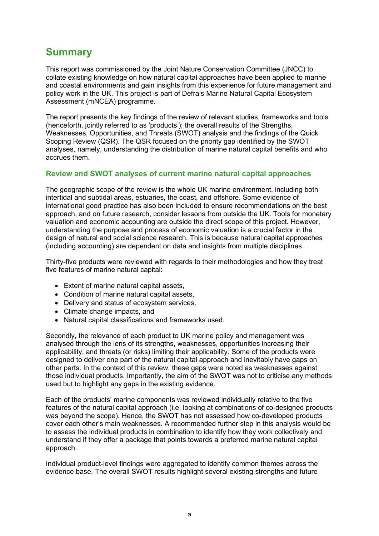# <span id="page-2-0"></span>**Summary**

This report was commissioned by the Joint Nature Conservation Committee (JNCC) to collate existing knowledge on how natural capital approaches have been applied to marine and coastal environments and gain insights from this experience for future management and policy work in the UK. This project is part of Defra's Marine Natural Capital Ecosystem Assessment (mNCEA) programme.

The report presents the key findings of the review of relevant studies, frameworks and tools (henceforth, jointly referred to as 'products'); the overall results of the Strengths, Weaknesses, Opportunities, and Threats (SWOT) analysis and the findings of the Quick Scoping Review (QSR). The QSR focused on the priority gap identified by the SWOT analyses, namely, understanding the distribution of marine natural capital benefits and who accrues them.

#### **Review and SWOT analyses of current marine natural capital approaches**

The geographic scope of the review is the whole UK marine environment, including both intertidal and subtidal areas, estuaries, the coast, and offshore. Some evidence of international good practice has also been included to ensure recommendations on the best approach, and on future research, consider lessons from outside the UK. Tools for monetary valuation and economic accounting are outside the direct scope of this project. However, understanding the purpose and process of economic valuation is a crucial factor in the design of natural and social science research. This is because natural capital approaches (including accounting) are dependent on data and insights from multiple disciplines.

Thirty-five products were reviewed with regards to their methodologies and how they treat five features of marine natural capital:

- Extent of marine natural capital assets,
- Condition of marine natural capital assets,
- Delivery and status of ecosystem services,
- Climate change impacts, and
- Natural capital classifications and frameworks used.

Secondly, the relevance of each product to UK marine policy and management was analysed through the lens of its strengths, weaknesses, opportunities increasing their applicability, and threats (or risks) limiting their applicability. Some of the products were designed to deliver one part of the natural capital approach and inevitably have gaps on other parts. In the context of this review, these gaps were noted as weaknesses against those individual products. Importantly, the aim of the SWOT was not to criticise any methods used but to highlight any gaps in the existing evidence.

Each of the products' marine components was reviewed individually relative to the five features of the natural capital approach (i.e. looking at combinations of co-designed products was beyond the scope). Hence, the SWOT has not assessed how co-developed products cover each other's main weaknesses. A recommended further step in this analysis would be to assess the individual products in combination to identify how they work collectively and understand if they offer a package that points towards a preferred marine natural capital approach.

Individual product-level findings were aggregated to identify common themes across the evidence base. The overall SWOT results highlight several existing strengths and future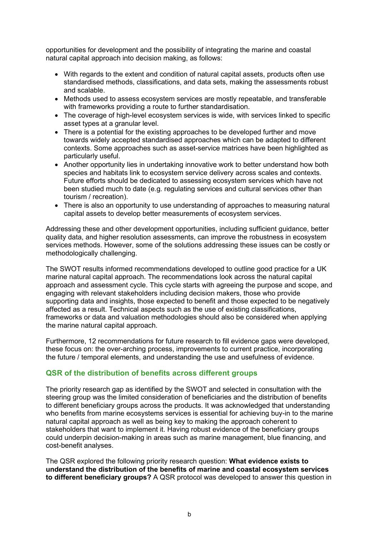opportunities for development and the possibility of integrating the marine and coastal natural capital approach into decision making, as follows:

- With regards to the extent and condition of natural capital assets, products often use standardised methods, classifications, and data sets, making the assessments robust and scalable.
- Methods used to assess ecosystem services are mostly repeatable, and transferable with frameworks providing a route to further standardisation.
- The coverage of high-level ecosystem services is wide, with services linked to specific asset types at a granular level.
- There is a potential for the existing approaches to be developed further and move towards widely accepted standardised approaches which can be adapted to different contexts. Some approaches such as asset-service matrices have been highlighted as particularly useful.
- Another opportunity lies in undertaking innovative work to better understand how both species and habitats link to ecosystem service delivery across scales and contexts. Future efforts should be dedicated to assessing ecosystem services which have not been studied much to date (e.g. regulating services and cultural services other than tourism / recreation).
- There is also an opportunity to use understanding of approaches to measuring natural capital assets to develop better measurements of ecosystem services.

Addressing these and other development opportunities, including sufficient guidance, better quality data, and higher resolution assessments, can improve the robustness in ecosystem services methods. However, some of the solutions addressing these issues can be costly or methodologically challenging.

The SWOT results informed recommendations developed to outline good practice for a UK marine natural capital approach. The recommendations look across the natural capital approach and assessment cycle. This cycle starts with agreeing the purpose and scope, and engaging with relevant stakeholders including decision makers, those who provide supporting data and insights, those expected to benefit and those expected to be negatively affected as a result. Technical aspects such as the use of existing classifications, frameworks or data and valuation methodologies should also be considered when applying the marine natural capital approach.

Furthermore, 12 recommendations for future research to fill evidence gaps were developed, these focus on: the over-arching process, improvements to current practice, incorporating the future / temporal elements, and understanding the use and usefulness of evidence.

#### **QSR of the distribution of benefits across different groups**

The priority research gap as identified by the SWOT and selected in consultation with the steering group was the limited consideration of beneficiaries and the distribution of benefits to different beneficiary groups across the products. It was acknowledged that understanding who benefits from marine ecosystems services is essential for achieving buy-in to the marine natural capital approach as well as being key to making the approach coherent to stakeholders that want to implement it. Having robust evidence of the beneficiary groups could underpin decision-making in areas such as marine management, blue financing, and cost-benefit analyses.

The QSR explored the following priority research question: **What evidence exists to understand the distribution of the benefits of marine and coastal ecosystem services to different beneficiary groups?** A QSR protocol was developed to answer this question in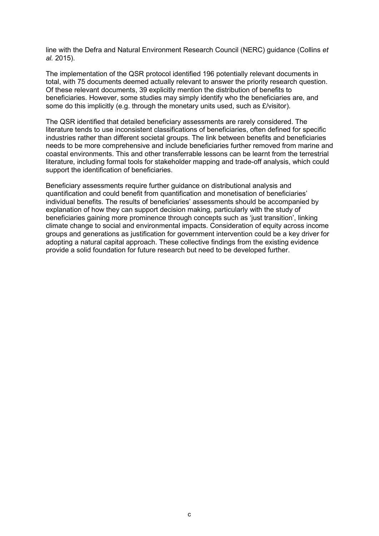line with the Defra and Natural Environment Research Council (NERC) guidance (Collins *et al.* 2015).

The implementation of the QSR protocol identified 196 potentially relevant documents in total, with 75 documents deemed actually relevant to answer the priority research question. Of these relevant documents, 39 explicitly mention the distribution of benefits to beneficiaries. However, some studies may simply identify who the beneficiaries are, and some do this implicitly (e.g. through the monetary units used, such as *£/visitor)*.

The QSR identified that detailed beneficiary assessments are rarely considered. The literature tends to use inconsistent classifications of beneficiaries, often defined for specific industries rather than different societal groups. The link between benefits and beneficiaries needs to be more comprehensive and include beneficiaries further removed from marine and coastal environments. This and other transferrable lessons can be learnt from the terrestrial literature, including formal tools for stakeholder mapping and trade-off analysis, which could support the identification of beneficiaries.

Beneficiary assessments require further guidance on distributional analysis and quantification and could benefit from quantification and monetisation of beneficiaries' individual benefits. The results of beneficiaries' assessments should be accompanied by explanation of how they can support decision making, particularly with the study of beneficiaries gaining more prominence through concepts such as 'just transition', linking climate change to social and environmental impacts. Consideration of equity across income groups and generations as justification for government intervention could be a key driver for adopting a natural capital approach. These collective findings from the existing evidence provide a solid foundation for future research but need to be developed further.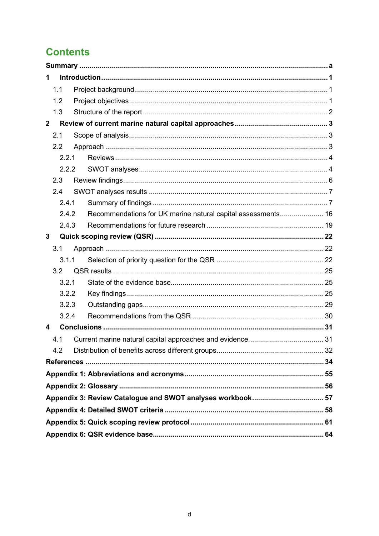# **Contents**

| 1              |       |  |                                                              |  |
|----------------|-------|--|--------------------------------------------------------------|--|
|                | 1.1   |  |                                                              |  |
|                | 1.2   |  |                                                              |  |
|                | 1.3   |  |                                                              |  |
| 2 <sup>1</sup> |       |  |                                                              |  |
|                | 2.1   |  |                                                              |  |
|                | 2.2   |  |                                                              |  |
|                | 2.2.1 |  |                                                              |  |
|                | 2.2.2 |  |                                                              |  |
|                | 2.3   |  |                                                              |  |
|                | 2.4   |  |                                                              |  |
|                | 2.4.1 |  |                                                              |  |
|                | 2.4.2 |  | Recommendations for UK marine natural capital assessments 16 |  |
|                | 2.4.3 |  |                                                              |  |
| $3\phantom{a}$ |       |  |                                                              |  |
|                | 3.1   |  |                                                              |  |
|                | 3.1.1 |  |                                                              |  |
|                | 3.2   |  |                                                              |  |
|                | 3.2.1 |  |                                                              |  |
|                | 3.2.2 |  |                                                              |  |
|                | 3.2.3 |  |                                                              |  |
|                | 3.2.4 |  |                                                              |  |
| 4              |       |  |                                                              |  |
|                | 4.1   |  |                                                              |  |
|                | 4.2   |  |                                                              |  |
|                |       |  |                                                              |  |
|                |       |  |                                                              |  |
|                |       |  |                                                              |  |
|                |       |  |                                                              |  |
|                |       |  |                                                              |  |
|                |       |  |                                                              |  |
|                |       |  |                                                              |  |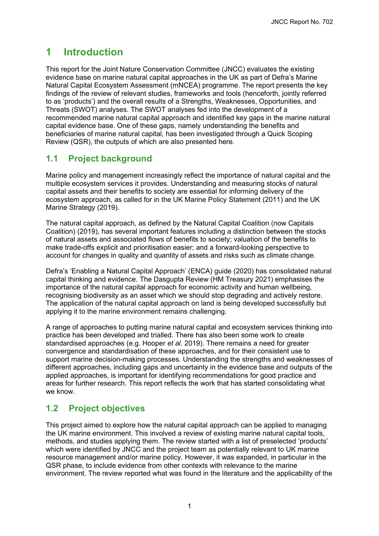## <span id="page-6-0"></span>**1 Introduction**

This report for the Joint Nature Conservation Committee (JNCC) evaluates the existing evidence base on marine natural capital approaches in the UK as part of Defra's Marine Natural Capital Ecosystem Assessment (mNCEA) programme. The report presents the key findings of the review of relevant studies, frameworks and tools (henceforth, jointly referred to as 'products') and the overall results of a Strengths, Weaknesses, Opportunities, and Threats (SWOT) analyses. The SWOT analyses fed into the development of a recommended marine natural capital approach and identified key gaps in the marine natural capital evidence base. One of these gaps, namely understanding the benefits and beneficiaries of marine natural capital, has been investigated through a Quick Scoping Review (QSR), the outputs of which are also presented here.

## <span id="page-6-1"></span>**1.1 Project background**

Marine policy and management increasingly reflect the importance of natural capital and the multiple ecosystem services it provides. Understanding and measuring stocks of natural capital assets and their benefits to society are essential for informing delivery of the ecosystem approach, as called for in the UK Marine Policy Statement (2011) and the UK Marine Strategy (2019).

The natural capital approach, as defined by the Natural Capital Coalition (now Capitals Coalition) (2019), has several important features including a distinction between the stocks of natural assets and associated flows of benefits to society; valuation of the benefits to make trade-offs explicit and prioritisation easier; and a forward-looking perspective to account for changes in quality and quantity of assets and risks such as climate change.

Defra's 'Enabling a Natural Capital Approach' (ENCA) guide (2020) has consolidated natural capital thinking and evidence. The Dasgupta Review (HM Treasury 2021) emphasises the importance of the natural capital approach for economic activity and human wellbeing, recognising biodiversity as an asset which we should stop degrading and actively restore. The application of the natural capital approach on land is being developed successfully but applying it to the marine environment remains challenging.

A range of approaches to putting marine natural capital and ecosystem services thinking into practice has been developed and trialled. There has also been some work to create standardised approaches (e.g. Hooper *et al.* 2019). There remains a need for greater convergence and standardisation of these approaches, and for their consistent use to support marine decision-making processes. Understanding the strengths and weaknesses of different approaches, including gaps and uncertainty in the evidence base and outputs of the applied approaches, is important for identifying recommendations for good practice and areas for further research. This report reflects the work that has started consolidating what we know.

## <span id="page-6-2"></span>**1.2 Project objectives**

This project aimed to explore how the natural capital approach can be applied to managing the UK marine environment. This involved a review of existing marine natural capital tools, methods, and studies applying them. The review started with a list of preselected 'products' which were identified by JNCC and the project team as potentially relevant to UK marine resource management and/or marine policy. However, it was expanded, in particular in the QSR phase, to include evidence from other contexts with relevance to the marine environment. The review reported what was found in the literature and the applicability of the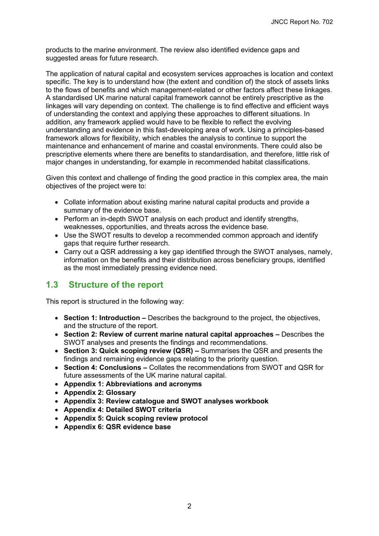products to the marine environment. The review also identified evidence gaps and suggested areas for future research.

The application of natural capital and ecosystem services approaches is location and context specific. The key is to understand how (the extent and condition of) the stock of assets links to the flows of benefits and which management-related or other factors affect these linkages. A standardised UK marine natural capital framework cannot be entirely prescriptive as the linkages will vary depending on context. The challenge is to find effective and efficient ways of understanding the context and applying these approaches to different situations. In addition, any framework applied would have to be flexible to reflect the evolving understanding and evidence in this fast-developing area of work. Using a principles-based framework allows for flexibility, which enables the analysis to continue to support the maintenance and enhancement of marine and coastal environments. There could also be prescriptive elements where there are benefits to standardisation, and therefore, little risk of major changes in understanding, for example in recommended habitat classifications.

Given this context and challenge of finding the good practice in this complex area, the main objectives of the project were to:

- Collate information about existing marine natural capital products and provide a summary of the evidence base.
- Perform an in-depth SWOT analysis on each product and identify strengths, weaknesses, opportunities, and threats across the evidence base.
- Use the SWOT results to develop a recommended common approach and identify gaps that require further research.
- Carry out a QSR addressing a key gap identified through the SWOT analyses, namely, information on the benefits and their distribution across beneficiary groups, identified as the most immediately pressing evidence need.

## <span id="page-7-0"></span>**1.3 Structure of the report**

This report is structured in the following way:

- **Section 1: Introduction** Describes the background to the project, the objectives, and the structure of the report.
- **Section 2: Review of current marine natural capital approaches** Describes the SWOT analyses and presents the findings and recommendations.
- **Section 3: Quick scoping review (QSR)** Summarises the QSR and presents the findings and remaining evidence gaps relating to the priority question.
- **Section 4: Conclusions –** Collates the recommendations from SWOT and QSR for future assessments of the UK marine natural capital.
- **Appendix 1: Abbreviations and acronyms**
- **Appendix 2: Glossary**
- **Appendix 3: Review catalogue and SWOT analyses workbook**
- **Appendix 4: Detailed SWOT criteria**
- **Appendix 5: Quick scoping review protocol**
- **Appendix 6: QSR evidence base**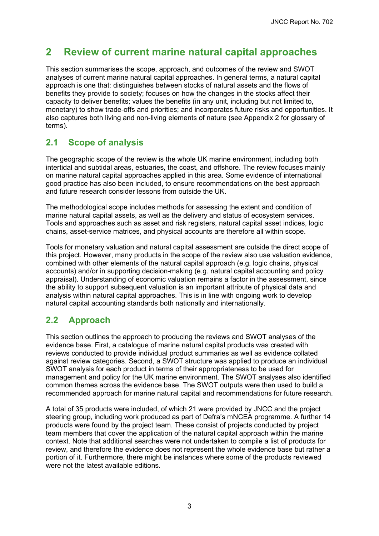# <span id="page-8-0"></span>**2 Review of current marine natural capital approaches**

This section summarises the scope, approach, and outcomes of the review and SWOT analyses of current marine natural capital approaches. In general terms, a natural capital approach is one that: distinguishes between stocks of natural assets and the flows of benefits they provide to society; focuses on how the changes in the stocks affect their capacity to deliver benefits; values the benefits (in any unit, including but not limited to, monetary) to show trade-offs and priorities; and incorporates future risks and opportunities. It also captures both living and non-living elements of nature (see Appendix 2 for glossary of terms).

## <span id="page-8-1"></span>**2.1 Scope of analysis**

The geographic scope of the review is the whole UK marine environment, including both intertidal and subtidal areas, estuaries, the coast, and offshore. The review focuses mainly on marine natural capital approaches applied in this area. Some evidence of international good practice has also been included, to ensure recommendations on the best approach and future research consider lessons from outside the UK.

The methodological scope includes methods for assessing the extent and condition of marine natural capital assets, as well as the delivery and status of ecosystem services. Tools and approaches such as asset and risk registers, natural capital asset indices, logic chains, asset-service matrices, and physical accounts are therefore all within scope.

Tools for monetary valuation and natural capital assessment are outside the direct scope of this project. However, many products in the scope of the review also use valuation evidence, combined with other elements of the natural capital approach (e.g. logic chains, physical accounts) and/or in supporting decision-making (e.g. natural capital accounting and policy appraisal). Understanding of economic valuation remains a factor in the assessment, since the ability to support subsequent valuation is an important attribute of physical data and analysis within natural capital approaches. This is in line with ongoing work to develop natural capital accounting standards both nationally and internationally.

## <span id="page-8-2"></span>**2.2 Approach**

This section outlines the approach to producing the reviews and SWOT analyses of the evidence base. First, a catalogue of marine natural capital products was created with reviews conducted to provide individual product summaries as well as evidence collated against review categories. Second, a SWOT structure was applied to produce an individual SWOT analysis for each product in terms of their appropriateness to be used for management and policy for the UK marine environment. The SWOT analyses also identified common themes across the evidence base. The SWOT outputs were then used to build a recommended approach for marine natural capital and recommendations for future research.

A total of 35 products were included, of which 21 were provided by JNCC and the project steering group, including work produced as part of Defra's mNCEA programme. A further 14 products were found by the project team. These consist of projects conducted by project team members that cover the application of the natural capital approach within the marine context. Note that additional searches were not undertaken to compile a list of products for review, and therefore the evidence does not represent the whole evidence base but rather a portion of it. Furthermore, there might be instances where some of the products reviewed were not the latest available editions.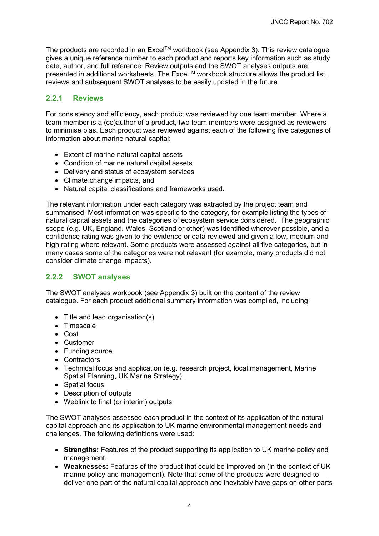The products are recorded in an Excel™ workbook (see Appendix 3). This review catalogue gives a unique reference number to each product and reports key information such as study date, author, and full reference. Review outputs and the SWOT analyses outputs are presented in additional worksheets. The Excel™ workbook structure allows the product list, reviews and subsequent SWOT analyses to be easily updated in the future.

#### <span id="page-9-0"></span>**2.2.1 Reviews**

For consistency and efficiency, each product was reviewed by one team member. Where a team member is a (co)author of a product, two team members were assigned as reviewers to minimise bias. Each product was reviewed against each of the following five categories of information about marine natural capital:

- Extent of marine natural capital assets
- Condition of marine natural capital assets
- Delivery and status of ecosystem services
- Climate change impacts, and
- Natural capital classifications and frameworks used.

The relevant information under each category was extracted by the project team and summarised. Most information was specific to the category, for example listing the types of natural capital assets and the categories of ecosystem service considered. The geographic scope (e.g. UK, England, Wales, Scotland or other) was identified wherever possible, and a confidence rating was given to the evidence or data reviewed and given a low, medium and high rating where relevant. Some products were assessed against all five categories, but in many cases some of the categories were not relevant (for example, many products did not consider climate change impacts).

#### <span id="page-9-1"></span>**2.2.2 SWOT analyses**

The SWOT analyses workbook (see Appendix 3) built on the content of the review catalogue. For each product additional summary information was compiled, including:

- Title and lead organisation(s)
- Timescale
- Cost
- Customer
- Funding source
- Contractors
- Technical focus and application (e.g. research project, local management, Marine Spatial Planning, UK Marine Strategy).
- Spatial focus
- Description of outputs
- Weblink to final (or interim) outputs

The SWOT analyses assessed each product in the context of its application of the natural capital approach and its application to UK marine environmental management needs and challenges. The following definitions were used:

- **Strengths:** Features of the product supporting its application to UK marine policy and management.
- **Weaknesses:** Features of the product that could be improved on (in the context of UK marine policy and management). Note that some of the products were designed to deliver one part of the natural capital approach and inevitably have gaps on other parts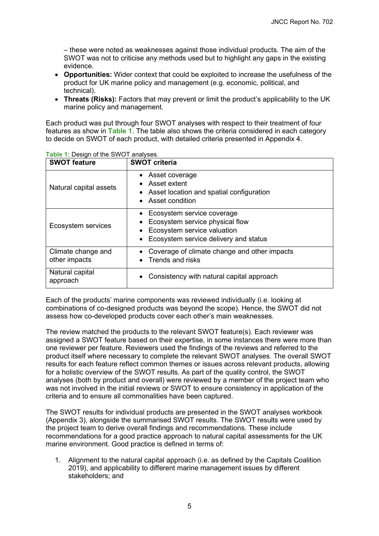– these were noted as weaknesses against those individual products. The aim of the SWOT was not to criticise any methods used but to highlight any gaps in the existing evidence.

- **Opportunities:** Wider context that could be exploited to increase the usefulness of the product for UK marine policy and management (e.g. economic, political, and technical).
- **Threats (Risks):** Factors that may prevent or limit the product's applicability to the UK marine policy and management.

Each product was put through four SWOT analyses with respect to their treatment of four features as show in **[Table 1](#page-10-0)**. The table also shows the criteria considered in each category to decide on SWOT of each product, with detailed criteria presented in Appendix 4.

| <b>SWOT feature</b>                 | <b>SWOT criteria</b>                                                                                                                  |
|-------------------------------------|---------------------------------------------------------------------------------------------------------------------------------------|
| Natural capital assets              | • Asset coverage<br>Asset extent<br>• Asset location and spatial configuration<br>• Asset condition                                   |
| Ecosystem services                  | Ecosystem service coverage<br>Ecosystem service physical flow<br>Ecosystem service valuation<br>Ecosystem service delivery and status |
| Climate change and<br>other impacts | Coverage of climate change and other impacts<br>Trends and risks                                                                      |
| Natural capital<br>approach         | Consistency with natural capital approach                                                                                             |

<span id="page-10-0"></span>**Table 1:** Design of the SWOT analyses.

Each of the products' marine components was reviewed individually (i.e. looking at combinations of co-designed products was beyond the scope). Hence, the SWOT did not assess how co-developed products cover each other's main weaknesses.

The review matched the products to the relevant SWOT feature(s). Each reviewer was assigned a SWOT feature based on their expertise, in some instances there were more than one reviewer per feature. Reviewers used the findings of the reviews and referred to the product itself where necessary to complete the relevant SWOT analyses. The overall SWOT results for each feature reflect common themes or issues across relevant products, allowing for a holistic overview of the SWOT results. As part of the quality control, the SWOT analyses (both by product and overall) were reviewed by a member of the project team who was not involved in the initial reviews or SWOT to ensure consistency in application of the criteria and to ensure all commonalities have been captured.

The SWOT results for individual products are presented in the SWOT analyses workbook (Appendix 3), alongside the summarised SWOT results. The SWOT results were used by the project team to derive overall findings and recommendations. These include recommendations for a good practice approach to natural capital assessments for the UK marine environment. Good practice is defined in terms of:

1. Alignment to the natural capital approach (i.e. as defined by the Capitals Coalition 2019), and applicability to different marine management issues by different stakeholders; and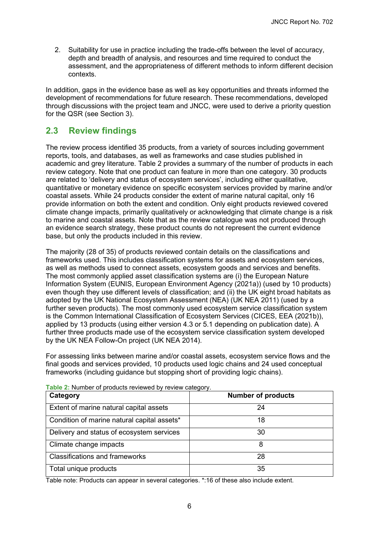2. Suitability for use in practice including the trade-offs between the level of accuracy, depth and breadth of analysis, and resources and time required to conduct the assessment, and the appropriateness of different methods to inform different decision contexts.

In addition, gaps in the evidence base as well as key opportunities and threats informed the development of recommendations for future research. These recommendations, developed through discussions with the project team and JNCC, were used to derive a priority question for the QSR (see Section [3\)](#page-27-0).

## <span id="page-11-0"></span>**2.3 Review findings**

The review process identified 35 products, from a variety of sources including government reports, tools, and databases, as well as frameworks and case studies published in academic and grey literature. [Table 2](#page-11-1) provides a summary of the number of products in each review category. Note that one product can feature in more than one category. 30 products are related to 'delivery and status of ecosystem services', including either qualitative, quantitative or monetary evidence on specific ecosystem services provided by marine and/or coastal assets. While 24 products consider the extent of marine natural capital, only 16 provide information on both the extent and condition. Only eight products reviewed covered climate change impacts, primarily qualitatively or acknowledging that climate change is a risk to marine and coastal assets. Note that as the review catalogue was not produced through an evidence search strategy, these product counts do not represent the current evidence base, but only the products included in this review.

The majority (28 of 35) of products reviewed contain details on the classifications and frameworks used. This includes classification systems for assets and ecosystem services, as well as methods used to connect assets, ecosystem goods and services and benefits. The most commonly applied asset classification systems are (i) the European Nature Information System (EUNIS, European Environment Agency (2021a)) (used by 10 products) even though they use different levels of classification; and (ii) the UK eight broad habitats as adopted by the UK National Ecosystem Assessment (NEA) (UK NEA 2011) (used by a further seven products). The most commonly used ecosystem service classification system is the Common International Classification of Ecosystem Services (CICES, EEA (2021b)), applied by 13 products (using either version 4.3 or 5.1 depending on publication date). A further three products made use of the ecosystem service classification system developed by the UK NEA Follow-On project (UK NEA 2014).

For assessing links between marine and/or coastal assets, ecosystem service flows and the final goods and services provided, 10 products used logic chains and 24 used conceptual frameworks (including guidance but stopping short of providing logic chains).

| Category                                    | <b>Number of products</b> |
|---------------------------------------------|---------------------------|
| Extent of marine natural capital assets     | 24                        |
| Condition of marine natural capital assets* | 18                        |
| Delivery and status of ecosystem services   | 30                        |
| Climate change impacts                      | 8                         |
| <b>Classifications and frameworks</b>       | 28                        |
| Total unique products                       | 35                        |

<span id="page-11-1"></span>**Table 2:** Number of products reviewed by review category.

Table note: Products can appear in several categories. \*:16 of these also include extent.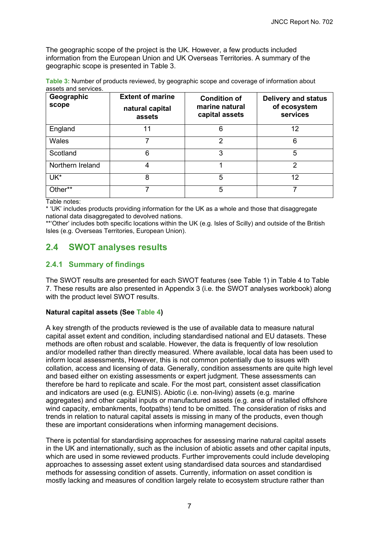The geographic scope of the project is the UK. However, a few products included information from the European Union and UK Overseas Territories. A summary of the geographic scope is presented in [Table 3.](#page-12-2)

<span id="page-12-2"></span>**Table 3:** Number of products reviewed, by geographic scope and coverage of information about assets and services.

| Geographic<br>scope | <b>Extent of marine</b><br>natural capital<br>assets | <b>Condition of</b><br>marine natural<br>capital assets | <b>Delivery and status</b><br>of ecosystem<br>services |
|---------------------|------------------------------------------------------|---------------------------------------------------------|--------------------------------------------------------|
| England             | 11                                                   | 6                                                       | 12                                                     |
| <b>Wales</b>        |                                                      | 2                                                       | 6                                                      |
| Scotland            | 6                                                    | 3                                                       | 5                                                      |
| Northern Ireland    | 4                                                    |                                                         | 2                                                      |
| UK*                 | 8                                                    | 5                                                       | 12                                                     |
| Other**             |                                                      | 5                                                       |                                                        |

Table notes:

\* 'UK' includes products providing information for the UK as a whole and those that disaggregate national data disaggregated to devolved nations.

\*\*'Other' includes both specific locations within the UK (e.g. Isles of Scilly) and outside of the British Isles (e.g. Overseas Territories, European Union).

## <span id="page-12-0"></span>**2.4 SWOT analyses results**

#### <span id="page-12-1"></span>**2.4.1 Summary of findings**

The SWOT results are presented for each SWOT features (see [Table 1\)](#page-10-0) in [Table 4](#page-15-0) to [Table](#page-20-0)  [7.](#page-20-0) These results are also presented in Appendix 3 (i.e. the SWOT analyses workbook) along with the product level SWOT results.

#### **Natural capital assets (See [Table 4\)](#page-15-0)**

A key strength of the products reviewed is the use of available data to measure natural capital asset extent and condition, including standardised national and EU datasets. These methods are often robust and scalable. However, the data is frequently of low resolution and/or modelled rather than directly measured. Where available, local data has been used to inform local assessments, However, this is not common potentially due to issues with collation, access and licensing of data. Generally, condition assessments are quite high level and based either on existing assessments or expert judgment. These assessments can therefore be hard to replicate and scale. For the most part, consistent asset classification and indicators are used (e.g. EUNIS). Abiotic (i.e. non-living) assets (e.g. marine aggregates) and other capital inputs or manufactured assets (e.g. area of installed offshore wind capacity, embankments, footpaths) tend to be omitted. The consideration of risks and trends in relation to natural capital assets is missing in many of the products, even though these are important considerations when informing management decisions.

There is potential for standardising approaches for assessing marine natural capital assets in the UK and internationally, such as the inclusion of abiotic assets and other capital inputs, which are used in some reviewed products. Further improvements could include developing approaches to assessing asset extent using standardised data sources and standardised methods for assessing condition of assets. Currently, information on asset condition is mostly lacking and measures of condition largely relate to ecosystem structure rather than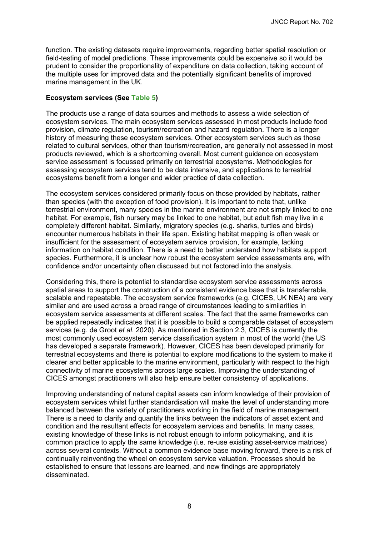function. The existing datasets require improvements, regarding better spatial resolution or field-testing of model predictions. These improvements could be expensive so it would be prudent to consider the proportionality of expenditure on data collection, taking account of the multiple uses for improved data and the potentially significant benefits of improved marine management in the UK.

#### **Ecosystem services (See [Table 5\)](#page-16-0)**

The products use a range of data sources and methods to assess a wide selection of ecosystem services. The main ecosystem services assessed in most products include food provision, climate regulation, tourism/recreation and hazard regulation. There is a longer history of measuring these ecosystem services. Other ecosystem services such as those related to cultural services, other than tourism/recreation, are generally not assessed in most products reviewed, which is a shortcoming overall. Most current guidance on ecosystem service assessment is focussed primarily on terrestrial ecosystems. Methodologies for assessing ecosystem services tend to be data intensive, and applications to terrestrial ecosystems benefit from a longer and wider practice of data collection.

The ecosystem services considered primarily focus on those provided by habitats, rather than species (with the exception of food provision). It is important to note that, unlike terrestrial environment, many species in the marine environment are not simply linked to one habitat. For example, fish nursery may be linked to one habitat, but adult fish may live in a completely different habitat. Similarly, migratory species (e.g. sharks, turtles and birds) encounter numerous habitats in their life span. Existing habitat mapping is often weak or insufficient for the assessment of ecosystem service provision, for example, lacking information on habitat condition. There is a need to better understand how habitats support species. Furthermore, it is unclear how robust the ecosystem service assessments are, with confidence and/or uncertainty often discussed but not factored into the analysis.

Considering this, there is potential to standardise ecosystem service assessments across spatial areas to support the construction of a consistent evidence base that is transferrable, scalable and repeatable. The ecosystem service frameworks (e.g. CICES, UK NEA) are very similar and are used across a broad range of circumstances leading to similarities in ecosystem service assessments at different scales. The fact that the same frameworks can be applied repeatedly indicates that it is possible to build a comparable dataset of ecosystem services (e.g. de Groot *et al.* 2020). As mentioned in Section [2.3,](#page-11-0) CICES is currently the most commonly used ecosystem service classification system in most of the world (the US has developed a separate framework). However, CICES has been developed primarily for terrestrial ecosystems and there is potential to explore modifications to the system to make it clearer and better applicable to the marine environment, particularly with respect to the high connectivity of marine ecosystems across large scales. Improving the understanding of CICES amongst practitioners will also help ensure better consistency of applications.

Improving understanding of natural capital assets can inform knowledge of their provision of ecosystem services whilst further standardisation will make the level of understanding more balanced between the variety of practitioners working in the field of marine management. There is a need to clarify and quantify the links between the indicators of asset extent and condition and the resultant effects for ecosystem services and benefits. In many cases, existing knowledge of these links is not robust enough to inform policymaking, and it is common practice to apply the same knowledge (i.e. re-use existing asset-service matrices) across several contexts. Without a common evidence base moving forward, there is a risk of continually reinventing the wheel on ecosystem service valuation. Processes should be established to ensure that lessons are learned, and new findings are appropriately disseminated.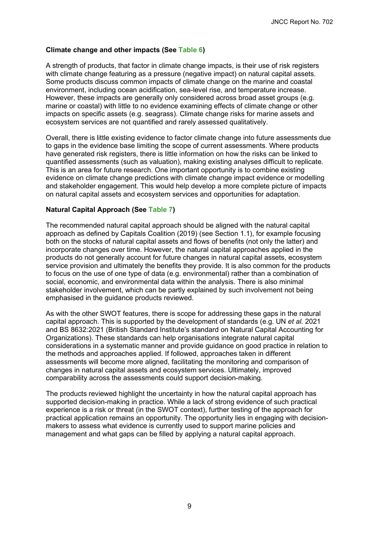#### **Climate change and other impacts (See [Table 6\)](#page-19-0)**

A strength of products, that factor in climate change impacts, is their use of risk registers with climate change featuring as a pressure (negative impact) on natural capital assets. Some products discuss common impacts of climate change on the marine and coastal environment, including ocean acidification, sea-level rise, and temperature increase. However, these impacts are generally only considered across broad asset groups (e.g. marine or coastal) with little to no evidence examining effects of climate change or other impacts on specific assets (e.g. seagrass). Climate change risks for marine assets and ecosystem services are not quantified and rarely assessed qualitatively.

Overall, there is little existing evidence to factor climate change into future assessments due to gaps in the evidence base limiting the scope of current assessments. Where products have generated risk registers, there is little information on how the risks can be linked to quantified assessments (such as valuation), making existing analyses difficult to replicate. This is an area for future research. One important opportunity is to combine existing evidence on climate change predictions with climate change impact evidence or modelling and stakeholder engagement. This would help develop a more complete picture of impacts on natural capital assets and ecosystem services and opportunities for adaptation.

#### **Natural Capital Approach (See [Table 7\)](#page-20-0)**

The recommended natural capital approach should be aligned with the natural capital approach as defined by Capitals Coalition (2019) (see Section [1.1\)](#page-6-1), for example focusing both on the stocks of natural capital assets and flows of benefits (not only the latter) and incorporate changes over time. However, the natural capital approaches applied in the products do not generally account for future changes in natural capital assets, ecosystem service provision and ultimately the benefits they provide. It is also common for the products to focus on the use of one type of data (e.g. environmental) rather than a combination of social, economic, and environmental data within the analysis. There is also minimal stakeholder involvement, which can be partly explained by such involvement not being emphasised in the guidance products reviewed.

As with the other SWOT features, there is scope for addressing these gaps in the natural capital approach. This is supported by the development of standards (e.g. UN *et al.* 2021 and BS 8632:2021 (British Standard Institute's standard on Natural Capital Accounting for Organizations). These standards can help organisations integrate natural capital considerations in a systematic manner and provide guidance on good practice in relation to the methods and approaches applied. If followed, approaches taken in different assessments will become more aligned, facilitating the monitoring and comparison of changes in natural capital assets and ecosystem services. Ultimately, improved comparability across the assessments could support decision-making.

The products reviewed highlight the uncertainty in how the natural capital approach has supported decision-making in practice. While a lack of strong evidence of such practical experience is a risk or threat (in the SWOT context), further testing of the approach for practical application remains an opportunity. The opportunity lies in engaging with decisionmakers to assess what evidence is currently used to support marine policies and management and what gaps can be filled by applying a natural capital approach.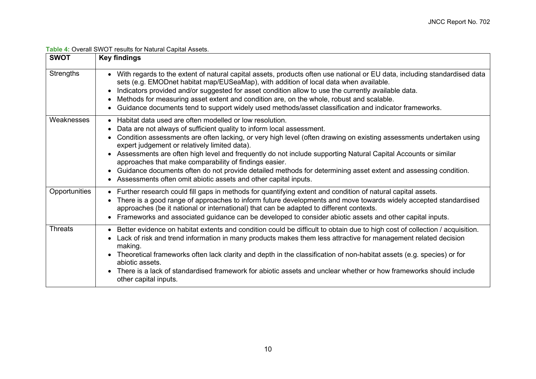|--|

<span id="page-15-0"></span>

| <b>SWOT</b>    | <b>Key findings</b>                                                                                                                                                                                                                                                                                                                                                                                                                                                                                                                                                                                                                                                                   |
|----------------|---------------------------------------------------------------------------------------------------------------------------------------------------------------------------------------------------------------------------------------------------------------------------------------------------------------------------------------------------------------------------------------------------------------------------------------------------------------------------------------------------------------------------------------------------------------------------------------------------------------------------------------------------------------------------------------|
| Strengths      | With regards to the extent of natural capital assets, products often use national or EU data, including standardised data<br>sets (e.g. EMODnet habitat map/EUSeaMap), with addition of local data when available.<br>Indicators provided and/or suggested for asset condition allow to use the currently available data.<br>Methods for measuring asset extent and condition are, on the whole, robust and scalable.<br>Guidance documents tend to support widely used methods/asset classification and indicator frameworks.                                                                                                                                                        |
| Weaknesses     | Habitat data used are often modelled or low resolution.<br>Data are not always of sufficient quality to inform local assessment.<br>Condition assessments are often lacking, or very high level (often drawing on existing assessments undertaken using<br>expert judgement or relatively limited data).<br>Assessments are often high level and frequently do not include supporting Natural Capital Accounts or similar<br>approaches that make comparability of findings easier.<br>Guidance documents often do not provide detailed methods for determining asset extent and assessing condition.<br>$\bullet$<br>Assessments often omit abiotic assets and other capital inputs. |
| Opportunities  | • Further research could fill gaps in methods for quantifying extent and condition of natural capital assets.<br>There is a good range of approaches to inform future developments and move towards widely accepted standardised<br>approaches (be it national or international) that can be adapted to different contexts.<br>Frameworks and associated guidance can be developed to consider abiotic assets and other capital inputs.<br>$\bullet$                                                                                                                                                                                                                                  |
| <b>Threats</b> | Better evidence on habitat extents and condition could be difficult to obtain due to high cost of collection / acquisition.<br>$\bullet$<br>Lack of risk and trend information in many products makes them less attractive for management related decision<br>making.<br>Theoretical frameworks often lack clarity and depth in the classification of non-habitat assets (e.g. species) or for<br>$\bullet$<br>abiotic assets.<br>There is a lack of standardised framework for abiotic assets and unclear whether or how frameworks should include<br>other capital inputs.                                                                                                          |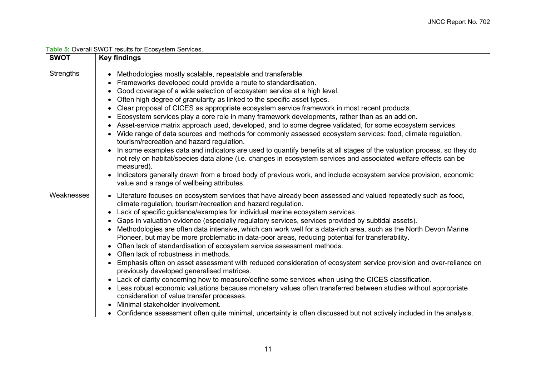| Table 5: Overall SWOT results for Ecosystem Services. |  |
|-------------------------------------------------------|--|
|                                                       |  |

<span id="page-16-0"></span>

| <b>SWOT</b>      | <b>Key findings</b>                                                                                                                                                                                                                                     |
|------------------|---------------------------------------------------------------------------------------------------------------------------------------------------------------------------------------------------------------------------------------------------------|
| <b>Strengths</b> | • Methodologies mostly scalable, repeatable and transferable.                                                                                                                                                                                           |
|                  | Frameworks developed could provide a route to standardisation.                                                                                                                                                                                          |
|                  | Good coverage of a wide selection of ecosystem service at a high level.                                                                                                                                                                                 |
|                  | Often high degree of granularity as linked to the specific asset types.                                                                                                                                                                                 |
|                  | Clear proposal of CICES as appropriate ecosystem service framework in most recent products.<br>$\bullet$                                                                                                                                                |
|                  | Ecosystem services play a core role in many framework developments, rather than as an add on.                                                                                                                                                           |
|                  | Asset-service matrix approach used, developed, and to some degree validated, for some ecosystem services.                                                                                                                                               |
|                  | Wide range of data sources and methods for commonly assessed ecosystem services: food, climate regulation,<br>tourism/recreation and hazard regulation.                                                                                                 |
|                  | In some examples data and indicators are used to quantify benefits at all stages of the valuation process, so they do<br>not rely on habitat/species data alone (i.e. changes in ecosystem services and associated welfare effects can be<br>measured). |
|                  | Indicators generally drawn from a broad body of previous work, and include ecosystem service provision, economic<br>value and a range of wellbeing attributes.                                                                                          |
| Weaknesses       | • Literature focuses on ecosystem services that have already been assessed and valued repeatedly such as food,                                                                                                                                          |
|                  | climate regulation, tourism/recreation and hazard regulation.                                                                                                                                                                                           |
|                  | Lack of specific guidance/examples for individual marine ecosystem services.<br>$\bullet$                                                                                                                                                               |
|                  | Gaps in valuation evidence (especially regulatory services, services provided by subtidal assets).                                                                                                                                                      |
|                  | Methodologies are often data intensive, which can work well for a data-rich area, such as the North Devon Marine<br>Pioneer, but may be more problematic in data-poor areas, reducing potential for transferability.                                    |
|                  | Often lack of standardisation of ecosystem service assessment methods.<br>$\bullet$                                                                                                                                                                     |
|                  | • Often lack of robustness in methods.                                                                                                                                                                                                                  |
|                  | Emphasis often on asset assessment with reduced consideration of ecosystem service provision and over-reliance on<br>previously developed generalised matrices.                                                                                         |
|                  | • Lack of clarity concerning how to measure/define some services when using the CICES classification.                                                                                                                                                   |
|                  | • Less robust economic valuations because monetary values often transferred between studies without appropriate                                                                                                                                         |
|                  | consideration of value transfer processes.                                                                                                                                                                                                              |
|                  | Minimal stakeholder involvement.                                                                                                                                                                                                                        |
|                  | Confidence assessment often quite minimal, uncertainty is often discussed but not actively included in the analysis.                                                                                                                                    |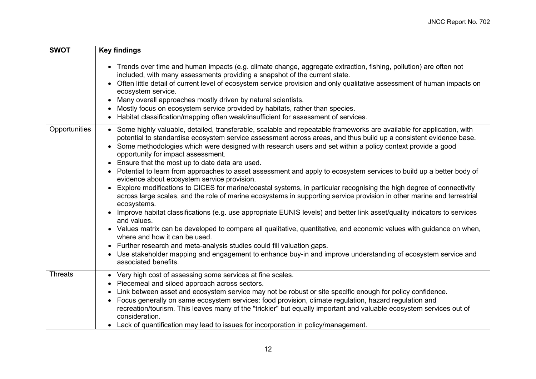| <b>SWOT</b>    | <b>Key findings</b>                                                                                                                                                                                                                                                                                                                                                                                                                                                                                                                                                                                                                                                                                                                                                                                                                                                                                                                                                                                                                                                                                                                                                                                                                                                                                                                                                                                                             |  |  |
|----------------|---------------------------------------------------------------------------------------------------------------------------------------------------------------------------------------------------------------------------------------------------------------------------------------------------------------------------------------------------------------------------------------------------------------------------------------------------------------------------------------------------------------------------------------------------------------------------------------------------------------------------------------------------------------------------------------------------------------------------------------------------------------------------------------------------------------------------------------------------------------------------------------------------------------------------------------------------------------------------------------------------------------------------------------------------------------------------------------------------------------------------------------------------------------------------------------------------------------------------------------------------------------------------------------------------------------------------------------------------------------------------------------------------------------------------------|--|--|
|                | • Trends over time and human impacts (e.g. climate change, aggregate extraction, fishing, pollution) are often not<br>included, with many assessments providing a snapshot of the current state.<br>• Often little detail of current level of ecosystem service provision and only qualitative assessment of human impacts on<br>ecosystem service.<br>Many overall approaches mostly driven by natural scientists.<br>Mostly focus on ecosystem service provided by habitats, rather than species.<br>• Habitat classification/mapping often weak/insufficient for assessment of services.                                                                                                                                                                                                                                                                                                                                                                                                                                                                                                                                                                                                                                                                                                                                                                                                                                     |  |  |
| Opportunities  | • Some highly valuable, detailed, transferable, scalable and repeatable frameworks are available for application, with<br>potential to standardise ecosystem service assessment across areas, and thus build up a consistent evidence base.<br>• Some methodologies which were designed with research users and set within a policy context provide a good<br>opportunity for impact assessment.<br>• Ensure that the most up to date data are used.<br>• Potential to learn from approaches to asset assessment and apply to ecosystem services to build up a better body of<br>evidence about ecosystem service provision.<br>Explore modifications to CICES for marine/coastal systems, in particular recognising the high degree of connectivity<br>across large scales, and the role of marine ecosystems in supporting service provision in other marine and terrestrial<br>ecosystems.<br>Improve habitat classifications (e.g. use appropriate EUNIS levels) and better link asset/quality indicators to services<br>and values.<br>• Values matrix can be developed to compare all qualitative, quantitative, and economic values with guidance on when,<br>where and how it can be used.<br>Further research and meta-analysis studies could fill valuation gaps.<br>Use stakeholder mapping and engagement to enhance buy-in and improve understanding of ecosystem service and<br>$\bullet$<br>associated benefits. |  |  |
| <b>Threats</b> | • Very high cost of assessing some services at fine scales.<br>Piecemeal and siloed approach across sectors.<br>Link between asset and ecosystem service may not be robust or site specific enough for policy confidence.<br>• Focus generally on same ecosystem services: food provision, climate regulation, hazard regulation and<br>recreation/tourism. This leaves many of the "trickier" but equally important and valuable ecosystem services out of<br>consideration.<br>• Lack of quantification may lead to issues for incorporation in policy/management.                                                                                                                                                                                                                                                                                                                                                                                                                                                                                                                                                                                                                                                                                                                                                                                                                                                            |  |  |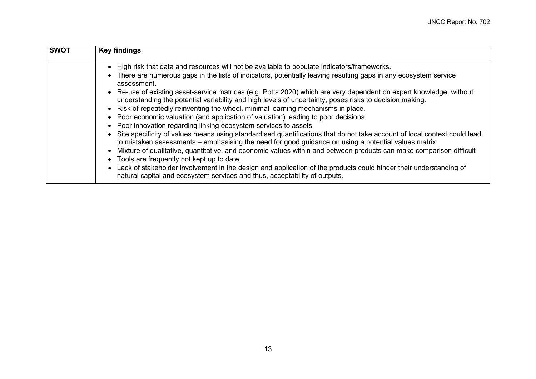| <b>SWOT</b> | <b>Key findings</b>                                                                                                                                                                                                                                                                                                                                                                                                                                                                                                                                                                                                                                                                                                 |  |  |
|-------------|---------------------------------------------------------------------------------------------------------------------------------------------------------------------------------------------------------------------------------------------------------------------------------------------------------------------------------------------------------------------------------------------------------------------------------------------------------------------------------------------------------------------------------------------------------------------------------------------------------------------------------------------------------------------------------------------------------------------|--|--|
|             | • High risk that data and resources will not be available to populate indicators/frameworks.<br>• There are numerous gaps in the lists of indicators, potentially leaving resulting gaps in any ecosystem service<br>assessment.<br>• Re-use of existing asset-service matrices (e.g. Potts 2020) which are very dependent on expert knowledge, without<br>understanding the potential variability and high levels of uncertainty, poses risks to decision making.<br>• Risk of repeatedly reinventing the wheel, minimal learning mechanisms in place.<br>• Poor economic valuation (and application of valuation) leading to poor decisions.<br>• Poor innovation regarding linking ecosystem services to assets. |  |  |
|             | • Site specificity of values means using standardised quantifications that do not take account of local context could lead<br>to mistaken assessments – emphasising the need for good guidance on using a potential values matrix.<br>• Mixture of qualitative, quantitative, and economic values within and between products can make comparison difficult<br>• Tools are frequently not kept up to date.<br>• Lack of stakeholder involvement in the design and application of the products could hinder their understanding of<br>natural capital and ecosystem services and thus, acceptability of outputs.                                                                                                     |  |  |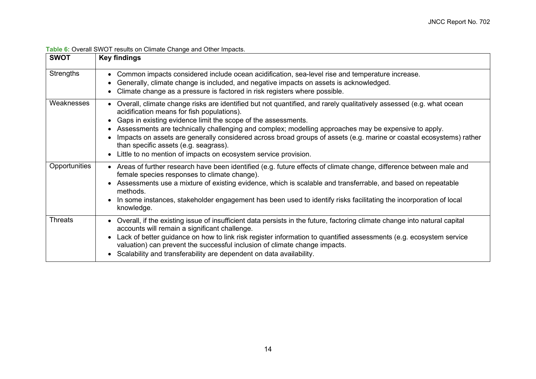<span id="page-19-0"></span>

| <b>SWOT</b>    | <b>Key findings</b>                                                                                                                                                                                                                                                                                                                                                                                                                                                                                                                                                                   |
|----------------|---------------------------------------------------------------------------------------------------------------------------------------------------------------------------------------------------------------------------------------------------------------------------------------------------------------------------------------------------------------------------------------------------------------------------------------------------------------------------------------------------------------------------------------------------------------------------------------|
| Strengths      | • Common impacts considered include ocean acidification, sea-level rise and temperature increase.<br>Generally, climate change is included, and negative impacts on assets is acknowledged.<br>$\bullet$<br>Climate change as a pressure is factored in risk registers where possible.                                                                                                                                                                                                                                                                                                |
| Weaknesses     | • Overall, climate change risks are identified but not quantified, and rarely qualitatively assessed (e.g. what ocean<br>acidification means for fish populations).<br>• Gaps in existing evidence limit the scope of the assessments.<br>• Assessments are technically challenging and complex; modelling approaches may be expensive to apply.<br>Impacts on assets are generally considered across broad groups of assets (e.g. marine or coastal ecosystems) rather<br>than specific assets (e.g. seagrass).<br>• Little to no mention of impacts on ecosystem service provision. |
| Opportunities  | • Areas of further research have been identified (e.g. future effects of climate change, difference between male and<br>female species responses to climate change).<br>• Assessments use a mixture of existing evidence, which is scalable and transferrable, and based on repeatable<br>methods.<br>• In some instances, stakeholder engagement has been used to identify risks facilitating the incorporation of local<br>knowledge.                                                                                                                                               |
| <b>Threats</b> | • Overall, if the existing issue of insufficient data persists in the future, factoring climate change into natural capital<br>accounts will remain a significant challenge.<br>• Lack of better guidance on how to link risk register information to quantified assessments (e.g. ecosystem service<br>valuation) can prevent the successful inclusion of climate change impacts.<br>Scalability and transferability are dependent on data availability.                                                                                                                             |

#### **Table 6:** Overall SWOT results on Climate Change and Other Impacts.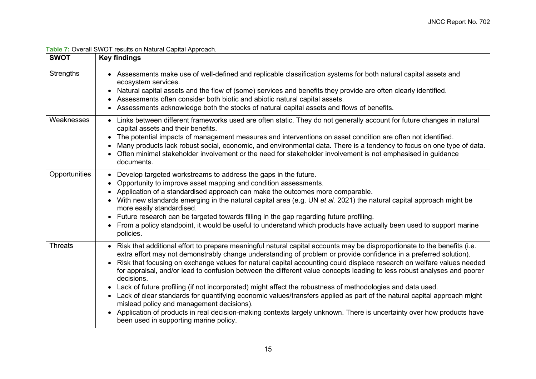| Table 7: Overall SWOT results on Natural Capital Approach. |
|------------------------------------------------------------|
|                                                            |

<span id="page-20-0"></span>

| <b>SWOT</b>      | <b>Key findings</b>                                                                                                                                                                                                                                                                                                                                                                                                                                                                                                                                                                                                                                                                                                                                                                                                                                                                                                                                                                       |
|------------------|-------------------------------------------------------------------------------------------------------------------------------------------------------------------------------------------------------------------------------------------------------------------------------------------------------------------------------------------------------------------------------------------------------------------------------------------------------------------------------------------------------------------------------------------------------------------------------------------------------------------------------------------------------------------------------------------------------------------------------------------------------------------------------------------------------------------------------------------------------------------------------------------------------------------------------------------------------------------------------------------|
| <b>Strengths</b> | • Assessments make use of well-defined and replicable classification systems for both natural capital assets and<br>ecosystem services.<br>Natural capital assets and the flow of (some) services and benefits they provide are often clearly identified.<br>Assessments often consider both biotic and abiotic natural capital assets.<br>٠<br>Assessments acknowledge both the stocks of natural capital assets and flows of benefits.                                                                                                                                                                                                                                                                                                                                                                                                                                                                                                                                                  |
| Weaknesses       | • Links between different frameworks used are often static. They do not generally account for future changes in natural<br>capital assets and their benefits.<br>The potential impacts of management measures and interventions on asset condition are often not identified.<br>Many products lack robust social, economic, and environmental data. There is a tendency to focus on one type of data.<br>Often minimal stakeholder involvement or the need for stakeholder involvement is not emphasised in guidance<br>documents.                                                                                                                                                                                                                                                                                                                                                                                                                                                        |
| Opportunities    | Develop targeted workstreams to address the gaps in the future.<br>$\bullet$<br>Opportunity to improve asset mapping and condition assessments.<br>Application of a standardised approach can make the outcomes more comparable.<br>With new standards emerging in the natural capital area (e.g. UN et al. 2021) the natural capital approach might be<br>more easily standardised.<br>Future research can be targeted towards filling in the gap regarding future profiling.<br>$\bullet$<br>From a policy standpoint, it would be useful to understand which products have actually been used to support marine<br>policies.                                                                                                                                                                                                                                                                                                                                                           |
| <b>Threats</b>   | • Risk that additional effort to prepare meaningful natural capital accounts may be disproportionate to the benefits (i.e.<br>extra effort may not demonstrably change understanding of problem or provide confidence in a preferred solution).<br>Risk that focusing on exchange values for natural capital accounting could displace research on welfare values needed<br>for appraisal, and/or lead to confusion between the different value concepts leading to less robust analyses and poorer<br>decisions.<br>Lack of future profiling (if not incorporated) might affect the robustness of methodologies and data used.<br>$\bullet$<br>• Lack of clear standards for quantifying economic values/transfers applied as part of the natural capital approach might<br>mislead policy and management decisions).<br>Application of products in real decision-making contexts largely unknown. There is uncertainty over how products have<br>been used in supporting marine policy. |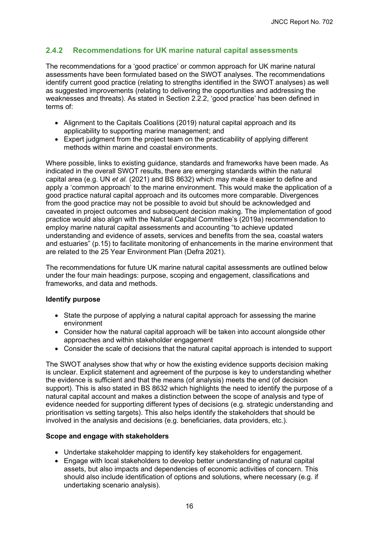### <span id="page-21-0"></span>**2.4.2 Recommendations for UK marine natural capital assessments**

The recommendations for a 'good practice' or common approach for UK marine natural assessments have been formulated based on the SWOT analyses. The recommendations identify current good practice (relating to strengths identified in the SWOT analyses) as well as suggested improvements (relating to delivering the opportunities and addressing the weaknesses and threats). As stated in Section [2.2.2,](#page-9-1) 'good practice' has been defined in terms of:

- Alignment to the Capitals Coalitions (2019) natural capital approach and its applicability to supporting marine management; and
- Expert judgment from the project team on the practicability of applying different methods within marine and coastal environments.

Where possible, links to existing guidance, standards and frameworks have been made. As indicated in the overall SWOT results, there are emerging standards within the natural capital area (e.g. UN *et al.* (2021) and BS 8632) which may make it easier to define and apply a 'common approach' to the marine environment. This would make the application of a good practice natural capital approach and its outcomes more comparable. Divergences from the good practice may not be possible to avoid but should be acknowledged and caveated in project outcomes and subsequent decision making. The implementation of good practice would also align with the Natural Capital Committee's (2019a) recommendation to employ marine natural capital assessments and accounting "to achieve updated understanding and evidence of assets, services and benefits from the sea, coastal waters and estuaries" (p.15) to facilitate monitoring of enhancements in the marine environment that are related to the 25 Year Environment Plan (Defra 2021).

The recommendations for future UK marine natural capital assessments are outlined below under the four main headings: purpose, scoping and engagement, classifications and frameworks, and data and methods.

#### **Identify purpose**

- State the purpose of applying a natural capital approach for assessing the marine environment
- Consider how the natural capital approach will be taken into account alongside other approaches and within stakeholder engagement
- Consider the scale of decisions that the natural capital approach is intended to support

The SWOT analyses show that why or how the existing evidence supports decision making is unclear. Explicit statement and agreement of the purpose is key to understanding whether the evidence is sufficient and that the means (of analysis) meets the end (of decision support). This is also stated in BS 8632 which highlights the need to identify the purpose of a natural capital account and makes a distinction between the scope of analysis and type of evidence needed for supporting different types of decisions (e.g. strategic understanding and prioritisation vs setting targets). This also helps identify the stakeholders that should be involved in the analysis and decisions (e.g. beneficiaries, data providers, etc.).

#### **Scope and engage with stakeholders**

- Undertake stakeholder mapping to identify key stakeholders for engagement.
- Engage with local stakeholders to develop better understanding of natural capital assets, but also impacts and dependencies of economic activities of concern. This should also include identification of options and solutions, where necessary (e.g. if undertaking scenario analysis).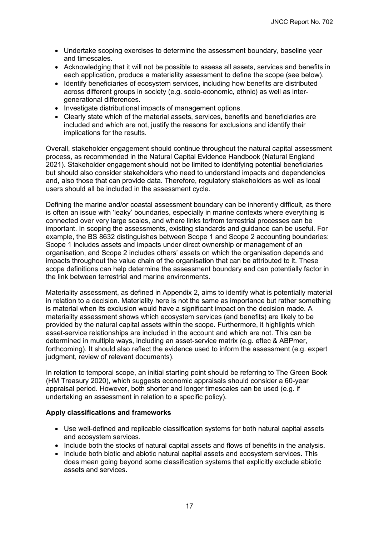- Undertake scoping exercises to determine the assessment boundary, baseline year and timescales.
- Acknowledging that it will not be possible to assess all assets, services and benefits in each application, produce a materiality assessment to define the scope (see below).
- Identify beneficiaries of ecosystem services, including how benefits are distributed across different groups in society (e.g. socio-economic, ethnic) as well as intergenerational differences.
- Investigate distributional impacts of management options.
- Clearly state which of the material assets, services, benefits and beneficiaries are included and which are not, justify the reasons for exclusions and identify their implications for the results.

Overall, stakeholder engagement should continue throughout the natural capital assessment process, as recommended in the Natural Capital Evidence Handbook (Natural England 2021). Stakeholder engagement should not be limited to identifying potential beneficiaries but should also consider stakeholders who need to understand impacts and dependencies and, also those that can provide data. Therefore, regulatory stakeholders as well as local users should all be included in the assessment cycle.

Defining the marine and/or coastal assessment boundary can be inherently difficult, as there is often an issue with 'leaky' boundaries, especially in marine contexts where everything is connected over very large scales, and where links to/from terrestrial processes can be important. In scoping the assessments, existing standards and guidance can be useful. For example, the BS 8632 distinguishes between Scope 1 and Scope 2 accounting boundaries: Scope 1 includes assets and impacts under direct ownership or management of an organisation, and Scope 2 includes others' assets on which the organisation depends and impacts throughout the value chain of the organisation that can be attributed to it. These scope definitions can help determine the assessment boundary and can potentially factor in the link between terrestrial and marine environments.

Materiality assessment, as defined in Appendix 2, aims to identify what is potentially material in relation to a decision. Materiality here is not the same as importance but rather something is material when its exclusion would have a significant impact on the decision made. A materiality assessment shows which ecosystem services (and benefits) are likely to be provided by the natural capital assets within the scope. Furthermore, it highlights which asset-service relationships are included in the account and which are not. This can be determined in multiple ways, including an asset-service matrix (e.g. eftec & ABPmer, forthcoming). It should also reflect the evidence used to inform the assessment (e.g. expert judgment, review of relevant documents).

In relation to temporal scope, an initial starting point should be referring to The Green Book (HM Treasury 2020), which suggests economic appraisals should consider a 60-year appraisal period. However, both shorter and longer timescales can be used (e.g. if undertaking an assessment in relation to a specific policy).

#### **Apply classifications and frameworks**

- Use well-defined and replicable classification systems for both natural capital assets and ecosystem services.
- Include both the stocks of natural capital assets and flows of benefits in the analysis.
- Include both biotic and abiotic natural capital assets and ecosystem services. This does mean going beyond some classification systems that explicitly exclude abiotic assets and services.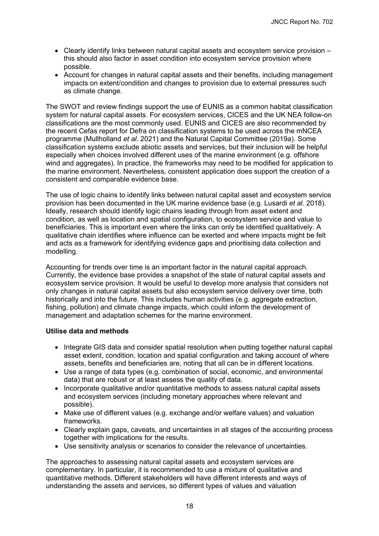- Clearly identify links between natural capital assets and ecosystem service provision this should also factor in asset condition into ecosystem service provision where possible.
- Account for changes in natural capital assets and their benefits, including management impacts on extent/condition and changes to provision due to external pressures such as climate change.

The SWOT and review findings support the use of EUNIS as a common habitat classification system for natural capital assets. For ecosystem services, CICES and the UK NEA follow-on classifications are the most commonly used. EUNIS and CICES are also recommended by the recent Cefas report for Defra on classification systems to be used across the mNCEA programme (Mullholland *et al.* 2021) and the Natural Capital Committee (2019a). Some classification systems exclude abiotic assets and services, but their inclusion will be helpful especially when choices involved different uses of the marine environment (e.g. offshore wind and aggregates). In practice, the frameworks may need to be modified for application to the marine environment. Nevertheless, consistent application does support the creation of a consistent and comparable evidence base.

The use of logic chains to identify links between natural capital asset and ecosystem service provision has been documented in the UK marine evidence base (e.g. Lusardi *et al.* 2018). Ideally, research should identify logic chains leading through from asset extent and condition, as well as location and spatial configuration, to ecosystem service and value to beneficiaries. This is important even where the links can only be identified qualitatively. A qualitative chain identifies where influence can be exerted and where impacts might be felt and acts as a framework for identifying evidence gaps and prioritising data collection and modelling.

Accounting for trends over time is an important factor in the natural capital approach. Currently, the evidence base provides a snapshot of the state of natural capital assets and ecosystem service provision. It would be useful to develop more analysis that considers not only changes in natural capital assets but also ecosystem service delivery over time, both historically and into the future. This includes human activities (e.g. aggregate extraction, fishing, pollution) and climate change impacts, which could inform the development of management and adaptation schemes for the marine environment.

#### **Utilise data and methods**

- Integrate GIS data and consider spatial resolution when putting together natural capital asset extent, condition, location and spatial configuration and taking account of where assets, benefits and beneficiaries are, noting that all can be in different locations.
- Use a range of data types (e.g. combination of social, economic, and environmental data) that are robust or at least assess the quality of data.
- Incorporate qualitative and/or quantitative methods to assess natural capital assets and ecosystem services (including monetary approaches where relevant and possible).
- Make use of different values (e.g. exchange and/or welfare values) and valuation frameworks.
- Clearly explain gaps, caveats, and uncertainties in all stages of the accounting process together with implications for the results.
- Use sensitivity analysis or scenarios to consider the relevance of uncertainties.

The approaches to assessing natural capital assets and ecosystem services are complementary. In particular, it is recommended to use a mixture of qualitative and quantitative methods. Different stakeholders will have different interests and ways of understanding the assets and services, so different types of values and valuation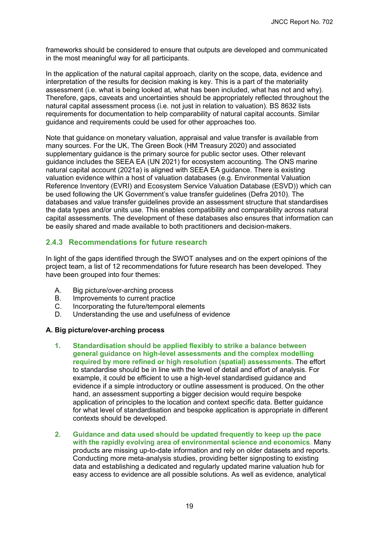frameworks should be considered to ensure that outputs are developed and communicated in the most meaningful way for all participants.

In the application of the natural capital approach, clarity on the scope, data, evidence and interpretation of the results for decision making is key. This is a part of the materiality assessment (i.e. what is being looked at, what has been included, what has not and why). Therefore, gaps, caveats and uncertainties should be appropriately reflected throughout the natural capital assessment process (i.e. not just in relation to valuation). BS 8632 lists requirements for documentation to help comparability of natural capital accounts. Similar guidance and requirements could be used for other approaches too.

Note that guidance on monetary valuation, appraisal and value transfer is available from many sources. For the UK, The Green Book (HM Treasury 2020) and associated supplementary guidance is the primary source for public sector uses. Other relevant guidance includes the SEEA EA (UN 2021) for ecosystem accounting. The ONS marine natural capital account (2021a) is aligned with SEEA EA guidance. There is existing valuation evidence within a host of valuation databases (e.g. Environmental Valuation Reference Inventory (EVRI) and Ecosystem Service Valuation Database (ESVD)) which can be used following the UK Government's value transfer guidelines (Defra 2010). The databases and value transfer guidelines provide an assessment structure that standardises the data types and/or units use. This enables compatibility and comparability across natural capital assessments. The development of these databases also ensures that information can be easily shared and made available to both practitioners and decision-makers.

#### <span id="page-24-0"></span>**2.4.3 Recommendations for future research**

In light of the gaps identified through the SWOT analyses and on the expert opinions of the project team, a list of 12 recommendations for future research has been developed. They have been grouped into four themes:

- A. Big picture/over-arching process
- B. Improvements to current practice
- C. Incorporating the future/temporal elements
- D. Understanding the use and usefulness of evidence

#### **A. Big picture/over-arching process**

- **1. Standardisation should be applied flexibly to strike a balance between general guidance on high-level assessments and the complex modelling required by more refined or high resolution (spatial) assessments.** The effort to standardise should be in line with the level of detail and effort of analysis. For example, it could be efficient to use a high-level standardised guidance and evidence if a simple introductory or outline assessment is produced. On the other hand, an assessment supporting a bigger decision would require bespoke application of principles to the location and context specific data. Better guidance for what level of standardisation and bespoke application is appropriate in different contexts should be developed.
- **2. Guidance and data used should be updated frequently to keep up the pace with the rapidly evolving area of environmental science and economics**. Many products are missing up-to-date information and rely on older datasets and reports. Conducting more meta-analysis studies, providing better signposting to existing data and establishing a dedicated and regularly updated marine valuation hub for easy access to evidence are all possible solutions. As well as evidence, analytical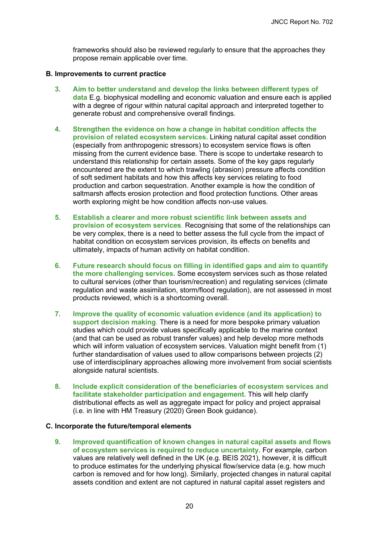frameworks should also be reviewed regularly to ensure that the approaches they propose remain applicable over time.

#### **B. Improvements to current practice**

- **3. Aim to better understand and develop the links between different types of data** E.g. biophysical modelling and economic valuation and ensure each is applied with a degree of rigour within natural capital approach and interpreted together to generate robust and comprehensive overall findings.
- **4. Strengthen the evidence on how a change in habitat condition affects the provision of related ecosystem services.** Linking natural capital asset condition (especially from anthropogenic stressors) to ecosystem service flows is often missing from the current evidence base. There is scope to undertake research to understand this relationship for certain assets. Some of the key gaps regularly encountered are the extent to which trawling (abrasion) pressure affects condition of soft sediment habitats and how this affects key services relating to food production and carbon sequestration. Another example is how the condition of saltmarsh affects erosion protection and flood protection functions. Other areas worth exploring might be how condition affects non-use values.
- **5. Establish a clearer and more robust scientific link between assets and provision of ecosystem services**. Recognising that some of the relationships can be very complex, there is a need to better assess the full cycle from the impact of habitat condition on ecosystem services provision, its effects on benefits and ultimately, impacts of human activity on habitat condition.
- **6. Future research should focus on filling in identified gaps and aim to quantify the more challenging services.** Some ecosystem services such as those related to cultural services (other than tourism/recreation) and regulating services (climate regulation and waste assimilation, storm/flood regulation), are not assessed in most products reviewed, which is a shortcoming overall.
- **7. Improve the quality of economic valuation evidence (and its application) to support decision making**. There is a need for more bespoke primary valuation studies which could provide values specifically applicable to the marine context (and that can be used as robust transfer values) and help develop more methods which will inform valuation of ecosystem services. Valuation might benefit from (1) further standardisation of values used to allow comparisons between projects (2) use of interdisciplinary approaches allowing more involvement from social scientists alongside natural scientists.
- **8. Include explicit consideration of the beneficiaries of ecosystem services and facilitate stakeholder participation and engagement.** This will help clarify distributional effects as well as aggregate impact for policy and project appraisal (i.e. in line with HM Treasury (2020) Green Book guidance).

#### **C. Incorporate the future/temporal elements**

**9. Improved quantification of known changes in natural capital assets and flows of ecosystem services is required to reduce uncertainty.** For example, carbon values are relatively well defined in the UK (e.g. BEIS 2021), however, it is difficult to produce estimates for the underlying physical flow/service data (e.g. how much carbon is removed and for how long). Similarly, projected changes in natural capital assets condition and extent are not captured in natural capital asset registers and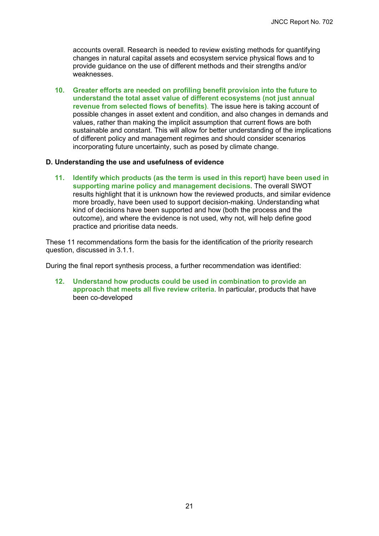accounts overall. Research is needed to review existing methods for quantifying changes in natural capital assets and ecosystem service physical flows and to provide guidance on the use of different methods and their strengths and/or weaknesses.

**10. Greater efforts are needed on profiling benefit provision into the future to understand the total asset value of different ecosystems (not just annual revenue from selected flows of benefits)**. The issue here is taking account of possible changes in asset extent and condition, and also changes in demands and values, rather than making the implicit assumption that current flows are both sustainable and constant. This will allow for better understanding of the implications of different policy and management regimes and should consider scenarios incorporating future uncertainty, such as posed by climate change.

#### **D. Understanding the use and usefulness of evidence**

**11. Identify which products (as the term is used in this report) have been used in supporting marine policy and management decisions.** The overall SWOT results highlight that it is unknown how the reviewed products, and similar evidence more broadly, have been used to support decision-making. Understanding what kind of decisions have been supported and how (both the process and the outcome), and where the evidence is not used, why not, will help define good practice and prioritise data needs.

These 11 recommendations form the basis for the identification of the priority research question, discussed in [3.1.1.](#page-27-2)

During the final report synthesis process, a further recommendation was identified:

**12. Understand how products could be used in combination to provide an approach that meets all five review criteria**. In particular, products that have been co-developed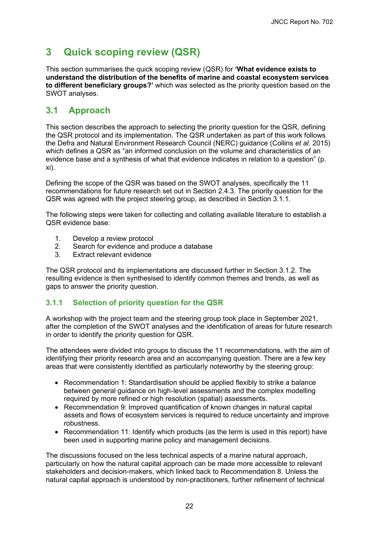# <span id="page-27-0"></span>**3 Quick scoping review (QSR)**

This section summarises the quick scoping review (QSR) for **'What evidence exists to understand the distribution of the benefits of marine and coastal ecosystem services to different beneficiary groups?'** which was selected as the priority question based on the SWOT analyses.

## <span id="page-27-1"></span>**3.1 Approach**

This section describes the approach to selecting the priority question for the QSR, defining the QSR protocol and its implementation. The QSR undertaken as part of this work follows the Defra and Natural Environment Research Council (NERC) guidance (Collins *et al.* 2015) which defines a QSR as "an informed conclusion on the volume and characteristics of an evidence base and a synthesis of what that evidence indicates in relation to a question" (p. xi).

Defining the scope of the QSR was based on the SWOT analyses, specifically the 11 recommendations for future research set out in Section [2.4.3.](#page-24-0) The priority question for the QSR was agreed with the project steering group, as described in Section [3.1.1.](#page-27-2)

The following steps were taken for collecting and collating available literature to establish a QSR evidence base:

- 1. Develop a review protocol
- 2. Search for evidence and produce a database<br>3. Extract relevant evidence
- Extract relevant evidence

The QSR protocol and its implementations are discussed further in Section [3.1.2.](#page-28-0) The resulting evidence is then synthesised to identify common themes and trends, as well as gaps to answer the priority question.

#### <span id="page-27-2"></span>**3.1.1 Selection of priority question for the QSR**

A workshop with the project team and the steering group took place in September 2021, after the completion of the SWOT analyses and the identification of areas for future research in order to identify the priority question for QSR.

The attendees were divided into groups to discuss the 11 recommendations, with the aim of identifying their priority research area and an accompanying question. There are a few key areas that were consistently identified as particularly noteworthy by the steering group:

- Recommendation 1: Standardisation should be applied flexibly to strike a balance between general guidance on high-level assessments and the complex modelling required by more refined or high resolution (spatial) assessments.
- Recommendation 9: Improved quantification of known changes in natural capital assets and flows of ecosystem services is required to reduce uncertainty and improve robustness.
- Recommendation 11: Identify which products (as the term is used in this report) have been used in supporting marine policy and management decisions.

The discussions focused on the less technical aspects of a marine natural approach, particularly on how the natural capital approach can be made more accessible to relevant stakeholders and decision-makers, which linked back to Recommendation 8. Unless the natural capital approach is understood by non-practitioners, further refinement of technical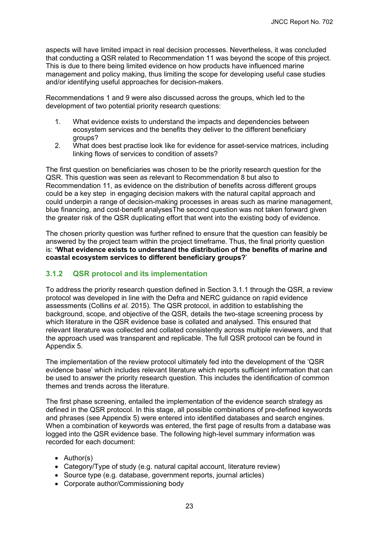aspects will have limited impact in real decision processes. Nevertheless, it was concluded that conducting a QSR related to Recommendation 11 was beyond the scope of this project. This is due to there being limited evidence on how products have influenced marine management and policy making, thus limiting the scope for developing useful case studies and/or identifying useful approaches for decision-makers.

Recommendations 1 and 9 were also discussed across the groups, which led to the development of two potential priority research questions:

- 1. What evidence exists to understand the impacts and dependencies between ecosystem services and the benefits they deliver to the different beneficiary groups?
- 2. What does best practise look like for evidence for asset-service matrices, including linking flows of services to condition of assets?

The first question on beneficiaries was chosen to be the priority research question for the QSR. This question was seen as relevant to Recommendation 8 but also to Recommendation 11, as evidence on the distribution of benefits across different groups could be a key step in engaging decision makers with the natural capital approach and could underpin a range of decision-making processes in areas such as marine management, blue financing, and cost-benefit analysesThe second question was not taken forward given the greater risk of the QSR duplicating effort that went into the existing body of evidence.

The chosen priority question was further refined to ensure that the question can feasibly be answered by the project team within the project timeframe. Thus, the final priority question is: **'What evidence exists to understand the distribution of the benefits of marine and coastal ecosystem services to different beneficiary groups?**'

#### <span id="page-28-0"></span>**3.1.2 QSR protocol and its implementation**

To address the priority research question defined in Section [3.1.1](#page-27-2) through the QSR, a review protocol was developed in line with the Defra and NERC guidance on rapid evidence assessments (Collins *et al.* 2015). The QSR protocol, in addition to establishing the background, scope, and objective of the QSR, details the two-stage screening process by which literature in the QSR evidence base is collated and analysed. This ensured that relevant literature was collected and collated consistently across multiple reviewers, and that the approach used was transparent and replicable. The full QSR protocol can be found in Appendix 5.

The implementation of the review protocol ultimately fed into the development of the 'QSR evidence base' which includes relevant literature which reports sufficient information that can be used to answer the priority research question. This includes the identification of common themes and trends across the literature.

The first phase screening, entailed the implementation of the evidence search strategy as defined in the QSR protocol. In this stage, all possible combinations of pre-defined keywords and phrases (see Appendix 5) were entered into identified databases and search engines. When a combination of keywords was entered, the first page of results from a database was logged into the QSR evidence base. The following high-level summary information was recorded for each document:

- Author(s)
- Category/Type of study (e.g. natural capital account, literature review)
- Source type (e.g. database, government reports, journal articles)
- Corporate author/Commissioning body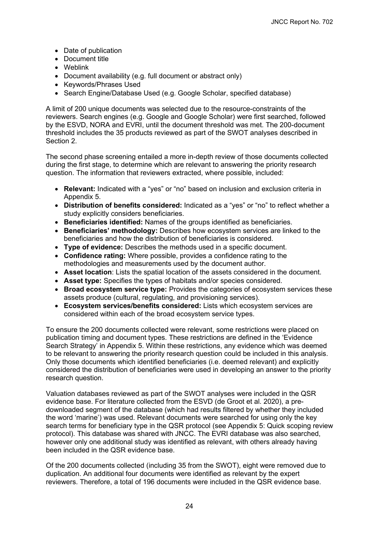- Date of publication
- Document title
- Weblink
- Document availability (e.g. full document or abstract only)
- Keywords/Phrases Used
- Search Engine/Database Used (e.g. Google Scholar, specified database)

A limit of 200 unique documents was selected due to the resource-constraints of the reviewers. Search engines (e.g. Google and Google Scholar) were first searched, followed by the ESVD, NORA and EVRI, until the document threshold was met. The 200-document threshold includes the 35 products reviewed as part of the SWOT analyses described in Section [2.](#page-8-0)

The second phase screening entailed a more in-depth review of those documents collected during the first stage, to determine which are relevant to answering the priority research question. The information that reviewers extracted, where possible, included:

- **Relevant:** Indicated with a "yes" or "no" based on inclusion and exclusion criteria in Appendix 5.
- **Distribution of benefits considered:** Indicated as a "yes" or "no" to reflect whether a study explicitly considers beneficiaries.
- **Beneficiaries identified:** Names of the groups identified as beneficiaries.
- **Beneficiaries' methodology:** Describes how ecosystem services are linked to the beneficiaries and how the distribution of beneficiaries is considered.
- **Type of evidence:** Describes the methods used in a specific document.
- **Confidence rating:** Where possible, provides a confidence rating to the methodologies and measurements used by the document author.
- **Asset location**: Lists the spatial location of the assets considered in the document.
- **Asset type:** Specifies the types of habitats and/or species considered.
- **Broad ecosystem service type:** Provides the categories of ecosystem services these assets produce (cultural, regulating, and provisioning services).
- **Ecosystem services/benefits considered:** Lists which ecosystem services are considered within each of the broad ecosystem service types.

To ensure the 200 documents collected were relevant, some restrictions were placed on publication timing and document types. These restrictions are defined in the 'Evidence Search Strategy' in Appendix 5. Within these restrictions, any evidence which was deemed to be relevant to answering the priority research question could be included in this analysis. Only those documents which identified beneficiaries (i.e. deemed relevant) and explicitly considered the distribution of beneficiaries were used in developing an answer to the priority research question.

Valuation databases reviewed as part of the SWOT analyses were included in the QSR evidence base. For literature collected from the ESVD (de Groot et al. 2020), a predownloaded segment of the database (which had results filtered by whether they included the word 'marine') was used. Relevant documents were searched for using only the key search terms for beneficiary type in the QSR protocol (see [Appendix 5: Quick scoping review](#page-66-0)  [protocol\)](#page-66-0). This database was shared with JNCC. The EVRI database was also searched, however only one additional study was identified as relevant, with others already having been included in the QSR evidence base.

Of the 200 documents collected (including 35 from the SWOT), eight were removed due to duplication. An additional four documents were identified as relevant by the expert reviewers. Therefore, a total of 196 documents were included in the QSR evidence base.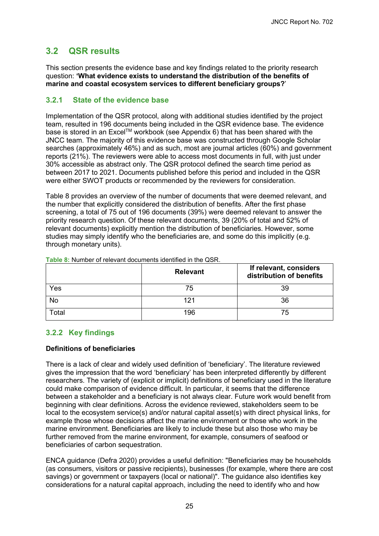## <span id="page-30-0"></span>**3.2 QSR results**

This section presents the evidence base and key findings related to the priority research question: **'What evidence exists to understand the distribution of the benefits of marine and coastal ecosystem services to different beneficiary groups?**'

#### <span id="page-30-1"></span>**3.2.1 State of the evidence base**

Implementation of the QSR protocol, along with additional studies identified by the project team, resulted in 196 documents being included in the QSR evidence base. The evidence base is stored in an Excel™ workbook (see Appendix 6) that has been shared with the JNCC team. The majority of this evidence base was constructed through Google Scholar searches (approximately 46%) and as such, most are journal articles (60%) and government reports (21%). The reviewers were able to access most documents in full, with just under 30% accessible as abstract only. The QSR protocol defined the search time period as between 2017 to 2021. Documents published before this period and included in the QSR were either SWOT products or recommended by the reviewers for consideration.

[Table 8](#page-30-3) provides an overview of the number of documents that were deemed relevant, and the number that explicitly considered the distribution of benefits. After the first phase screening, a total of 75 out of 196 documents (39%) were deemed relevant to answer the priority research question. Of these relevant documents, 39 (20% of total and 52% of relevant documents) explicitly mention the distribution of beneficiaries. However, some studies may simply identify who the beneficiaries are, and some do this implicitly (e.g. through monetary units).

|       | <b>Relevant</b> | If relevant, considers<br>distribution of benefits |
|-------|-----------------|----------------------------------------------------|
| Yes   | 75              | 39                                                 |
| No    | 121             | 36                                                 |
| Total | 196             | 75                                                 |

<span id="page-30-3"></span>**Table 8:** Number of relevant documents identified in the QSR.

#### <span id="page-30-2"></span>**3.2.2 Key findings**

#### **Definitions of beneficiaries**

There is a lack of clear and widely used definition of 'beneficiary'. The literature reviewed gives the impression that the word 'beneficiary' has been interpreted differently by different researchers. The variety of (explicit or implicit) definitions of beneficiary used in the literature could make comparison of evidence difficult. In particular, it seems that the difference between a stakeholder and a beneficiary is not always clear. Future work would benefit from beginning with clear definitions. Across the evidence reviewed, stakeholders seem to be local to the ecosystem service(s) and/or natural capital asset(s) with direct physical links, for example those whose decisions affect the marine environment or those who work in the marine environment. Beneficiaries are likely to include these but also those who may be further removed from the marine environment, for example, consumers of seafood or beneficiaries of carbon sequestration.

ENCA guidance (Defra 2020) provides a useful definition: "Beneficiaries may be households (as consumers, visitors or passive recipients), businesses (for example, where there are cost savings) or government or taxpayers (local or national)". The guidance also identifies key considerations for a natural capital approach, including the need to identify who and how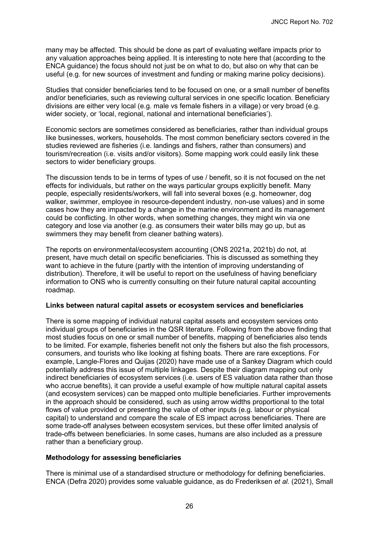many may be affected. This should be done as part of evaluating welfare impacts prior to any valuation approaches being applied. It is interesting to note here that (according to the ENCA guidance) the focus should not just be on what to do, but also on why that can be useful (e.g. for new sources of investment and funding or making marine policy decisions).

Studies that consider beneficiaries tend to be focused on one, or a small number of benefits and/or beneficiaries, such as reviewing cultural services in one specific location. Beneficiary divisions are either very local (e.g. male vs female fishers in a village) or very broad (e.g. wider society, or 'local, regional, national and international beneficiaries').

Economic sectors are sometimes considered as beneficiaries, rather than individual groups like businesses, workers, households. The most common beneficiary sectors covered in the studies reviewed are fisheries (i.e. landings and fishers, rather than consumers) and tourism/recreation (i.e. visits and/or visitors). Some mapping work could easily link these sectors to wider beneficiary groups.

The discussion tends to be in terms of types of use / benefit, so it is not focused on the net effects for individuals, but rather on the ways particular groups explicitly benefit. Many people, especially residents/workers, will fall into several boxes (e.g. homeowner, dog walker, swimmer, employee in resource-dependent industry, non-use values) and in some cases how they are impacted by a change in the marine environment and its management could be conflicting. In other words, when something changes, they might win via one category and lose via another (e.g. as consumers their water bills may go up, but as swimmers they may benefit from cleaner bathing waters).

The reports on environmental/ecosystem accounting (ONS 2021a, 2021b) do not, at present, have much detail on specific beneficiaries. This is discussed as something they want to achieve in the future (partly with the intention of improving understanding of distribution). Therefore, it will be useful to report on the usefulness of having beneficiary information to ONS who is currently consulting on their future natural capital accounting roadmap.

#### **Links between natural capital assets or ecosystem services and beneficiaries**

There is some mapping of individual natural capital assets and ecosystem services onto individual groups of beneficiaries in the QSR literature. Following from the above finding that most studies focus on one or small number of benefits, mapping of beneficiaries also tends to be limited. For example, fisheries benefit not only the fishers but also the fish processors, consumers, and tourists who like looking at fishing boats. There are rare exceptions. For example, Langle-Flores and Quijas (2020) have made use of a Sankey Diagram which could potentially address this issue of multiple linkages. Despite their diagram mapping out only indirect beneficiaries of ecosystem services (i.e. users of ES valuation data rather than those who accrue benefits), it can provide a useful example of how multiple natural capital assets (and ecosystem services) can be mapped onto multiple beneficiaries. Further improvements in the approach should be considered, such as using arrow widths proportional to the total flows of value provided or presenting the value of other inputs (e.g. labour or physical capital) to understand and compare the scale of ES impact across beneficiaries. There are some trade-off analyses between ecosystem services, but these offer limited analysis of trade-offs between beneficiaries. In some cases, humans are also included as a pressure rather than a beneficiary group.

#### **Methodology for assessing beneficiaries**

There is minimal use of a standardised structure or methodology for defining beneficiaries. ENCA (Defra 2020) provides some valuable guidance, as do Frederiksen *et al.* (2021), Small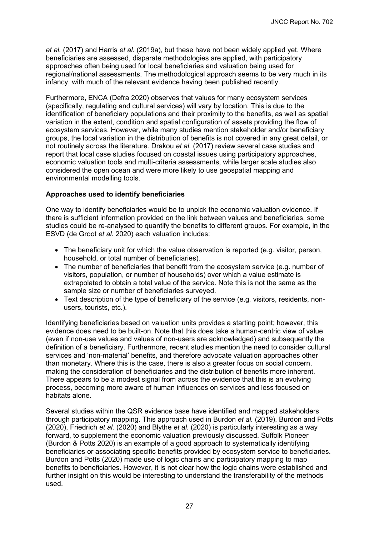*et al.* (2017) and Harris *et al*. (2019a), but these have not been widely applied yet. Where beneficiaries are assessed, disparate methodologies are applied, with participatory approaches often being used for local beneficiaries and valuation being used for regional/national assessments. The methodological approach seems to be very much in its infancy, with much of the relevant evidence having been published recently.

Furthermore, ENCA (Defra 2020) observes that values for many ecosystem services (specifically, regulating and cultural services) will vary by location. This is due to the identification of beneficiary populations and their proximity to the benefits, as well as spatial variation in the extent, condition and spatial configuration of assets providing the flow of ecosystem services. However, while many studies mention stakeholder and/or beneficiary groups, the local variation in the distribution of benefits is not covered in any great detail, or not routinely across the literature. Drakou *et al.* (2017) review several case studies and report that local case studies focused on coastal issues using participatory approaches, economic valuation tools and multi-criteria assessments, while larger scale studies also considered the open ocean and were more likely to use geospatial mapping and environmental modelling tools.

#### **Approaches used to identify beneficiaries**

One way to identify beneficiaries would be to unpick the economic valuation evidence. If there is sufficient information provided on the link between values and beneficiaries, some studies could be re-analysed to quantify the benefits to different groups. For example, in the ESVD (de Groot *et al.* 2020) each valuation includes:

- The beneficiary unit for which the value observation is reported (e.g. visitor, person, household, or total number of beneficiaries).
- The number of beneficiaries that benefit from the ecosystem service (e.g. number of visitors, population, or number of households) over which a value estimate is extrapolated to obtain a total value of the service. Note this is not the same as the sample size or number of beneficiaries surveyed.
- Text description of the type of beneficiary of the service (e.g. visitors, residents, nonusers, tourists, etc.).

Identifying beneficiaries based on valuation units provides a starting point; however, this evidence does need to be built-on. Note that this does take a human-centric view of value (even if non-use values and values of non-users are acknowledged) and subsequently the definition of a beneficiary. Furthermore, recent studies mention the need to consider cultural services and 'non-material' benefits, and therefore advocate valuation approaches other than monetary. Where this is the case, there is also a greater focus on social concern, making the consideration of beneficiaries and the distribution of benefits more inherent. There appears to be a modest signal from across the evidence that this is an evolving process, becoming more aware of human influences on services and less focused on habitats alone.

Several studies within the QSR evidence base have identified and mapped stakeholders through participatory mapping. This approach used in Burdon *et al.* (2019), Burdon and Potts (2020), Friedrich *et al.* (2020) and Blythe *et al*. (2020) is particularly interesting as a way forward, to supplement the economic valuation previously discussed. Suffolk Pioneer (Burdon & Potts 2020) is an example of a good approach to systematically identifying beneficiaries or associating specific benefits provided by ecosystem service to beneficiaries. Burdon and Potts (2020) made use of logic chains and participatory mapping to map benefits to beneficiaries. However, it is not clear how the logic chains were established and further insight on this would be interesting to understand the transferability of the methods used.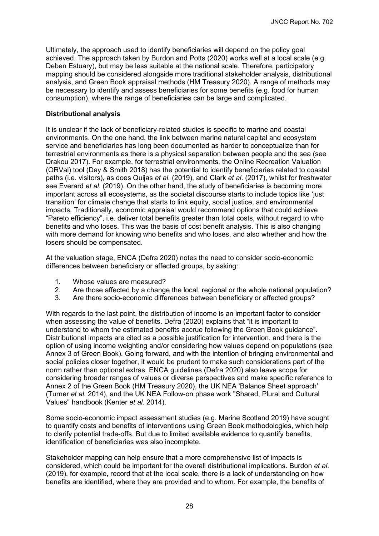Ultimately, the approach used to identify beneficiaries will depend on the policy goal achieved. The approach taken by Burdon and Potts (2020) works well at a local scale (e.g. Deben Estuary), but may be less suitable at the national scale. Therefore, participatory mapping should be considered alongside more traditional stakeholder analysis, distributional analysis, and Green Book appraisal methods (HM Treasury 2020). A range of methods may be necessary to identify and assess beneficiaries for some benefits (e.g. food for human consumption), where the range of beneficiaries can be large and complicated.

#### **Distributional analysis**

It is unclear if the lack of beneficiary-related studies is specific to marine and coastal environments. On the one hand, the link between marine natural capital and ecosystem service and beneficiaries has long been documented as harder to conceptualize than for terrestrial environments as there is a physical separation between people and the sea (see Drakou 2017). For example, for terrestrial environments, the Online Recreation Valuation (ORVal) tool (Day & Smith 2018) has the potential to identify beneficiaries related to coastal paths (i.e. visitors), as does Quijas *et al*. (2019), and Clark *et al*. (2017), whilst for freshwater see Everard *et al*. (2019). On the other hand, the study of beneficiaries is becoming more important across all ecosystems, as the societal discourse starts to include topics like 'just transition' for climate change that starts to link equity, social justice, and environmental impacts. Traditionally, economic appraisal would recommend options that could achieve "Pareto efficiency", i.e. deliver total benefits greater than total costs, without regard to who benefits and who loses. This was the basis of cost benefit analysis. This is also changing with more demand for knowing who benefits and who loses, and also whether and how the losers should be compensated.

At the valuation stage, ENCA (Defra 2020) notes the need to consider socio-economic differences between beneficiary or affected groups, by asking:

- 1. Whose values are measured?<br>2. Are those affected by a change
- 2. Are those affected by a change the local, regional or the whole national population?<br>3. Are there socio-economic differences between beneficiary or affected groups?
- 3. Are there socio-economic differences between beneficiary or affected groups?

With regards to the last point, the distribution of income is an important factor to consider when assessing the value of benefits. Defra (2020) explains that "it is important to understand to whom the estimated benefits accrue following the Green Book guidance". Distributional impacts are cited as a possible justification for intervention, and there is the option of using income weighting and/or considering how values depend on populations (see Annex 3 of Green Book). Going forward, and with the intention of bringing environmental and social policies closer together, it would be prudent to make such considerations part of the norm rather than optional extras. ENCA guidelines (Defra 2020) also leave scope for considering broader ranges of values or diverse perspectives and make specific reference to Annex 2 of the Green Book (HM Treasury 2020), the UK NEA 'Balance Sheet approach' (Turner *et al.* 2014), and the UK NEA Follow-on phase work "Shared, Plural and Cultural Values" handbook (Kenter *et al.* 2014).

Some socio-economic impact assessment studies (e.g. Marine Scotland 2019) have sought to quantify costs and benefits of interventions using Green Book methodologies, which help to clarify potential trade-offs. But due to limited available evidence to quantify benefits, identification of beneficiaries was also incomplete.

Stakeholder mapping can help ensure that a more comprehensive list of impacts is considered, which could be important for the overall distributional implications. Burdon *et al*. (2019), for example, record that at the local scale, there is a lack of understanding on how benefits are identified, where they are provided and to whom. For example, the benefits of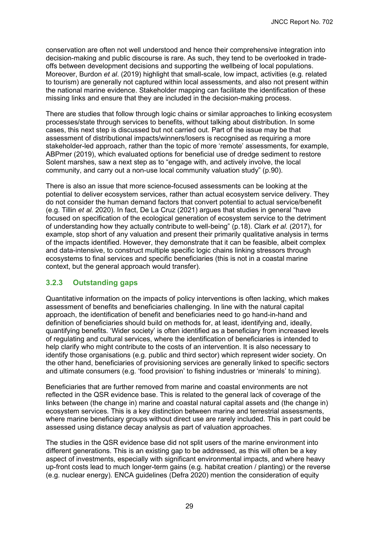conservation are often not well understood and hence their comprehensive integration into decision-making and public discourse is rare. As such, they tend to be overlooked in tradeoffs between development decisions and supporting the wellbeing of local populations. Moreover, Burdon *et al*. (2019) highlight that small-scale, low impact, activities (e.g. related to tourism) are generally not captured within local assessments, and also not present within the national marine evidence. Stakeholder mapping can facilitate the identification of these missing links and ensure that they are included in the decision-making process.

There are studies that follow through logic chains or similar approaches to linking ecosystem processes/state through services to benefits, without talking about distribution. In some cases, this next step is discussed but not carried out. Part of the issue may be that assessment of distributional impacts/winners/losers is recognised as requiring a more stakeholder-led approach, rather than the topic of more 'remote' assessments, for example, ABPmer (2019), which evaluated options for beneficial use of dredge sediment to restore Solent marshes, saw a next step as to "engage with, and actively involve, the local community, and carry out a non-use local community valuation study" (p.90).

There is also an issue that more science-focused assessments can be looking at the potential to deliver ecosystem services, rather than actual ecosystem service delivery. They do not consider the human demand factors that convert potential to actual service/benefit (e.g. Tillin *et al.* 2020). In fact, De La Cruz (2021) argues that studies in general "have focused on specification of the ecological generation of ecosystem service to the detriment of understanding how they actually contribute to well-being" (p.18). Clark *et al.* (2017), for example, stop short of any valuation and present their primarily qualitative analysis in terms of the impacts identified. However, they demonstrate that it can be feasible, albeit complex and data-intensive, to construct multiple specific logic chains linking stressors through ecosystems to final services and specific beneficiaries (this is not in a coastal marine context, but the general approach would transfer).

#### <span id="page-34-0"></span>**3.2.3 Outstanding gaps**

Quantitative information on the impacts of policy interventions is often lacking, which makes assessment of benefits and beneficiaries challenging. In line with the natural capital approach, the identification of benefit and beneficiaries need to go hand-in-hand and definition of beneficiaries should build on methods for, at least, identifying and, ideally, quantifying benefits. 'Wider society' is often identified as a beneficiary from increased levels of regulating and cultural services, where the identification of beneficiaries is intended to help clarify who might contribute to the costs of an intervention. It is also necessary to identify those organisations (e.g. public and third sector) which represent wider society. On the other hand, beneficiaries of provisioning services are generally linked to specific sectors and ultimate consumers (e.g. 'food provision' to fishing industries or 'minerals' to mining).

Beneficiaries that are further removed from marine and coastal environments are not reflected in the QSR evidence base. This is related to the general lack of coverage of the links between (the change in) marine and coastal natural capital assets and (the change in) ecosystem services. This is a key distinction between marine and terrestrial assessments, where marine beneficiary groups without direct use are rarely included. This in part could be assessed using distance decay analysis as part of valuation approaches.

The studies in the QSR evidence base did not split users of the marine environment into different generations. This is an existing gap to be addressed, as this will often be a key aspect of investments, especially with significant environmental impacts, and where heavy up-front costs lead to much longer-term gains (e.g. habitat creation / planting) or the reverse (e.g. nuclear energy). ENCA guidelines (Defra 2020) mention the consideration of equity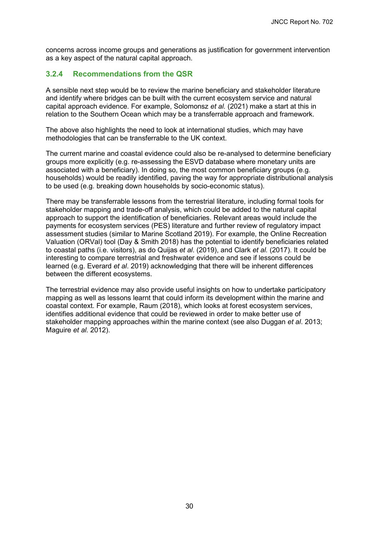concerns across income groups and generations as justification for government intervention as a key aspect of the natural capital approach.

#### <span id="page-35-0"></span>**3.2.4 Recommendations from the QSR**

A sensible next step would be to review the marine beneficiary and stakeholder literature and identify where bridges can be built with the current ecosystem service and natural capital approach evidence. For example, Solomonsz *et al.* (2021) make a start at this in relation to the Southern Ocean which may be a transferrable approach and framework.

The above also highlights the need to look at international studies, which may have methodologies that can be transferrable to the UK context.

The current marine and coastal evidence could also be re-analysed to determine beneficiary groups more explicitly (e.g. re-assessing the ESVD database where monetary units are associated with a beneficiary). In doing so, the most common beneficiary groups (e.g. households) would be readily identified, paving the way for appropriate distributional analysis to be used (e.g. breaking down households by socio-economic status).

There may be transferrable lessons from the terrestrial literature, including formal tools for stakeholder mapping and trade-off analysis, which could be added to the natural capital approach to support the identification of beneficiaries. Relevant areas would include the payments for ecosystem services (PES) literature and further review of regulatory impact assessment studies (similar to Marine Scotland 2019). For example, the Online Recreation Valuation (ORVal) tool (Day & Smith 2018) has the potential to identify beneficiaries related to coastal paths (i.e. visitors), as do Quijas *et al*. (2019), and Clark *et al.* (2017). It could be interesting to compare terrestrial and freshwater evidence and see if lessons could be learned (e.g. Everard *et al*. 2019) acknowledging that there will be inherent differences between the different ecosystems.

The terrestrial evidence may also provide useful insights on how to undertake participatory mapping as well as lessons learnt that could inform its development within the marine and coastal context. For example, Raum (2018), which looks at forest ecosystem services, identifies additional evidence that could be reviewed in order to make better use of stakeholder mapping approaches within the marine context (see also Duggan *et al*. 2013; Maguire *et al*. 2012).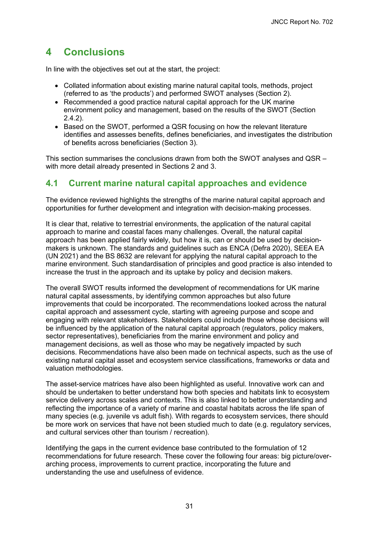# <span id="page-36-0"></span>**4 Conclusions**

In line with the objectives set out at the start, the project:

- Collated information about existing marine natural capital tools, methods, project (referred to as 'the products') and performed SWOT analyses (Section 2).
- Recommended a good practice natural capital approach for the UK marine environment policy and management, based on the results of the SWOT (Section [2.4.2\)](#page-21-0).
- Based on the SWOT, performed a QSR focusing on how the relevant literature identifies and assesses benefits, defines beneficiaries, and investigates the distribution of benefits across beneficiaries (Section [3\)](#page-27-0).

This section summarises the conclusions drawn from both the SWOT analyses and QSR – with more detail already presented in Sections [2](#page-8-0) and [3.](#page-27-0)

## <span id="page-36-1"></span>**4.1 Current marine natural capital approaches and evidence**

The evidence reviewed highlights the strengths of the marine natural capital approach and opportunities for further development and integration with decision-making processes.

It is clear that, relative to terrestrial environments, the application of the natural capital approach to marine and coastal faces many challenges. Overall, the natural capital approach has been applied fairly widely, but how it is, can or should be used by decisionmakers is unknown. The standards and guidelines such as ENCA (Defra 2020), SEEA EA (UN 2021) and the BS 8632 are relevant for applying the natural capital approach to the marine environment. Such standardisation of principles and good practice is also intended to increase the trust in the approach and its uptake by policy and decision makers.

The overall SWOT results informed the development of recommendations for UK marine natural capital assessments, by identifying common approaches but also future improvements that could be incorporated. The recommendations looked across the natural capital approach and assessment cycle, starting with agreeing purpose and scope and engaging with relevant stakeholders. Stakeholders could include those whose decisions will be influenced by the application of the natural capital approach (regulators, policy makers, sector representatives), beneficiaries from the marine environment and policy and management decisions, as well as those who may be negatively impacted by such decisions. Recommendations have also been made on technical aspects, such as the use of existing natural capital asset and ecosystem service classifications, frameworks or data and valuation methodologies.

The asset-service matrices have also been highlighted as useful. Innovative work can and should be undertaken to better understand how both species and habitats link to ecosystem service delivery across scales and contexts. This is also linked to better understanding and reflecting the importance of a variety of marine and coastal habitats across the life span of many species (e.g. juvenile vs adult fish). With regards to ecosystem services, there should be more work on services that have not been studied much to date (e.g. regulatory services, and cultural services other than tourism / recreation).

Identifying the gaps in the current evidence base contributed to the formulation of 12 recommendations for future research. These cover the following four areas: big picture/overarching process, improvements to current practice, incorporating the future and understanding the use and usefulness of evidence.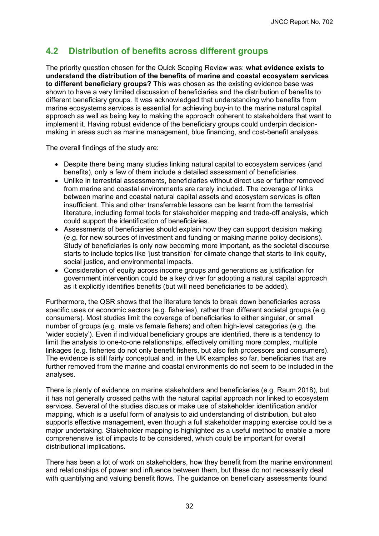## <span id="page-37-0"></span>**4.2 Distribution of benefits across different groups**

The priority question chosen for the Quick Scoping Review was: **what evidence exists to understand the distribution of the benefits of marine and coastal ecosystem services to different beneficiary groups?** This was chosen as the existing evidence base was shown to have a very limited discussion of beneficiaries and the distribution of benefits to different beneficiary groups. It was acknowledged that understanding who benefits from marine ecosystems services is essential for achieving buy-in to the marine natural capital approach as well as being key to making the approach coherent to stakeholders that want to implement it. Having robust evidence of the beneficiary groups could underpin decisionmaking in areas such as marine management, blue financing, and cost-benefit analyses.

The overall findings of the study are:

- Despite there being many studies linking natural capital to ecosystem services (and benefits), only a few of them include a detailed assessment of beneficiaries.
- Unlike in terrestrial assessments, beneficiaries without direct use or further removed from marine and coastal environments are rarely included. The coverage of links between marine and coastal natural capital assets and ecosystem services is often insufficient. This and other transferrable lessons can be learnt from the terrestrial literature, including formal tools for stakeholder mapping and trade-off analysis, which could support the identification of beneficiaries.
- Assessments of beneficiaries should explain how they can support decision making (e.g. for new sources of investment and funding or making marine policy decisions). Study of beneficiaries is only now becoming more important, as the societal discourse starts to include topics like 'just transition' for climate change that starts to link equity, social justice, and environmental impacts.
- Consideration of equity across income groups and generations as justification for government intervention could be a key driver for adopting a natural capital approach as it explicitly identifies benefits (but will need beneficiaries to be added).

Furthermore, the QSR shows that the literature tends to break down beneficiaries across specific uses or economic sectors (e.g. fisheries), rather than different societal groups (e.g. consumers). Most studies limit the coverage of beneficiaries to either singular, or small number of groups (e.g. male vs female fishers) and often high-level categories (e.g. the 'wider society'). Even if individual beneficiary groups are identified, there is a tendency to limit the analysis to one-to-one relationships, effectively omitting more complex, multiple linkages (e.g. fisheries do not only benefit fishers, but also fish processors and consumers). The evidence is still fairly conceptual and, in the UK examples so far, beneficiaries that are further removed from the marine and coastal environments do not seem to be included in the analyses.

There is plenty of evidence on marine stakeholders and beneficiaries (e.g. Raum 2018), but it has not generally crossed paths with the natural capital approach nor linked to ecosystem services. Several of the studies discuss or make use of stakeholder identification and/or mapping, which is a useful form of analysis to aid understanding of distribution, but also supports effective management, even though a full stakeholder mapping exercise could be a major undertaking. Stakeholder mapping is highlighted as a useful method to enable a more comprehensive list of impacts to be considered, which could be important for overall distributional implications.

There has been a lot of work on stakeholders, how they benefit from the marine environment and relationships of power and influence between them, but these do not necessarily deal with quantifying and valuing benefit flows. The quidance on beneficiary assessments found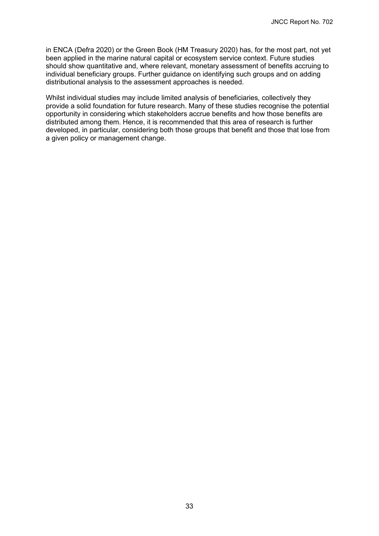in ENCA (Defra 2020) or the Green Book (HM Treasury 2020) has, for the most part, not yet been applied in the marine natural capital or ecosystem service context. Future studies should show quantitative and, where relevant, monetary assessment of benefits accruing to individual beneficiary groups. Further guidance on identifying such groups and on adding distributional analysis to the assessment approaches is needed.

Whilst individual studies may include limited analysis of beneficiaries, collectively they provide a solid foundation for future research. Many of these studies recognise the potential opportunity in considering which stakeholders accrue benefits and how those benefits are distributed among them. Hence, it is recommended that this area of research is further developed, in particular, considering both those groups that benefit and those that lose from a given policy or management change.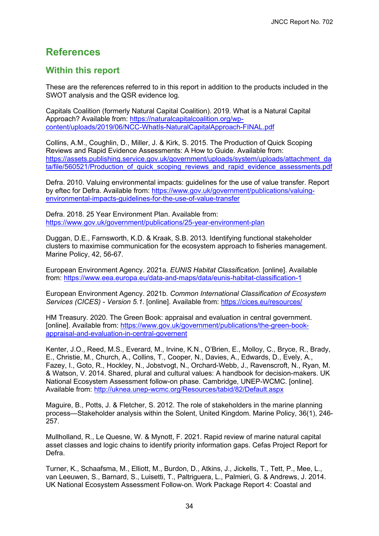# <span id="page-39-0"></span>**References**

## **Within this report**

These are the references referred to in this report in addition to the products included in the SWOT analysis and the QSR evidence log.

Capitals Coalition (formerly Natural Capital Coalition). 2019. What is a Natural Capital Approach? Available from: https://naturalcapitalcoalition.org/wp[content/uploads/2019/06/NCC-WhatIs-NaturalCapitalApproach-FINAL.pdf](https://naturalcapitalcoalition.org/wp-content/uploads/2019/06/NCC-WhatIs-NaturalCapitalApproach-FINAL.pdf)

Collins, A.M., Coughlin, D., Miller, J. & Kirk, S. 2015. The Production of Quick Scoping Reviews and Rapid Evidence Assessments: A How to Guide. Available from: https://assets.publishing.service.gov.uk/government/uploads/system/uploads/attachment\_da ta/file/560521/Production of quick scoping reviews and rapid evidence assessments.pdf

Defra. 2010. Valuing environmental impacts: guidelines for the use of value transfer. Report [by eftec for Defra. Available from: https://www.gov.uk/government/publications/valuing](https://www.gov.uk/government/publications/valuing-environmental-impacts-guidelines-for-the-use-of-value-transfer)environmental-impacts-guidelines-for-the-use-of-value-transfer

Defra. 2018. 25 Year Environment Plan. Available from: <https://www.gov.uk/government/publications/25-year-environment-plan>

Duggan, D.E., Farnsworth, K.D. & Kraak, S.B. 2013. Identifying functional stakeholder clusters to maximise communication for the ecosystem approach to fisheries management. Marine Policy, 42, 56-67.

European Environment Agency. 2021a. *EUNIS Habitat Classification*. [online]. Available from:<https://www.eea.europa.eu/data-and-maps/data/eunis-habitat-classification-1>

European Environment Agency. 2021b. *Common International Classification of Ecosystem Services (CICES) - Version 5.1*. [online]. Available from:<https://cices.eu/resources/>

HM Treasury. 2020. The Green Book: appraisal and evaluation in central government. [\[online\]. Available from: https://www.gov.uk/government/publications/the-green-book](https://www.gov.uk/government/publications/the-green-book-appraisal-and-evaluation-in-central-governent)appraisal-and-evaluation-in-central-governent

Kenter, J.O., Reed, M.S., Everard, M., Irvine, K.N., O'Brien, E., Molloy, C., Bryce, R., Brady, E., Christie, M., Church, A., Collins, T., Cooper, N., Davies, A., Edwards, D., Evely, A., Fazey, I., Goto, R., Hockley, N., Jobstvogt, N., Orchard-Webb, J., Ravenscroft, N., Ryan, M. & Watson, V. 2014. Shared, plural and cultural values: A handbook for decision-makers. UK National Ecosystem Assessment follow-on phase. Cambridge, UNEP-WCMC. [online]. Available from:<http://uknea.unep-wcmc.org/Resources/tabid/82/Default.aspx>

Maguire, B., Potts, J. & Fletcher, S. 2012. The role of stakeholders in the marine planning process—Stakeholder analysis within the Solent, United Kingdom. Marine Policy, 36(1), 246- 257.

Mullholland, R., Le Quesne, W. & Mynott, F. 2021. Rapid review of marine natural capital asset classes and logic chains to identify priority information gaps. Cefas Project Report for Defra.

Turner, K., Schaafsma, M., Elliott, M., Burdon, D., Atkins, J., Jickells, T., Tett, P., Mee, L., van Leeuwen, S., Barnard, S., Luisetti, T., Paltriguera, L., Palmieri, G. & Andrews, J. 2014. UK National Ecosystem Assessment Follow-on. Work Package Report 4: Coastal and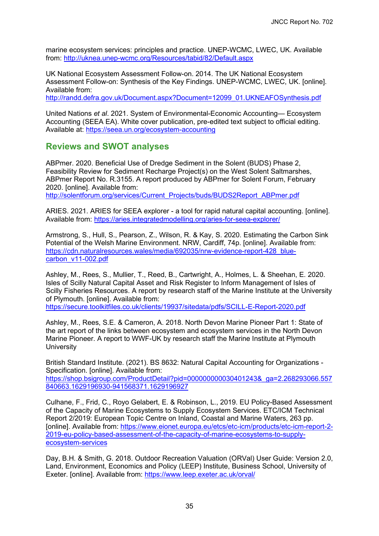marine ecosystem services: principles and practice. UNEP-WCMC, LWEC, UK. Available from:<http://uknea.unep-wcmc.org/Resources/tabid/82/Default.aspx>

UK National Ecosystem Assessment Follow-on. 2014. The UK National Ecosystem Assessment Follow-on: Synthesis of the Key Findings. UNEP-WCMC, LWEC, UK. [online]. Available from:

[http://randd.defra.gov.uk/Document.aspx?Document=12099\\_01.UKNEAFOSynthesis.pdf](http://randd.defra.gov.uk/Document.aspx?Document=12099_01.UKNEAFOSynthesis.pdf)

United Nations *et al*. 2021. System of Environmental-Economic Accounting— Ecosystem Accounting (SEEA EA). White cover publication, pre-edited text subject to official editing. Available at:<https://seea.un.org/ecosystem-accounting>

## **Reviews and SWOT analyses**

ABPmer. 2020. Beneficial Use of Dredge Sediment in the Solent (BUDS) Phase 2, Feasibility Review for Sediment Recharge Project(s) on the West Solent Saltmarshes, ABPmer Report No. R.3155. A report produced by ABPmer for Solent Forum, February 2020. [online]. Available from:

[http://solentforum.org/services/Current\\_Projects/buds/BUDS2Report\\_ABPmer.pdf](http://solentforum.org/services/Current_Projects/buds/BUDS2Report_ABPmer.pdf) 

ARIES. 2021. ARIES for SEEA explorer - a tool for rapid natural capital accounting. [online]. Available from:<https://aries.integratedmodelling.org/aries-for-seea-explorer/>

Armstrong, S., Hull, S., Pearson, Z., Wilson, R. & Kay, S. 2020. Estimating the Carbon Sink Potential of the Welsh Marine Environment. NRW, Cardiff, 74p. [online]. Available from: [https://cdn.naturalresources.wales/media/692035/nrw-evidence-report-428\\_blue](https://cdn.naturalresources.wales/media/692035/nrw-evidence-report-428_blue-carbon_v11-002.pdf)carbon\_v11-002.pdf

Ashley, M., Rees, S., Mullier, T., Reed, B., Cartwright, A., Holmes, L. & Sheehan, E. 2020. Isles of Scilly Natural Capital Asset and Risk Register to Inform Management of Isles of Scilly Fisheries Resources. A report by research staff of the Marine Institute at the University of Plymouth. [online]. Available from:

<https://secure.toolkitfiles.co.uk/clients/19937/sitedata/pdfs/SCILL-E-Report-2020.pdf>

Ashley, M., Rees, S.E. & Cameron, A. 2018. North Devon Marine Pioneer Part 1: State of the art report of the links between ecosystem and ecosystem services in the North Devon Marine Pioneer. A report to WWF-UK by research staff the Marine Institute at Plymouth **University** 

British Standard Institute. (2021). BS 8632: Natural Capital Accounting for Organizations - Specification. [online]. Available from: [https://shop.bsigroup.com/ProductDetail?pid=000000000030401243&\\_ga=2.268293066.557](https://shop.bsigroup.com/ProductDetail?pid=000000000030401243&_ga=2.268293066.557840663.1629196930-941568371.1629196927) 840663.1629196930-941568371.1629196927

Culhane, F., Frid, C., Royo Gelabert, E. & Robinson, L., 2019. EU Policy-Based Assessment of the Capacity of Marine Ecosystems to Supply Ecosystem Services. ETC/ICM Technical Report 2/2019: European Topic Centre on Inland, Coastal and Marine Waters, 263 pp. [\[online\]. Available from: https://www.eionet.europa.eu/etcs/etc-icm/products/etc-icm-report-2-](https://www.eionet.europa.eu/etcs/etc-icm/products/etc-icm-report-2-2019-eu-policy-based-assessment-of-the-capacity-of-marine-ecosystems-to-supply-ecosystem-services) 2019-eu-policy-based-assessment-of-the-capacity-of-marine-ecosystems-to-supplyecosystem-services

Day, B.H. & Smith, G. 2018. Outdoor Recreation Valuation (ORVal) User Guide: Version 2.0, Land, Environment, Economics and Policy (LEEP) Institute, Business School, University of Exeter. [online]. Available from:<https://www.leep.exeter.ac.uk/orval/>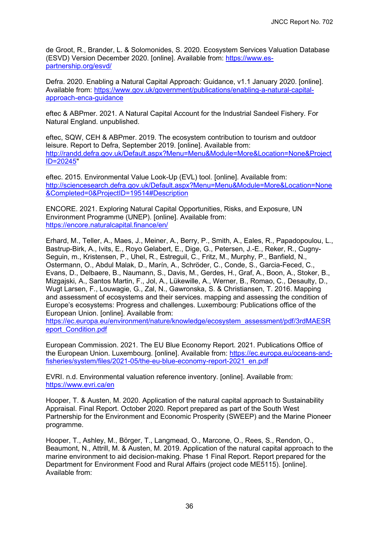de Groot, R., Brander, L. & Solomonides, S. 2020. Ecosystem Services Valuation Database [\(ESVD\) Version December 2020. \[online\]. Available from: https://www.es](https://www.es-partnership.org/esvd/)partnership.org/esvd/

Defra. 2020. Enabling a Natural Capital Approach: Guidance, v1.1 January 2020. [online]. [Available from: https://www.gov.uk/government/publications/enabling-a-natural-capital](https://www.gov.uk/government/publications/enabling-a-natural-capital-approach-enca-guidance)approach-enca-guidance

eftec & ABPmer. 2021. A Natural Capital Account for the Industrial Sandeel Fishery. For Natural England. unpublished.

eftec, SQW, CEH & ABPmer. 2019. The ecosystem contribution to tourism and outdoor leisure. Report to Defra, September 2019. [online]. Available from: [http://randd.defra.gov.uk/Default.aspx?Menu=Menu&Module=More&Location=None&Project](http://randd.defra.gov.uk/Default.aspx?Menu=Menu&Module=More&Location=None&ProjectID=20245) ID=20245"

eftec. 2015. Environmental Value Look-Up (EVL) tool. [online]. Available from: [http://sciencesearch.defra.gov.uk/Default.aspx?Menu=Menu&Module=More&Location=None](http://sciencesearch.defra.gov.uk/Default.aspx?Menu=Menu&Module=More&Location=None&Completed=0&ProjectID=19514#Description) &Completed=0&ProjectID=19514#Description

ENCORE. 2021. Exploring Natural Capital Opportunities, Risks, and Exposure, UN Environment Programme (UNEP). [online]. Available from: <https://encore.naturalcapital.finance/en/>

Erhard, M., Teller, A., Maes, J., Meiner, A., Berry, P., Smith, A., Eales, R., Papadopoulou, L., Bastrup-Birk, A., Ivits, E., Royo Gelabert, E., Dige, G., Petersen, J.-E., Reker, R., Cugny-Seguin, m., Kristensen, P., Uhel, R., Estreguil, C., Fritz, M., Murphy, P., Banfield, N., Ostermann, O., Abdul Malak, D., Marín, A., Schröder, C., Conde, S., Garcia-Feced, C., Evans, D., Delbaere, B., Naumann, S., Davis, M., Gerdes, H., Graf, A., Boon, A., Stoker, B., Mizgajski, A., Santos Martin, F., Jol, A., Lükewille, A., Werner, B., Romao, C., Desaulty, D., Wugt Larsen, F., Louwagie, G., Zal, N., Gawronska, S. & Christiansen, T. 2016. Mapping and assessment of ecosystems and their services. mapping and assessing the condition of Europe's ecosystems: Progress and challenges. Luxembourg: Publications office of the European Union. [online]. Available from:

[https://ec.europa.eu/environment/nature/knowledge/ecosystem\\_assessment/pdf/3rdMAESR](https://ec.europa.eu/environment/nature/knowledge/ecosystem_assessment/pdf/3rdMAESReport_Condition.pdf) eport\_Condition.pdf

European Commission. 2021. The EU Blue Economy Report. 2021. Publications Office of [the European Union. Luxembourg. \[online\]. Available from: https://ec.europa.eu/oceans-and](https://ec.europa.eu/oceans-and-fisheries/system/files/2021-05/the-eu-blue-economy-report-2021_en.pdf)fisheries/system/files/2021-05/the-eu-blue-economy-report-2021\_en.pdf

EVRI. n.d. Environmental valuation reference inventory. [online]. Available from: <https://www.evri.ca/en>

Hooper, T. & Austen, M. 2020. Application of the natural capital approach to Sustainability Appraisal. Final Report. October 2020. Report prepared as part of the South West Partnership for the Environment and Economic Prosperity (SWEEP) and the Marine Pioneer programme.

Hooper, T., Ashley, M., Börger, T., Langmead, O., Marcone, O., Rees, S., Rendon, O., Beaumont, N., Attrill, M. & Austen, M. 2019. Application of the natural capital approach to the marine environment to aid decision-making. Phase 1 Final Report. Report prepared for the Department for Environment Food and Rural Affairs (project code ME5115). [online]. Available from: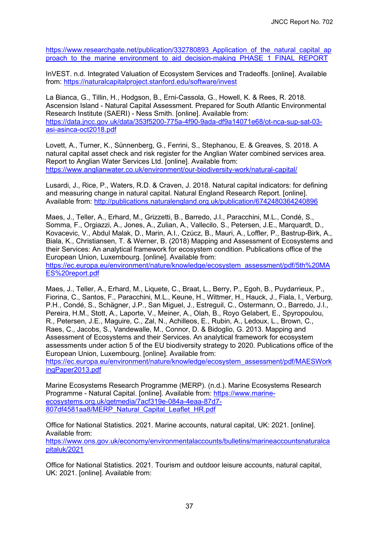[https://www.researchgate.net/publication/332780893\\_Application\\_of\\_the\\_natural\\_capital\\_ap](https://www.researchgate.net/publication/332780893_Application_of_the_natural_capital_approach_to_the_marine_environment_to_aid_decision-making_PHASE_1_FINAL_REPORT) proach to the marine environment to aid decision-making PHASE\_1\_FINAL\_REPORT

InVEST. n.d. Integrated Valuation of Ecosystem Services and Tradeoffs. [online]. Available from:<https://naturalcapitalproject.stanford.edu/software/invest>

La Bianca, G., Tillin, H., Hodgson, B., Erni-Cassola, G., Howell, K. & Rees, R. 2018. Ascension Island - Natural Capital Assessment. Prepared for South Atlantic Environmental Research Institute (SAERI) - Ness Smith. [online]. Available from: [https://data.jncc.gov.uk/data/353f5200-775a-4f90-9ada-df9a14071e68/ot-nca-sup-sat-03](https://data.jncc.gov.uk/data/353f5200-775a-4f90-9ada-df9a14071e68/ot-nca-sup-sat-03-asi-asinca-oct2018.pdf) asi-asinca-oct2018.pdf

Lovett, A., Turner, K., Sünnenberg, G., Ferrini, S., Stephanou, E. & Greaves, S. 2018. A natural capital asset check and risk register for the Anglian Water combined services area. Report to Anglian Water Services Ltd. [online]. Available from: <https://www.anglianwater.co.uk/environment/our-biodiversity-work/natural-capital/>

Lusardi, J., Rice, P., Waters, R.D. & Craven, J. 2018. Natural capital indicators: for defining and measuring change in natural capital. Natural England Research Report. [online]. Available from:<http://publications.naturalengland.org.uk/publication/6742480364240896>

Maes, J., Teller, A., Erhard, M., Grizzetti, B., Barredo, J.I., Paracchini, M.L., Condé, S., Somma, F., Orgiazzi, A., Jones, A., Zulian, A., Vallecilo, S., Petersen, J.E., Marquardt, D., Kovacevic, V., Abdul Malak, D., Marin, A.I., Czúcz, B., Mauri, A., Loffler, P., Bastrup-Birk, A., Biala, K., Christiansen, T. & Werner, B. (2018) Mapping and Assessment of Ecosystems and their Services: An analytical framework for ecosystem condition. Publications office of the European Union, Luxembourg. [online]. Available from: [https://ec.europa.eu/environment/nature/knowledge/ecosystem\\_assessment/pdf/5th%20MA](https://ec.europa.eu/environment/nature/knowledge/ecosystem_assessment/pdf/5th%20MAES%20report.pdf)

ES%20report.pdf

Maes, J., Teller, A., Erhard, M., Liquete, C., Braat, L., Berry, P., Egoh, B., Puydarrieux, P., Fiorina, C., Santos, F., Paracchini, M.L., Keune, H., Wittmer, H., Hauck, J., Fiala, I., Verburg, P.H., Condé, S., Schägner, J.P., San Miguel, J., Estreguil, C., Ostermann, O., Barredo, J.I., Pereira, H.M., Stott, A., Laporte, V., Meiner, A., Olah, B., Royo Gelabert, E., Spyropoulou, R., Petersen, J.E., Maguire, C., Zal, N., Achilleos, E., Rubin, A., Ledoux, L., Brown, C., Raes, C., Jacobs, S., Vandewalle, M., Connor, D. & Bidoglio, G. 2013. Mapping and Assessment of Ecosystems and their Services. An analytical framework for ecosystem assessments under action 5 of the EU biodiversity strategy to 2020. Publications office of the European Union, Luxembourg. [online]. Available from:

[https://ec.europa.eu/environment/nature/knowledge/ecosystem\\_assessment/pdf/MAESWork](https://ec.europa.eu/environment/nature/knowledge/ecosystem_assessment/pdf/MAESWorkingPaper2013.pdf) ingPaper2013.pdf

Marine Ecosystems Research Programme (MERP). (n.d.). Marine Ecosystems Research [Programme - Natural Capital. \[online\]. Available from: https://www.marine](https://www.marine-ecosystems.org.uk/getmedia/7acf319e-084a-4eaa-87d7-807df4581aa8/MERP_Natural_Capital_Leaflet_HR.pdf)ecosystems.org.uk/getmedia/7acf319e-084a-4eaa-87d7- 807df4581aa8/MERP\_Natural\_Capital\_Leaflet\_HR.pdf

Office for National Statistics. 2021. Marine accounts, natural capital, UK: 2021. [online]. Available from: [https://www.ons.gov.uk/economy/environmentalaccounts/bulletins/marineaccountsnaturalca](https://www.ons.gov.uk/economy/environmentalaccounts/bulletins/marineaccountsnaturalcapitaluk/2021) pitaluk/2021

Office for National Statistics. 2021. Tourism and outdoor leisure accounts, natural capital, UK: 2021. [online]. Available from: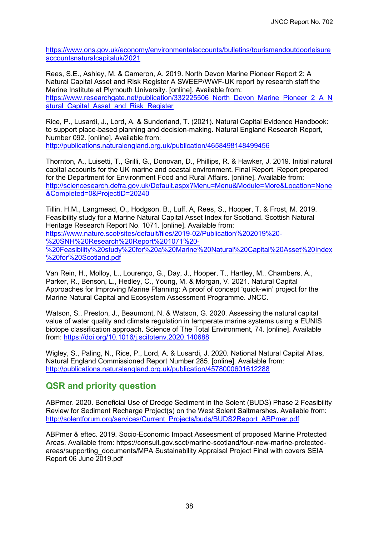[https://www.ons.gov.uk/economy/environmentalaccounts/bulletins/tourismandoutdoorleisure](https://www.ons.gov.uk/economy/environmentalaccounts/bulletins/tourismandoutdoorleisureaccountsnaturalcapitaluk/2021) accountsnaturalcapitaluk/2021

Rees, S.E., Ashley, M. & Cameron, A. 2019. North Devon Marine Pioneer Report 2: A Natural Capital Asset and Risk Register A SWEEP/WWF-UK report by research staff the Marine Institute at Plymouth University. [online]. Available from: [https://www.researchgate.net/publication/332225506\\_North\\_Devon\\_Marine\\_Pioneer\\_2\\_A\\_N](https://www.researchgate.net/publication/332225506_North_Devon_Marine_Pioneer_2_A_Natural_Capital_Asset_and_Risk_Register) atural Capital Asset and Risk Register

Rice, P., Lusardi, J., Lord, A. & Sunderland, T. (2021). Natural Capital Evidence Handbook: to support place-based planning and decision-making. Natural England Research Report, Number 092. [online]. Available from: <http://publications.naturalengland.org.uk/publication/4658498148499456>

Thornton, A., Luisetti, T., Grilli, G., Donovan, D., Phillips, R. & Hawker, J. 2019. Initial natural capital accounts for the UK marine and coastal environment. Final Report. Report prepared for the Department for Environment Food and Rural Affairs. [online]. Available from: [http://sciencesearch.defra.gov.uk/Default.aspx?Menu=Menu&Module=More&Location=None](http://sciencesearch.defra.gov.uk/Default.aspx?Menu=Menu&Module=More&Location=None&Completed=0&ProjectID=20240) &Completed=0&ProjectID=20240

Tillin, H.M., Langmead, O., Hodgson, B., Luff, A, Rees, S., Hooper, T. & Frost, M. 2019. Feasibility study for a Marine Natural Capital Asset Index for Scotland. Scottish Natural Heritage Research Report No. 1071. [online]. Available from: https://www.nature.scot/sites/default/files/2019-02/Publication%202019%20- %20SNH%20Research%20Report%201071%20- [%20Feasibility%20study%20for%20a%20Marine%20Natural%20Capital%20Asset%20Index](https://www.nature.scot/sites/default/files/2019-02/Publication%202019%20-%20SNH%20Research%20Report%201071%20-%20Feasibility%20study%20for%20a%20Marine%20Natural%20Capital%20Asset%20Index%20for%20Scotland.pdf) %20for%20Scotland.pdf

Van Rein, H., Molloy, L., Lourenço, G., Day, J., Hooper, T., Hartley, M., Chambers, A., Parker, R., Benson, L., Hedley, C., Young, M. & Morgan, V. 2021. Natural Capital Approaches for Improving Marine Planning: A proof of concept 'quick-win' project for the Marine Natural Capital and Ecosystem Assessment Programme. JNCC.

Watson, S., Preston, J., Beaumont, N. & Watson, G. 2020. Assessing the natural capital value of water quality and climate regulation in temperate marine systems using a EUNIS biotope classification approach. Science of The Total Environment, 74. [online]. Available from:<https://doi.org/10.1016/j.scitotenv.2020.140688>

Wigley, S., Paling, N., Rice, P., Lord, A. & Lusardi, J. 2020. National Natural Capital Atlas, Natural England Commissioned Report Number 285. [online]. Available from: <http://publications.naturalengland.org.uk/publication/4578000601612288>

## **QSR and priority question**

ABPmer. 2020. Beneficial Use of Dredge Sediment in the Solent (BUDS) Phase 2 Feasibility Review for Sediment Recharge Project(s) on the West Solent Saltmarshes. Available from: [http://solentforum.org/services/Current\\_Projects/buds/BUDS2Report\\_ABPmer.pdf](http://solentforum.org/services/Current_Projects/buds/BUDS2Report_ABPmer.pdf)

ABPmer & eftec. 2019. Socio-Economic Impact Assessment of proposed Marine Protected Areas. Available from: https://consult.gov.scot/marine-scotland/four-new-marine-protectedareas/supporting documents/MPA Sustainability Appraisal Project Final with covers SEIA Report 06 June 2019.pdf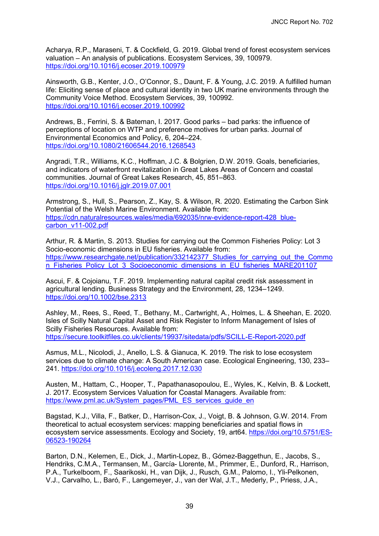Acharya, R.P., Maraseni, T. & Cockfield, G. 2019. Global trend of forest ecosystem services valuation – An analysis of publications. Ecosystem Services, 39, 100979. <https://doi.org/10.1016/j.ecoser.2019.100979>

Ainsworth, G.B., Kenter, J.O., O'Connor, S., Daunt, F. & Young, J.C. 2019. A fulfilled human life: Eliciting sense of place and cultural identity in two UK marine environments through the Community Voice Method. Ecosystem Services, 39, 100992. <https://doi.org/10.1016/j.ecoser.2019.100992>

Andrews, B., Ferrini, S. & Bateman, I. 2017. Good parks – bad parks: the influence of perceptions of location on WTP and preference motives for urban parks. Journal of Environmental Economics and Policy, 6, 204–224. <https://doi.org/10.1080/21606544.2016.1268543>

Angradi, T.R., Williams, K.C., Hoffman, J.C. & Bolgrien, D.W. 2019. Goals, beneficiaries, and indicators of waterfront revitalization in Great Lakes Areas of Concern and coastal communities. Journal of Great Lakes Research, 45, 851–863. <https://doi.org/10.1016/j.jglr.2019.07.001>

Armstrong, S., Hull, S., Pearson, Z., Kay, S. & Wilson, R. 2020. Estimating the Carbon Sink Potential of the Welsh Marine Environment. Available from: [https://cdn.naturalresources.wales/media/692035/nrw-evidence-report-428\\_blue](https://cdn.naturalresources.wales/media/692035/nrw-evidence-report-428_blue-carbon_v11-002.pdf)carbon\_v11-002.pdf

Arthur, R. & Martin, S. 2013. Studies for carrying out the Common Fisheries Policy: Lot 3 Socio-economic dimensions in EU fisheries. Available from: https://www.researchgate.net/publication/332142377 Studies for carrying out the Commo n Fisheries Policy Lot 3 Socioeconomic dimensions in EU fisheries MARE201107

Ascui, F. & Cojoianu, T.F. 2019. Implementing natural capital credit risk assessment in agricultural lending. Business Strategy and the Environment, 28, 1234–1249. <https://doi.org/10.1002/bse.2313>

Ashley, M., Rees, S., Reed, T., Bethany, M., Cartwright, A., Holmes, L. & Sheehan, E. 2020. Isles of Scilly Natural Capital Asset and Risk Register to Inform Management of Isles of Scilly Fisheries Resources. Available from: <https://secure.toolkitfiles.co.uk/clients/19937/sitedata/pdfs/SCILL-E-Report-2020.pdf>

Asmus, M.L., Nicolodi, J., Anello, L.S. & Gianuca, K. 2019. The risk to lose ecosystem services due to climate change: A South American case. Ecological Engineering, 130, 233– 241.<https://doi.org/10.1016/j.ecoleng.2017.12.030>

Austen, M., Hattam, C., Hooper, T., Papathanasopoulou, E., Wyles, K., Kelvin, B. & Lockett, J. 2017. Ecosystem Services Valuation for Coastal Managers. Available from: [https://www.pml.ac.uk/System\\_pages/PML\\_ES\\_services\\_guide\\_en](https://www.pml.ac.uk/System_pages/PML_ES_services_guide_en)

Bagstad, K.J., Villa, F., Batker, D., Harrison-Cox, J., Voigt, B. & Johnson, G.W. 2014. From theoretical to actual ecosystem services: mapping beneficiaries and spatial flows in [ecosystem service assessments. Ecology and Society, 19, art64. https://doi.org/10.5751/ES-](https://doi.org/10.5751/ES-06523-190264)06523-190264

Barton, D.N., Kelemen, E., Dick, J., Martin-Lopez, B., Gómez-Baggethun, E., Jacobs, S., Hendriks, C.M.A., Termansen, M., García- Llorente, M., Primmer, E., Dunford, R., Harrison, P.A., Turkelboom, F., Saarikoski, H., van Dijk, J., Rusch, G.M., Palomo, I., Yli-Pelkonen, V.J., Carvalho, L., Baró, F., Langemeyer, J., van der Wal, J.T., Mederly, P., Priess, J.A.,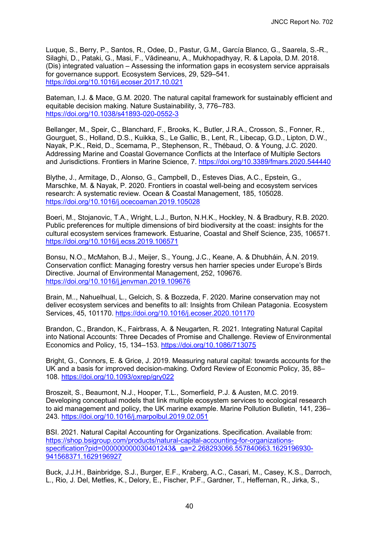Luque, S., Berry, P., Santos, R., Odee, D., Pastur, G.M., García Blanco, G., Saarela, S.-R., Silaghi, D., Pataki, G., Masi, F., Vădineanu, A., Mukhopadhyay, R. & Lapola, D.M. 2018. (Dis) integrated valuation – Assessing the information gaps in ecosystem service appraisals for governance support. Ecosystem Services, 29, 529–541. <https://doi.org/10.1016/j.ecoser.2017.10.021>

Bateman, I.J. & Mace, G.M. 2020. The natural capital framework for sustainably efficient and equitable decision making. Nature Sustainability, 3, 776–783. <https://doi.org/10.1038/s41893-020-0552-3>

Bellanger, M., Speir, C., Blanchard, F., Brooks, K., Butler, J.R.A., Crosson, S., Fonner, R., Gourguet, S., Holland, D.S., Kuikka, S., Le Gallic, B., Lent, R., Libecap, G.D., Lipton, D.W., Nayak, P.K., Reid, D., Scemama, P., Stephenson, R., Thébaud, O. & Young, J.C. 2020. Addressing Marine and Coastal Governance Conflicts at the Interface of Multiple Sectors and Jurisdictions. Frontiers in Marine Science, 7.<https://doi.org/10.3389/fmars.2020.544440>

Blythe, J., Armitage, D., Alonso, G., Campbell, D., Esteves Dias, A.C., Epstein, G., Marschke, M. & Nayak, P. 2020. Frontiers in coastal well-being and ecosystem services research: A systematic review. Ocean & Coastal Management, 185, 105028. <https://doi.org/10.1016/j.ocecoaman.2019.105028>

Boeri, M., Stojanovic, T.A., Wright, L.J., Burton, N.H.K., Hockley, N. & Bradbury, R.B. 2020. Public preferences for multiple dimensions of bird biodiversity at the coast: insights for the cultural ecosystem services framework. Estuarine, Coastal and Shelf Science, 235, 106571. <https://doi.org/10.1016/j.ecss.2019.106571>

Bonsu, N.O., McMahon, B.J., Meijer, S., Young, J.C., Keane, A. & Dhubháin, Á.N. 2019. Conservation conflict: Managing forestry versus hen harrier species under Europe's Birds Directive. Journal of Environmental Management, 252, 109676. <https://doi.org/10.1016/j.jenvman.2019.109676>

Brain, M.., Nahuelhual, L., Gelcich, S. & Bozzeda, F. 2020. Marine conservation may not deliver ecosystem services and benefits to all: Insights from Chilean Patagonia. Ecosystem Services, 45, 101170.<https://doi.org/10.1016/j.ecoser.2020.101170>

Brandon, C., Brandon, K., Fairbrass, A. & Neugarten, R. 2021. Integrating Natural Capital into National Accounts: Three Decades of Promise and Challenge. Review of Environmental Economics and Policy, 15, 134–153.<https://doi.org/10.1086/713075>

Bright, G., Connors, E. & Grice, J. 2019. Measuring natural capital: towards accounts for the UK and a basis for improved decision-making. Oxford Review of Economic Policy, 35, 88– 108.<https://doi.org/10.1093/oxrep/gry022>

Broszeit, S., Beaumont, N.J., Hooper, T.L., Somerfield, P.J. & Austen, M.C. 2019. Developing conceptual models that link multiple ecosystem services to ecological research to aid management and policy, the UK marine example. Marine Pollution Bulletin, 141, 236– 243.<https://doi.org/10.1016/j.marpolbul.2019.02.051>

BSI. 2021. Natural Capital Accounting for Organizations. Specification. Available from: https://shop.bsigroup.com/products/natural-capital-accounting-for-organizations[specification?pid=000000000030401243&\\_ga=2.268293066.557840663.1629196930-](https://shop.bsigroup.com/products/natural-capital-accounting-for-organizations-specification?pid=000000000030401243&_ga=2.268293066.557840663.1629196930-941568371.1629196927) 941568371.1629196927

Buck, J.J.H., Bainbridge, S.J., Burger, E.F., Kraberg, A.C., Casari, M., Casey, K.S., Darroch, L., Rio, J. Del, Metfies, K., Delory, E., Fischer, P.F., Gardner, T., Heffernan, R., Jirka, S.,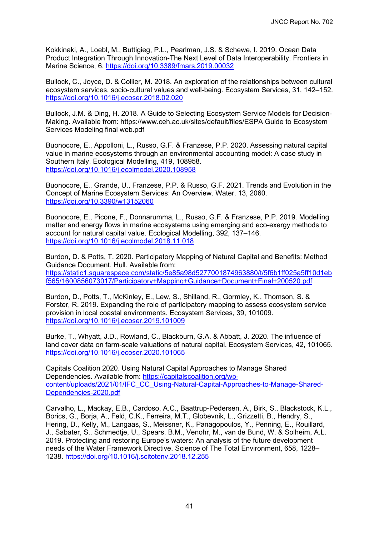Kokkinaki, A., Loebl, M., Buttigieg, P.L., Pearlman, J.S. & Schewe, I. 2019. Ocean Data Product Integration Through Innovation-The Next Level of Data Interoperability. Frontiers in Marine Science, 6.<https://doi.org/10.3389/fmars.2019.00032>

Bullock, C., Joyce, D. & Collier, M. 2018. An exploration of the relationships between cultural ecosystem services, socio-cultural values and well-being. Ecosystem Services, 31, 142–152. <https://doi.org/10.1016/j.ecoser.2018.02.020>

Bullock, J.M. & Ding, H. 2018. A Guide to Selecting Ecosystem Service Models for Decision-Making. Available from: https://www.ceh.ac.uk/sites/default/files/ESPA Guide to Ecosystem Services Modeling final web.pdf

Buonocore, E., Appolloni, L., Russo, G.F. & Franzese, P.P. 2020. Assessing natural capital value in marine ecosystems through an environmental accounting model: A case study in Southern Italy. Ecological Modelling, 419, 108958. <https://doi.org/10.1016/j.ecolmodel.2020.108958>

Buonocore, E., Grande, U., Franzese, P.P. & Russo, G.F. 2021. Trends and Evolution in the Concept of Marine Ecosystem Services: An Overview. Water, 13, 2060. <https://doi.org/10.3390/w13152060>

Buonocore, E., Picone, F., Donnarumma, L., Russo, G.F. & Franzese, P.P. 2019. Modelling matter and energy flows in marine ecosystems using emerging and eco-exergy methods to account for natural capital value. Ecological Modelling, 392, 137–146. <https://doi.org/10.1016/j.ecolmodel.2018.11.018>

Burdon, D. & Potts, T. 2020. Participatory Mapping of Natural Capital and Benefits: Method Guidance Document. Hull. Available from: [https://static1.squarespace.com/static/5e85a98d5277001874963880/t/5f6b1ff025a5ff10d1eb](https://static1.squarespace.com/static/5e85a98d5277001874963880/t/5f6b1ff025a5ff10d1ebf565/1600856073017/Participatory+Mapping+Guidance+Document+Final+200520.pdf) f565/1600856073017/Participatory+Mapping+Guidance+Document+Final+200520.pdf

Burdon, D., Potts, T., McKinley, E., Lew, S., Shilland, R., Gormley, K., Thomson, S. & Forster, R. 2019. Expanding the role of participatory mapping to assess ecosystem service provision in local coastal environments. Ecosystem Services, 39, 101009. <https://doi.org/10.1016/j.ecoser.2019.101009>

Burke, T., Whyatt, J.D., Rowland, C., Blackburn, G.A. & Abbatt, J. 2020. The influence of land cover data on farm-scale valuations of natural capital. Ecosystem Services, 42, 101065. <https://doi.org/10.1016/j.ecoser.2020.101065>

Capitals Coalition 2020. Using Natural Capital Approaches to Manage Shared Dependencies. Available from: https://capitalscoalition.org/wp[content/uploads/2021/01/IFC\\_CC\\_Using-Natural-Capital-Approaches-to-Manage-Shared-](https://capitalscoalition.org/wp-content/uploads/2021/01/IFC_CC_Using-Natural-Capital-Approaches-to-Manage-Shared-Dependencies-2020.pdf)Dependencies-2020.pdf

Carvalho, L., Mackay, E.B., Cardoso, A.C., Baattrup-Pedersen, A., Birk, S., Blackstock, K.L., Borics, G., Borja, A., Feld, C.K., Ferreira, M.T., Globevnik, L., Grizzetti, B., Hendry, S., Hering, D., Kelly, M., Langaas, S., Meissner, K., Panagopoulos, Y., Penning, E., Rouillard, J., Sabater, S., Schmedtje, U., Spears, B.M., Venohr, M., van de Bund, W. & Solheim, A.L. 2019. Protecting and restoring Europe's waters: An analysis of the future development needs of the Water Framework Directive. Science of The Total Environment, 658, 1228– 1238.<https://doi.org/10.1016/j.scitotenv.2018.12.255>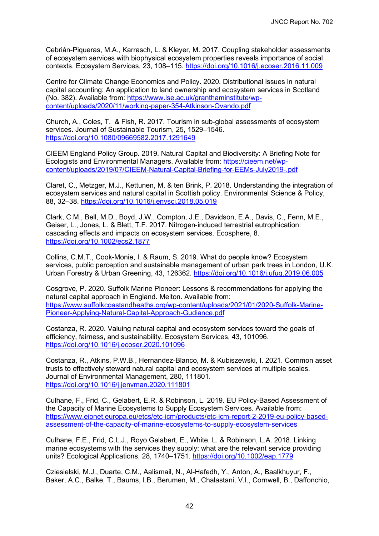Cebrián-Piqueras, M.A., Karrasch, L. & Kleyer, M. 2017. Coupling stakeholder assessments of ecosystem services with biophysical ecosystem properties reveals importance of social contexts. Ecosystem Services, 23, 108–115.<https://doi.org/10.1016/j.ecoser.2016.11.009>

Centre for Climate Change Economics and Policy. 2020. Distributional issues in natural capital accounting: An application to land ownership and ecosystem services in Scotland [\(No. 382\). Available from: https://www.lse.ac.uk/granthaminstitute/wp](https://www.lse.ac.uk/granthaminstitute/wp-content/uploads/2020/11/working-paper-354-Atkinson-Ovando.pdf)content/uploads/2020/11/working-paper-354-Atkinson-Ovando.pdf

Church, A., Coles, T. & Fish, R. 2017. Tourism in sub-global assessments of ecosystem services. Journal of Sustainable Tourism, 25, 1529–1546. <https://doi.org/10.1080/09669582.2017.1291649>

CIEEM England Policy Group. 2019. Natural Capital and Biodiversity: A Briefing Note for Ecologists and Environmental Managers. Available from: https://cieem.net/wp[content/uploads/2019/07/CIEEM-Natural-Capital-Briefing-for-EEMs-July2019-.pdf](https://cieem.net/wp-content/uploads/2019/07/CIEEM-Natural-Capital-Briefing-for-EEMs-July2019-.pdf)

Claret, C., Metzger, M.J., Kettunen, M. & ten Brink, P. 2018. Understanding the integration of ecosystem services and natural capital in Scottish policy. Environmental Science & Policy, 88, 32–38.<https://doi.org/10.1016/j.envsci.2018.05.019>

Clark, C.M., Bell, M.D., Boyd, J.W., Compton, J.E., Davidson, E.A., Davis, C., Fenn, M.E., Geiser, L., Jones, L. & Blett, T.F. 2017. Nitrogen‐induced terrestrial eutrophication: cascading effects and impacts on ecosystem services. Ecosphere, 8. <https://doi.org/10.1002/ecs2.1877>

Collins, C.M.T., Cook-Monie, I. & Raum, S. 2019. What do people know? Ecosystem services, public perception and sustainable management of urban park trees in London, U.K. Urban Forestry & Urban Greening, 43, 126362.<https://doi.org/10.1016/j.ufug.2019.06.005>

Cosgrove, P. 2020. Suffolk Marine Pioneer: Lessons & recommendations for applying the natural capital approach in England. Melton. Available from: [https://www.suffolkcoastandheaths.org/wp-content/uploads/2021/01/2020-Suffolk-Marine-](https://www.suffolkcoastandheaths.org/wp-content/uploads/2021/01/2020-Suffolk-Marine-Pioneer-Applying-Natural-Capital-Approach-Gudiance.pdf)Pioneer-Applying-Natural-Capital-Approach-Gudiance.pdf

Costanza, R. 2020. Valuing natural capital and ecosystem services toward the goals of efficiency, fairness, and sustainability. Ecosystem Services, 43, 101096. <https://doi.org/10.1016/j.ecoser.2020.101096>

Costanza, R., Atkins, P.W.B., Hernandez-Blanco, M. & Kubiszewski, I. 2021. Common asset trusts to effectively steward natural capital and ecosystem services at multiple scales. Journal of Environmental Management, 280, 111801. <https://doi.org/10.1016/j.jenvman.2020.111801>

Culhane, F., Frid, C., Gelabert, E.R. & Robinson, L. 2019. EU Policy-Based Assessment of the Capacity of Marine Ecosystems to Supply Ecosystem Services. Available from: [https://www.eionet.europa.eu/etcs/etc-icm/products/etc-icm-report-2-2019-eu-policy-based](https://www.eionet.europa.eu/etcs/etc-icm/products/etc-icm-report-2-2019-eu-policy-based-assessment-of-the-capacity-of-marine-ecosystems-to-supply-ecosystem-services)assessment-of-the-capacity-of-marine-ecosystems-to-supply-ecosystem-services

Culhane, F.E., Frid, C.L.J., Royo Gelabert, E., White, L. & Robinson, L.A. 2018. Linking marine ecosystems with the services they supply: what are the relevant service providing units? Ecological Applications, 28, 1740–1751.<https://doi.org/10.1002/eap.1779>

Cziesielski, M.J., Duarte, C.M., Aalismail, N., Al-Hafedh, Y., Anton, A., Baalkhuyur, F., Baker, A.C., Balke, T., Baums, I.B., Berumen, M., Chalastani, V.I., Cornwell, B., Daffonchio,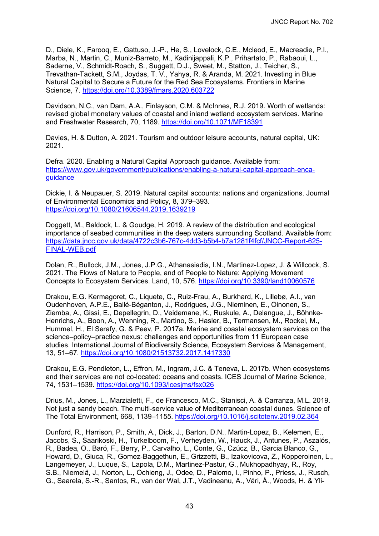D., Diele, K., Farooq, E., Gattuso, J.-P., He, S., Lovelock, C.E., Mcleod, E., Macreadie, P.I., Marba, N., Martin, C., Muniz-Barreto, M., Kadinijappali, K.P., Prihartato, P., Rabaoui, L., Saderne, V., Schmidt-Roach, S., Suggett, D.J., Sweet, M., Statton, J., Teicher, S., Trevathan-Tackett, S.M., Joydas, T. V., Yahya, R. & Aranda, M. 2021. Investing in Blue Natural Capital to Secure a Future for the Red Sea Ecosystems. Frontiers in Marine Science, 7.<https://doi.org/10.3389/fmars.2020.603722>

Davidson, N.C., van Dam, A.A., Finlayson, C.M. & McInnes, R.J. 2019. Worth of wetlands: revised global monetary values of coastal and inland wetland ecosystem services. Marine and Freshwater Research, 70, 1189.<https://doi.org/10.1071/MF18391>

Davies, H. & Dutton, A. 2021. Tourism and outdoor leisure accounts, natural capital, UK: 2021.

Defra. 2020. Enabling a Natural Capital Approach guidance. Available from: [https://www.gov.uk/government/publications/enabling-a-natural-capital-approach-enca](https://www.gov.uk/government/publications/enabling-a-natural-capital-approach-enca-guidance)guidance

Dickie, I. & Neupauer, S. 2019. Natural capital accounts: nations and organizations. Journal of Environmental Economics and Policy, 8, 379–393. <https://doi.org/10.1080/21606544.2019.1639219>

Doggett, M., Baldock, L. & Goudge, H. 2019. A review of the distribution and ecological importance of seabed communities in the deep waters surrounding Scotland. Available from: [https://data.jncc.gov.uk/data/4722c3b6-767c-4dd3-b5b4-b7a1281f4fcf/JNCC-Report-625-](https://data.jncc.gov.uk/data/4722c3b6-767c-4dd3-b5b4-b7a1281f4fcf/JNCC-Report-625-FINAL-WEB.pdf) FINAL-WEB.pdf

Dolan, R., Bullock, J.M., Jones, J.P.G., Athanasiadis, I.N., Martinez-Lopez, J. & Willcock, S. 2021. The Flows of Nature to People, and of People to Nature: Applying Movement Concepts to Ecosystem Services. Land, 10, 576.<https://doi.org/10.3390/land10060576>

Drakou, E.G. Kermagoret, C., Liquete, C., Ruiz-Frau, A., Burkhard, K., Lillebø, A.I., van Oudenhoven, A.P.E., Ballé-Béganton, J., Rodrigues, J.G., Nieminen, E., Oinonen, S., Ziemba, A., Gissi, E., Depellegrin, D., Veidemane, K., Ruskule, A., Delangue, J., Böhnke-Henrichs, A., Boon, A., Wenning, R., Martino, S., Hasler, B., Termansen, M., Rockel, M., Hummel, H., El Serafy, G. & Peev, P. 2017a. Marine and coastal ecosystem services on the science–policy–practice nexus: challenges and opportunities from 11 European case studies. International Journal of Biodiversity Science, Ecosystem Services & Management, 13, 51–67.<https://doi.org/10.1080/21513732.2017.1417330>

Drakou, E.G. Pendleton, L., Effron, M., Ingram, J.C. & Teneva, L. 2017b. When ecosystems and their services are not co-located: oceans and coasts. ICES Journal of Marine Science, 74, 1531–1539.<https://doi.org/10.1093/icesjms/fsx026>

Drius, M., Jones, L., Marzialetti, F., de Francesco, M.C., Stanisci, A. & Carranza, M.L. 2019. Not just a sandy beach. The multi-service value of Mediterranean coastal dunes. Science of The Total Environment, 668, 1139–1155.<https://doi.org/10.1016/j.scitotenv.2019.02.364>

Dunford, R., Harrison, P., Smith, A., Dick, J., Barton, D.N., Martin-Lopez, B., Kelemen, E., Jacobs, S., Saarikoski, H., Turkelboom, F., Verheyden, W., Hauck, J., Antunes, P., Aszalós, R., Badea, O., Baró, F., Berry, P., Carvalho, L., Conte, G., Czúcz, B., Garcia Blanco, G., Howard, D., Giuca, R., Gomez-Baggethun, E., Grizzetti, B., Izakovicova, Z., Kopperoinen, L., Langemeyer, J., Luque, S., Lapola, D.M., Martinez-Pastur, G., Mukhopadhyay, R., Roy, S.B., Niemelä, J., Norton, L., Ochieng, J., Odee, D., Palomo, I., Pinho, P., Priess, J., Rusch, G., Saarela, S.-R., Santos, R., van der Wal, J.T., Vadineanu, A., Vári, Á., Woods, H. & Yli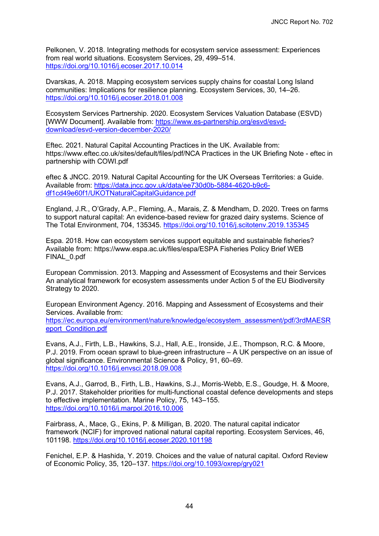Pelkonen, V. 2018. Integrating methods for ecosystem service assessment: Experiences from real world situations. Ecosystem Services, 29, 499–514. <https://doi.org/10.1016/j.ecoser.2017.10.014>

Dvarskas, A. 2018. Mapping ecosystem services supply chains for coastal Long Island communities: Implications for resilience planning. Ecosystem Services, 30, 14–26. <https://doi.org/10.1016/j.ecoser.2018.01.008>

Ecosystem Services Partnership. 2020. Ecosystem Services Valuation Database (ESVD) [\[WWW Document\]. Available from: https://www.es-partnership.org/esvd/esvd](https://www.es-partnership.org/esvd/esvd-download/esvd-version-december-2020/)download/esvd-version-december-2020/

Eftec. 2021. Natural Capital Accounting Practices in the UK. Available from: https://www.eftec.co.uk/sites/default/files/pdf/NCA Practices in the UK Briefing Note - eftec in partnership with COWI.pdf

eftec & JNCC. 2019. Natural Capital Accounting for the UK Overseas Territories: a Guide. [Available from: https://data.jncc.gov.uk/data/ee730d0b-5884-4620-b9c6](https://data.jncc.gov.uk/data/ee730d0b-5884-4620-b9c6-df1cd49e60f1/UKOTNaturalCapitalGuidance.pdf) df1cd49e60f1/UKOTNaturalCapitalGuidance.pdf

England, J.R., O'Grady, A.P., Fleming, A., Marais, Z. & Mendham, D. 2020. Trees on farms to support natural capital: An evidence-based review for grazed dairy systems. Science of The Total Environment, 704, 135345.<https://doi.org/10.1016/j.scitotenv.2019.135345>

Espa. 2018. How can ecosystem services support equitable and sustainable fisheries? Available from: https://www.espa.ac.uk/files/espa/ESPA Fisheries Policy Brief WEB FINAL\_0.pdf

European Commission. 2013. Mapping and Assessment of Ecosystems and their Services An analytical framework for ecosystem assessments under Action 5 of the EU Biodiversity Strategy to 2020.

European Environment Agency. 2016. Mapping and Assessment of Ecosystems and their Services. Available from:

[https://ec.europa.eu/environment/nature/knowledge/ecosystem\\_assessment/pdf/3rdMAESR](https://ec.europa.eu/environment/nature/knowledge/ecosystem_assessment/pdf/3rdMAESReport_Condition.pdf) eport\_Condition.pdf

Evans, A.J., Firth, L.B., Hawkins, S.J., Hall, A.E., Ironside, J.E., Thompson, R.C. & Moore, P.J. 2019. From ocean sprawl to blue-green infrastructure – A UK perspective on an issue of global significance. Environmental Science & Policy, 91, 60–69. <https://doi.org/10.1016/j.envsci.2018.09.008>

Evans, A.J., Garrod, B., Firth, L.B., Hawkins, S.J., Morris-Webb, E.S., Goudge, H. & Moore, P.J. 2017. Stakeholder priorities for multi-functional coastal defence developments and steps to effective implementation. Marine Policy, 75, 143–155. <https://doi.org/10.1016/j.marpol.2016.10.006>

Fairbrass, A., Mace, G., Ekins, P. & Milligan, B. 2020. The natural capital indicator framework (NCIF) for improved national natural capital reporting. Ecosystem Services, 46, 101198.<https://doi.org/10.1016/j.ecoser.2020.101198>

Fenichel, E.P. & Hashida, Y. 2019. Choices and the value of natural capital. Oxford Review of Economic Policy, 35, 120–137.<https://doi.org/10.1093/oxrep/gry021>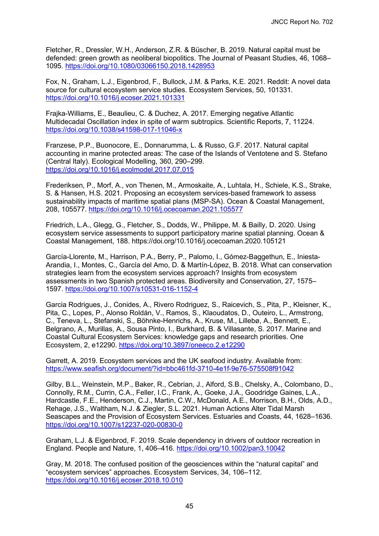Fletcher, R., Dressler, W.H., Anderson, Z.R. & Büscher, B. 2019. Natural capital must be defended: green growth as neoliberal biopolitics. The Journal of Peasant Studies, 46, 1068– 1095.<https://doi.org/10.1080/03066150.2018.1428953>

Fox, N., Graham, L.J., Eigenbrod, F., Bullock, J.M. & Parks, K.E. 2021. Reddit: A novel data source for cultural ecosystem service studies. Ecosystem Services, 50, 101331. <https://doi.org/10.1016/j.ecoser.2021.101331>

Frajka-Williams, E., Beaulieu, C. & Duchez, A. 2017. Emerging negative Atlantic Multidecadal Oscillation index in spite of warm subtropics. Scientific Reports, 7, 11224. <https://doi.org/10.1038/s41598-017-11046-x>

Franzese, P.P., Buonocore, E., Donnarumma, L. & Russo, G.F. 2017. Natural capital accounting in marine protected areas: The case of the Islands of Ventotene and S. Stefano (Central Italy). Ecological Modelling, 360, 290–299. <https://doi.org/10.1016/j.ecolmodel.2017.07.015>

Frederiksen, P., Morf, A., von Thenen, M., Armoskaite, A., Luhtala, H., Schiele, K.S., Strake, S. & Hansen, H.S. 2021. Proposing an ecosystem services-based framework to assess sustainability impacts of maritime spatial plans (MSP-SA). Ocean & Coastal Management, 208, 105577.<https://doi.org/10.1016/j.ocecoaman.2021.105577>

Friedrich, L.A., Glegg, G., Fletcher, S., Dodds, W., Philippe, M. & Bailly, D. 2020. Using ecosystem service assessments to support participatory marine spatial planning. Ocean & Coastal Management, 188. https://doi.org/10.1016/j.ocecoaman.2020.105121

García-Llorente, M., Harrison, P.A., Berry, P., Palomo, I., Gómez-Baggethun, E., Iniesta-Arandia, I., Montes, C., García del Amo, D. & Martín-López, B. 2018. What can conservation strategies learn from the ecosystem services approach? Insights from ecosystem assessments in two Spanish protected areas. Biodiversity and Conservation, 27, 1575– 1597.<https://doi.org/10.1007/s10531-016-1152-4>

Garcia Rodrigues, J., Conides, A., Rivero Rodriguez, S., Raicevich, S., Pita, P., Kleisner, K., Pita, C., Lopes, P., Alonso Roldán, V., Ramos, S., Klaoudatos, D., Outeiro, L., Armstrong, C., Teneva, L., Stefanski, S., Böhnke-Henrichs, A., Kruse, M., Lillebø, A., Bennett, E., Belgrano, A., Murillas, A., Sousa Pinto, I., Burkhard, B. & Villasante, S. 2017. Marine and Coastal Cultural Ecosystem Services: knowledge gaps and research priorities. One Ecosystem, 2, e12290.<https://doi.org/10.3897/oneeco.2.e12290>

Garrett, A. 2019. Ecosystem services and the UK seafood industry. Available from: <https://www.seafish.org/document/?id=bbc461fd-3710-4e1f-9e76-575508f91042>

Gilby, B.L., Weinstein, M.P., Baker, R., Cebrian, J., Alford, S.B., Chelsky, A., Colombano, D., Connolly, R.M., Currin, C.A., Feller, I.C., Frank, A., Goeke, J.A., Goodridge Gaines, L.A., Hardcastle, F.E., Henderson, C.J., Martin, C.W., McDonald, A.E., Morrison, B.H., Olds, A.D., Rehage, J.S., Waltham, N.J. & Ziegler, S.L. 2021. Human Actions Alter Tidal Marsh Seascapes and the Provision of Ecosystem Services. Estuaries and Coasts, 44, 1628–1636. <https://doi.org/10.1007/s12237-020-00830-0>

Graham, L.J. & Eigenbrod, F. 2019. Scale dependency in drivers of outdoor recreation in England. People and Nature, 1, 406–416.<https://doi.org/10.1002/pan3.10042>

Gray, M. 2018. The confused position of the geosciences within the "natural capital" and "ecosystem services" approaches. Ecosystem Services, 34, 106–112. <https://doi.org/10.1016/j.ecoser.2018.10.010>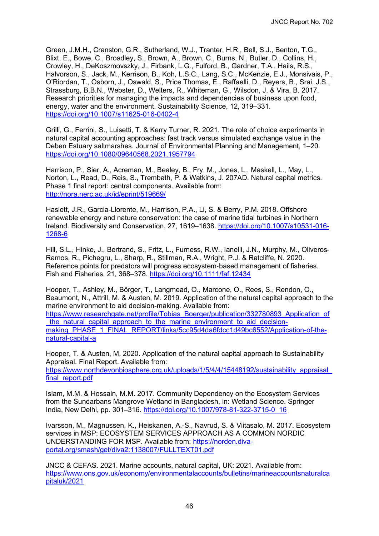Green, J.M.H., Cranston, G.R., Sutherland, W.J., Tranter, H.R., Bell, S.J., Benton, T.G., Blixt, E., Bowe, C., Broadley, S., Brown, A., Brown, C., Burns, N., Butler, D., Collins, H., Crowley, H., DeKoszmovszky, J., Firbank, L.G., Fulford, B., Gardner, T.A., Hails, R.S., Halvorson, S., Jack, M., Kerrison, B., Koh, L.S.C., Lang, S.C., McKenzie, E.J., Monsivais, P., O'Riordan, T., Osborn, J., Oswald, S., Price Thomas, E., Raffaelli, D., Reyers, B., Srai, J.S., Strassburg, B.B.N., Webster, D., Welters, R., Whiteman, G., Wilsdon, J. & Vira, B. 2017. Research priorities for managing the impacts and dependencies of business upon food, energy, water and the environment. Sustainability Science, 12, 319–331. <https://doi.org/10.1007/s11625-016-0402-4>

Grilli, G., Ferrini, S., Luisetti, T. & Kerry Turner, R. 2021. The role of choice experiments in natural capital accounting approaches: fast track versus simulated exchange value in the Deben Estuary saltmarshes. Journal of Environmental Planning and Management, 1–20. <https://doi.org/10.1080/09640568.2021.1957794>

Harrison, P., Sier, A., Acreman, M., Bealey, B., Fry, M., Jones, L., Maskell, L., May, L., Norton, L., Read, D., Reis, S., Trembath, P. & Watkins, J. 207AD. Natural capital metrics. Phase 1 final report: central components. Available from: <http://nora.nerc.ac.uk/id/eprint/519669/>

Haslett, J.R., Garcia-Llorente, M., Harrison, P.A., Li, S. & Berry, P.M. 2018. Offshore renewable energy and nature conservation: the case of marine tidal turbines in Northern [Ireland. Biodiversity and Conservation, 27, 1619–1638. https://doi.org/10.1007/s10531-016-](https://doi.org/10.1007/s10531-016-1268-6) 1268-6

Hill, S.L., Hinke, J., Bertrand, S., Fritz, L., Furness, R.W., Ianelli, J.N., Murphy, M., Oliveros‐ Ramos, R., Pichegru, L., Sharp, R., Stillman, R.A., Wright, P.J. & Ratcliffe, N. 2020. Reference points for predators will progress ecosystem‐based management of fisheries. Fish and Fisheries, 21, 368–378.<https://doi.org/10.1111/faf.12434>

Hooper, T., Ashley, M., Börger, T., Langmead, O., Marcone, O., Rees, S., Rendon, O., Beaumont, N., Attrill, M. & Austen, M. 2019. Application of the natural capital approach to the marine environment to aid decision-making. Available from:

[https://www.researchgate.net/profile/Tobias\\_Boerger/publication/332780893\\_Application\\_of](https://www.researchgate.net/profile/Tobias_Boerger/publication/332780893_Application_of_the_natural_capital_approach_to_the_marine_environment_to_aid_decision-making_PHASE_1_FINAL_REPORT/links/5cc95d4da6fdcc1d49bc6552/Application-of-the-natural-capital-a) \_the\_natural\_capital\_approach\_to\_the\_marine\_environment\_to\_aid\_decisionmaking\_PHASE\_1\_FINAL\_REPORT/links/5cc95d4da6fdcc1d49bc6552/Application-of-thenatural-capital-a

Hooper, T. & Austen, M. 2020. Application of the natural capital approach to Sustainability Appraisal. Final Report. Available from:

https://www.northdevonbiosphere.org.uk/uploads/1/5/4/4/15448192/sustainability\_appraisal final\_report.pdf

Islam, M.M. & Hossain, M.M. 2017. Community Dependency on the Ecosystem Services from the Sundarbans Mangrove Wetland in Bangladesh, in: Wetland Science. Springer India, New Delhi, pp. 301–316. [https://doi.org/10.1007/978-81-322-3715-0\\_16](https://doi.org/10.1007/978-81-322-3715-0_16)

Ivarsson, M., Magnussen, K., Heiskanen, A.-S., Navrud, S. & Viitasalo, M. 2017. Ecosystem services in MSP: ECOSYSTEM SERVICES APPROACH AS A COMMON NORDIC [UNDERSTANDING FOR MSP. Available from: https://norden.diva](https://norden.diva-portal.org/smash/get/diva2:1138007/FULLTEXT01.pdf)portal.org/smash/get/diva2:1138007/FULLTEXT01.pdf

JNCC & CEFAS. 2021. Marine accounts, natural capital, UK: 2021. Available from: [https://www.ons.gov.uk/economy/environmentalaccounts/bulletins/marineaccountsnaturalca](https://www.ons.gov.uk/economy/environmentalaccounts/bulletins/marineaccountsnaturalcapitaluk/2021) pitaluk/2021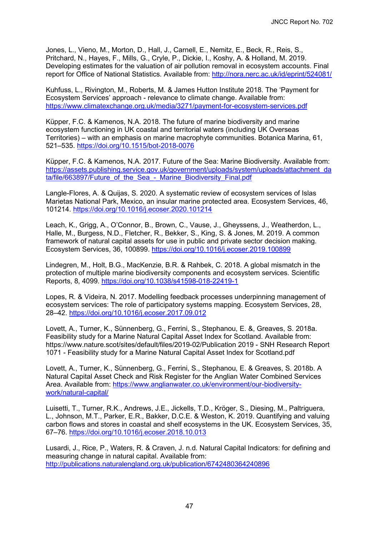Jones, L., Vieno, M., Morton, D., Hall, J., Carnell, E., Nemitz, E., Beck, R., Reis, S., Pritchard, N., Hayes, F., Mills, G., Cryle, P., Dickie, I., Koshy, A. & Holland, M. 2019. Developing estimates for the valuation of air pollution removal in ecosystem accounts. Final report for Office of National Statistics. Available from:<http://nora.nerc.ac.uk/id/eprint/524081/>

Kuhfuss, L., Rivington, M., Roberts, M. & James Hutton Institute 2018. The 'Payment for Ecosystem Services' approach - relevance to climate change. Available from: <https://www.climatexchange.org.uk/media/3271/payment-for-ecosystem-services.pdf>

Küpper, F.C. & Kamenos, N.A. 2018. The future of marine biodiversity and marine ecosystem functioning in UK coastal and territorial waters (including UK Overseas Territories) – with an emphasis on marine macrophyte communities. Botanica Marina, 61, 521–535.<https://doi.org/10.1515/bot-2018-0076>

Küpper, F.C. & Kamenos, N.A. 2017. Future of the Sea: Marine Biodiversity. Available from: [https://assets.publishing.service.gov.uk/government/uploads/system/uploads/attachment\\_da](https://assets.publishing.service.gov.uk/government/uploads/system/uploads/attachment_data/file/663897/Future_of_the_Sea_-_Marine_Biodiversity_Final.pdf) ta/file/663897/Future\_of\_the\_Sea\_-\_Marine\_Biodiversity\_Final.pdf

Langle-Flores, A. & Quijas, S. 2020. A systematic review of ecosystem services of Islas Marietas National Park, Mexico, an insular marine protected area. Ecosystem Services, 46, 101214.<https://doi.org/10.1016/j.ecoser.2020.101214>

Leach, K., Grigg, A., O'Connor, B., Brown, C., Vause, J., Gheyssens, J., Weatherdon, L., Halle, M., Burgess, N.D., Fletcher, R., Bekker, S., King, S. & Jones, M. 2019. A common framework of natural capital assets for use in public and private sector decision making. Ecosystem Services, 36, 100899.<https://doi.org/10.1016/j.ecoser.2019.100899>

Lindegren, M., Holt, B.G., MacKenzie, B.R. & Rahbek, C. 2018. A global mismatch in the protection of multiple marine biodiversity components and ecosystem services. Scientific Reports, 8, 4099.<https://doi.org/10.1038/s41598-018-22419-1>

Lopes, R. & Videira, N. 2017. Modelling feedback processes underpinning management of ecosystem services: The role of participatory systems mapping. Ecosystem Services, 28, 28–42.<https://doi.org/10.1016/j.ecoser.2017.09.012>

Lovett, A., Turner, K., Sünnenberg, G., Ferrini, S., Stephanou, E. &, Greaves, S. 2018a. Feasibility study for a Marine Natural Capital Asset Index for Scotland. Available from: https://www.nature.scot/sites/default/files/2019-02/Publication 2019 - SNH Research Report 1071 - Feasibility study for a Marine Natural Capital Asset Index for Scotland.pdf

Lovett, A., Turner, K., Sünnenberg, G., Ferrini, S., Stephanou, E. & Greaves, S. 2018b. A Natural Capital Asset Check and Risk Register for the Anglian Water Combined Services [Area. Available from: https://www.anglianwater.co.uk/environment/our-biodiversity](https://www.anglianwater.co.uk/environment/our-biodiversity-work/natural-capital/)work/natural-capital/

Luisetti, T., Turner, R.K., Andrews, J.E., Jickells, T.D., Kröger, S., Diesing, M., Paltriguera, L., Johnson, M.T., Parker, E.R., Bakker, D.C.E. & Weston, K. 2019. Quantifying and valuing carbon flows and stores in coastal and shelf ecosystems in the UK. Ecosystem Services, 35, 67–76.<https://doi.org/10.1016/j.ecoser.2018.10.013>

Lusardi, J., Rice, P., Waters, R. & Craven, J. n.d. Natural Capital Indicators: for defining and measuring change in natural capital. Available from: <http://publications.naturalengland.org.uk/publication/6742480364240896>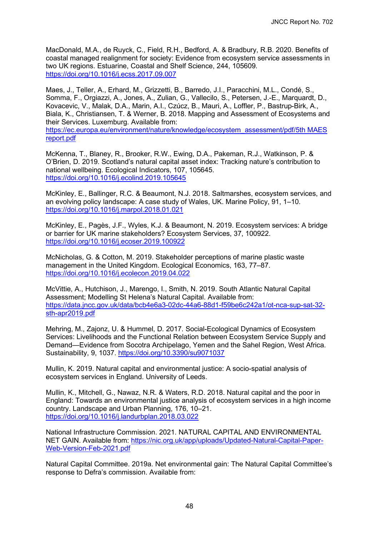MacDonald, M.A., de Ruyck, C., Field, R.H., Bedford, A. & Bradbury, R.B. 2020. Benefits of coastal managed realignment for society: Evidence from ecosystem service assessments in two UK regions. Estuarine, Coastal and Shelf Science, 244, 105609. <https://doi.org/10.1016/j.ecss.2017.09.007>

Maes, J., Teller, A., Erhard, M., Grizzetti, B., Barredo, J.I., Paracchini, M.L., Condé, S., Somma, F., Orgiazzi, A., Jones, A., Zulian, G., Vallecilo, S., Petersen, J.-E., Marquardt, D., Kovacevic, V., Malak, D.A., Marin, A.I., Czúcz, B., Mauri, A., Loffler, P., Bastrup-Birk, A., Biala, K., Christiansen, T. & Werner, B. 2018. Mapping and Assessment of Ecosystems and their Services. Luxemburg. Available from:

[https://ec.europa.eu/environment/nature/knowledge/ecosystem\\_assessment/pdf/5th MAES](https://ec.europa.eu/environment/nature/knowledge/ecosystem_assessment/pdf/5th%20MAES%20report.pdf)  report.pdf

McKenna, T., Blaney, R., Brooker, R.W., Ewing, D.A., Pakeman, R.J., Watkinson, P. & O'Brien, D. 2019. Scotland's natural capital asset index: Tracking nature's contribution to national wellbeing. Ecological Indicators, 107, 105645. <https://doi.org/10.1016/j.ecolind.2019.105645>

McKinley, E., Ballinger, R.C. & Beaumont, N.J. 2018. Saltmarshes, ecosystem services, and an evolving policy landscape: A case study of Wales, UK. Marine Policy, 91, 1–10. <https://doi.org/10.1016/j.marpol.2018.01.021>

McKinley, E., Pagès, J.F., Wyles, K.J. & Beaumont, N. 2019. Ecosystem services: A bridge or barrier for UK marine stakeholders? Ecosystem Services, 37, 100922. <https://doi.org/10.1016/j.ecoser.2019.100922>

McNicholas, G. & Cotton, M. 2019. Stakeholder perceptions of marine plastic waste management in the United Kingdom. Ecological Economics, 163, 77–87. <https://doi.org/10.1016/j.ecolecon.2019.04.022>

McVittie, A., Hutchison, J., Marengo, I., Smith, N. 2019. South Atlantic Natural Capital Assessment; Modelling St Helena's Natural Capital. Available from: [https://data.jncc.gov.uk/data/bcb4e6a3-02dc-44a6-88d1-f59be6c242a1/ot-nca-sup-sat-32](https://data.jncc.gov.uk/data/bcb4e6a3-02dc-44a6-88d1-f59be6c242a1/ot-nca-sup-sat-32-sth-apr2019.pdf) sth-apr2019.pdf

Mehring, M., Zajonz, U. & Hummel, D. 2017. Social-Ecological Dynamics of Ecosystem Services: Livelihoods and the Functional Relation between Ecosystem Service Supply and Demand—Evidence from Socotra Archipelago, Yemen and the Sahel Region, West Africa. Sustainability, 9, 1037.<https://doi.org/10.3390/su9071037>

Mullin, K. 2019. Natural capital and environmental justice: A socio-spatial analysis of ecosystem services in England. University of Leeds.

Mullin, K., Mitchell, G., Nawaz, N.R. & Waters, R.D. 2018. Natural capital and the poor in England: Towards an environmental justice analysis of ecosystem services in a high income country. Landscape and Urban Planning, 176, 10–21. <https://doi.org/10.1016/j.landurbplan.2018.03.022>

National Infrastructure Commission. 2021. NATURAL CAPITAL AND ENVIRONMENTAL [NET GAIN. Available from: https://nic.org.uk/app/uploads/Updated-Natural-Capital-Paper-](https://nic.org.uk/app/uploads/Updated-Natural-Capital-Paper-Web-Version-Feb-2021.pdf)Web-Version-Feb-2021.pdf

Natural Capital Committee. 2019a. Net environmental gain: The Natural Capital Committee's response to Defra's commission. Available from: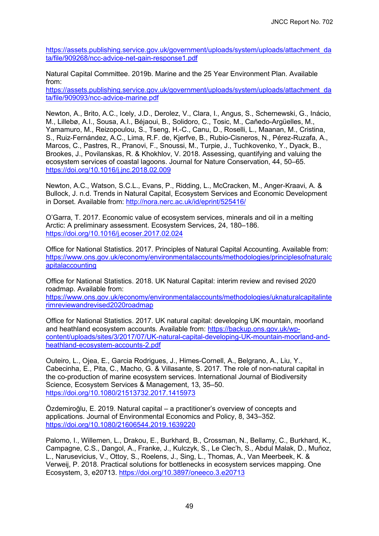[https://assets.publishing.service.gov.uk/government/uploads/system/uploads/attachment\\_da](https://assets.publishing.service.gov.uk/government/uploads/system/uploads/attachment_data/file/909268/ncc-advice-net-gain-response1.pdf) ta/file/909268/ncc-advice-net-gain-response1.pdf

Natural Capital Committee. 2019b. Marine and the 25 Year Environment Plan. Available from:

[https://assets.publishing.service.gov.uk/government/uploads/system/uploads/attachment\\_da](https://assets.publishing.service.gov.uk/government/uploads/system/uploads/attachment_data/file/909093/ncc-advice-marine.pdf) ta/file/909093/ncc-advice-marine.pdf

Newton, A., Brito, A.C., Icely, J.D., Derolez, V., Clara, I., Angus, S., Schernewski, G., Inácio, M., Lillebø, A.I., Sousa, A.I., Béjaoui, B., Solidoro, C., Tosic, M., Cañedo-Argüelles, M., Yamamuro, M., Reizopoulou, S., Tseng, H.-C., Canu, D., Roselli, L., Maanan, M., Cristina, S., Ruiz-Fernández, A.C., Lima, R.F. de, Kjerfve, B., Rubio-Cisneros, N., Pérez-Ruzafa, A., Marcos, C., Pastres, R., Pranovi, F., Snoussi, M., Turpie, J., Tuchkovenko, Y., Dyack, B., Brookes, J., Povilanskas, R. & Khokhlov, V. 2018. Assessing, quantifying and valuing the ecosystem services of coastal lagoons. Journal for Nature Conservation, 44, 50–65. <https://doi.org/10.1016/j.jnc.2018.02.009>

Newton, A.C., Watson, S.C.L., Evans, P., Ridding, L., McCracken, M., Anger-Kraavi, A. & Bullock, J. n.d. Trends in Natural Capital, Ecosystem Services and Economic Development in Dorset. Available from:<http://nora.nerc.ac.uk/id/eprint/525416/>

O'Garra, T. 2017. Economic value of ecosystem services, minerals and oil in a melting Arctic: A preliminary assessment. Ecosystem Services, 24, 180–186. <https://doi.org/10.1016/j.ecoser.2017.02.024>

Office for National Statistics. 2017. Principles of Natural Capital Accounting. Available from: [https://www.ons.gov.uk/economy/environmentalaccounts/methodologies/principlesofnaturalc](https://www.ons.gov.uk/economy/environmentalaccounts/methodologies/principlesofnaturalcapitalaccounting) apitalaccounting

Office for National Statistics. 2018. UK Natural Capital: interim review and revised 2020 roadmap. Available from:

[https://www.ons.gov.uk/economy/environmentalaccounts/methodologies/uknaturalcapitalinte](https://www.ons.gov.uk/economy/environmentalaccounts/methodologies/uknaturalcapitalinterimreviewandrevised2020roadmap) rimreviewandrevised2020roadmap

Office for National Statistics. 2017. UK natural capital: developing UK mountain, moorland and heathland ecosystem accounts. Available from: https://backup.ons.gov.uk/wp[content/uploads/sites/3/2017/07/UK-natural-capital-developing-UK-mountain-moorland-and](https://backup.ons.gov.uk/wp-content/uploads/sites/3/2017/07/UK-natural-capital-developing-UK-mountain-moorland-and-heathland-ecosystem-accounts-2.pdf)heathland-ecosystem-accounts-2.pdf

Outeiro, L., Ojea, E., Garcia Rodrigues, J., Himes-Cornell, A., Belgrano, A., Liu, Y., Cabecinha, E., Pita, C., Macho, G. & Villasante, S. 2017. The role of non-natural capital in the co-production of marine ecosystem services. International Journal of Biodiversity Science, Ecosystem Services & Management, 13, 35–50. <https://doi.org/10.1080/21513732.2017.1415973>

Özdemiroğlu, E. 2019. Natural capital – a practitioner's overview of concepts and applications. Journal of Environmental Economics and Policy, 8, 343–352. <https://doi.org/10.1080/21606544.2019.1639220>

Palomo, I., Willemen, L., Drakou, E., Burkhard, B., Crossman, N., Bellamy, C., Burkhard, K., Campagne, C.S., Dangol, A., Franke, J., Kulczyk, S., Le Clec'h, S., Abdul Malak, D., Muñoz, L., Narusevicius, V., Ottoy, S., Roelens, J., Sing, L., Thomas, A., Van Meerbeek, K. & Verweij, P. 2018. Practical solutions for bottlenecks in ecosystem services mapping. One Ecosystem, 3, e20713.<https://doi.org/10.3897/oneeco.3.e20713>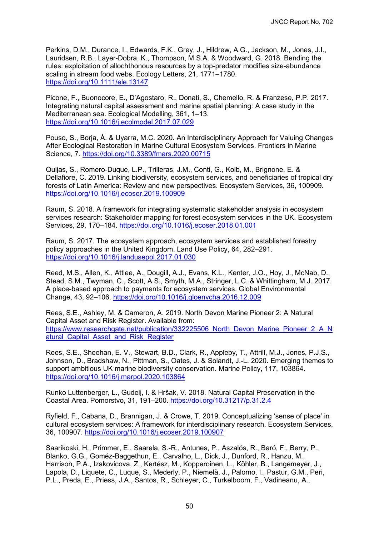Perkins, D.M., Durance, I., Edwards, F.K., Grey, J., Hildrew, A.G., Jackson, M., Jones, J.I., Lauridsen, R.B., Layer-Dobra, K., Thompson, M.S.A. & Woodward, G. 2018. Bending the rules: exploitation of allochthonous resources by a top-predator modifies size-abundance scaling in stream food webs. Ecology Letters, 21, 1771–1780. <https://doi.org/10.1111/ele.13147>

Picone, F., Buonocore, E., D'Agostaro, R., Donati, S., Chemello, R. & Franzese, P.P. 2017. Integrating natural capital assessment and marine spatial planning: A case study in the Mediterranean sea. Ecological Modelling, 361, 1–13. <https://doi.org/10.1016/j.ecolmodel.2017.07.029>

Pouso, S., Borja, Á. & Uyarra, M.C. 2020. An Interdisciplinary Approach for Valuing Changes After Ecological Restoration in Marine Cultural Ecosystem Services. Frontiers in Marine Science, 7.<https://doi.org/10.3389/fmars.2020.00715>

Quijas, S., Romero-Duque, L.P., Trilleras, J.M., Conti, G., Kolb, M., Brignone, E. & Dellafiore, C. 2019. Linking biodiversity, ecosystem services, and beneficiaries of tropical dry forests of Latin America: Review and new perspectives. Ecosystem Services, 36, 100909. <https://doi.org/10.1016/j.ecoser.2019.100909>

Raum, S. 2018. A framework for integrating systematic stakeholder analysis in ecosystem services research: Stakeholder mapping for forest ecosystem services in the UK. Ecosystem Services, 29, 170–184.<https://doi.org/10.1016/j.ecoser.2018.01.001>

Raum, S. 2017. The ecosystem approach, ecosystem services and established forestry policy approaches in the United Kingdom. Land Use Policy, 64, 282–291. <https://doi.org/10.1016/j.landusepol.2017.01.030>

Reed, M.S., Allen, K., Attlee, A., Dougill, A.J., Evans, K.L., Kenter, J.O., Hoy, J., McNab, D., Stead, S.M., Twyman, C., Scott, A.S., Smyth, M.A., Stringer, L.C. & Whittingham, M.J. 2017. A place-based approach to payments for ecosystem services. Global Environmental Change, 43, 92–106.<https://doi.org/10.1016/j.gloenvcha.2016.12.009>

Rees, S.E., Ashley, M. & Cameron, A. 2019. North Devon Marine Pioneer 2: A Natural Capital Asset and Risk Register. Available from: https://www.researchgate.net/publication/332225506 North\_Devon\_Marine\_Pioneer\_2\_A\_N atural Capital Asset and Risk Register

Rees, S.E., Sheehan, E. V., Stewart, B.D., Clark, R., Appleby, T., Attrill, M.J., Jones, P.J.S., Johnson, D., Bradshaw, N., Pittman, S., Oates, J. & Solandt, J.-L. 2020. Emerging themes to support ambitious UK marine biodiversity conservation. Marine Policy, 117, 103864. <https://doi.org/10.1016/j.marpol.2020.103864>

Runko Luttenberger, L., Gudelj, I. & Hršak, V. 2018. Natural Capital Preservation in the Coastal Area. Pomorstvo, 31, 191–200.<https://doi.org/10.31217/p.31.2.4>

Ryfield, F., Cabana, D., Brannigan, J. & Crowe, T. 2019. Conceptualizing 'sense of place' in cultural ecosystem services: A framework for interdisciplinary research. Ecosystem Services, 36, 100907.<https://doi.org/10.1016/j.ecoser.2019.100907>

Saarikoski, H., Primmer, E., Saarela, S.-R., Antunes, P., Aszalós, R., Baró, F., Berry, P., Blanko, G.G., Goméz-Baggethun, E., Carvalho, L., Dick, J., Dunford, R., Hanzu, M., Harrison, P.A., Izakovicova, Z., Kertész, M., Kopperoinen, L., Köhler, B., Langemeyer, J., Lapola, D., Liquete, C., Luque, S., Mederly, P., Niemelä, J., Palomo, I., Pastur, G.M., Peri, P.L., Preda, E., Priess, J.A., Santos, R., Schleyer, C., Turkelboom, F., Vadineanu, A.,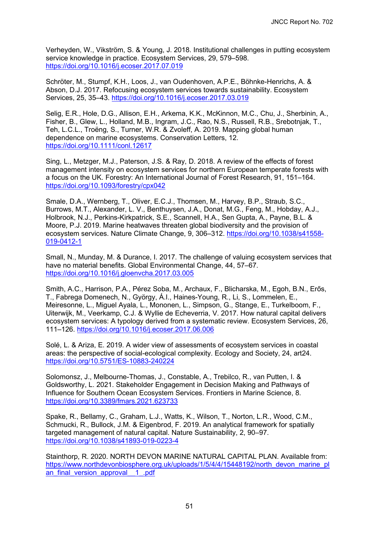Verheyden, W., Vikström, S. & Young, J. 2018. Institutional challenges in putting ecosystem service knowledge in practice. Ecosystem Services, 29, 579–598. <https://doi.org/10.1016/j.ecoser.2017.07.019>

Schröter, M., Stumpf, K.H., Loos, J., van Oudenhoven, A.P.E., Böhnke-Henrichs, A. & Abson, D.J. 2017. Refocusing ecosystem services towards sustainability. Ecosystem Services, 25, 35–43.<https://doi.org/10.1016/j.ecoser.2017.03.019>

Selig, E.R., Hole, D.G., Allison, E.H., Arkema, K.K., McKinnon, M.C., Chu, J., Sherbinin, A., Fisher, B., Glew, L., Holland, M.B., Ingram, J.C., Rao, N.S., Russell, R.B., Srebotnjak, T., Teh, L.C.L., Troëng, S., Turner, W.R. & Zvoleff, A. 2019. Mapping global human dependence on marine ecosystems. Conservation Letters, 12. <https://doi.org/10.1111/conl.12617>

Sing, L., Metzger, M.J., Paterson, J.S. & Ray, D. 2018. A review of the effects of forest management intensity on ecosystem services for northern European temperate forests with a focus on the UK. Forestry: An International Journal of Forest Research, 91, 151–164. <https://doi.org/10.1093/forestry/cpx042>

Smale, D.A., Wernberg, T., Oliver, E.C.J., Thomsen, M., Harvey, B.P., Straub, S.C., Burrows, M.T., Alexander, L. V., Benthuysen, J.A., Donat, M.G., Feng, M., Hobday, A.J., Holbrook, N.J., Perkins-Kirkpatrick, S.E., Scannell, H.A., Sen Gupta, A., Payne, B.L. & Moore, P.J. 2019. Marine heatwaves threaten global biodiversity and the provision of [ecosystem services. Nature Climate Change, 9, 306–312. https://doi.org/10.1038/s41558-](https://doi.org/10.1038/s41558-019-0412-1) 019-0412-1

Small, N., Munday, M. & Durance, I. 2017. The challenge of valuing ecosystem services that have no material benefits. Global Environmental Change, 44, 57–67. <https://doi.org/10.1016/j.gloenvcha.2017.03.005>

Smith, A.C., Harrison, P.A., Pérez Soba, M., Archaux, F., Blicharska, M., Egoh, B.N., Erős, T., Fabrega Domenech, N., György, Á.I., Haines-Young, R., Li, S., Lommelen, E., Meiresonne, L., Miguel Ayala, L., Mononen, L., Simpson, G., Stange, E., Turkelboom, F., Uiterwijk, M., Veerkamp, C.J. & Wyllie de Echeverria, V. 2017. How natural capital delivers ecosystem services: A typology derived from a systematic review. Ecosystem Services, 26, 111–126.<https://doi.org/10.1016/j.ecoser.2017.06.006>

Solé, L. & Ariza, E. 2019. A wider view of assessments of ecosystem services in coastal areas: the perspective of social-ecological complexity. Ecology and Society, 24, art24. <https://doi.org/10.5751/ES-10883-240224>

Solomonsz, J., Melbourne-Thomas, J., Constable, A., Trebilco, R., van Putten, I. & Goldsworthy, L. 2021. Stakeholder Engagement in Decision Making and Pathways of Influence for Southern Ocean Ecosystem Services. Frontiers in Marine Science, 8. <https://doi.org/10.3389/fmars.2021.623733>

Spake, R., Bellamy, C., Graham, L.J., Watts, K., Wilson, T., Norton, L.R., Wood, C.M., Schmucki, R., Bullock, J.M. & Eigenbrod, F. 2019. An analytical framework for spatially targeted management of natural capital. Nature Sustainability, 2, 90–97. <https://doi.org/10.1038/s41893-019-0223-4>

Stainthorp, R. 2020. NORTH DEVON MARINE NATURAL CAPITAL PLAN. Available from: [https://www.northdevonbiosphere.org.uk/uploads/1/5/4/4/15448192/north\\_devon\\_marine\\_pl](https://www.northdevonbiosphere.org.uk/uploads/1/5/4/4/15448192/north_devon_marine_plan_final_version_approval__1_.pdf) an\_final\_version\_approval\_1\_.pdf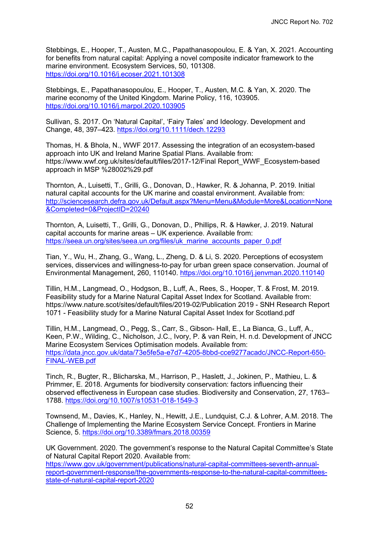Stebbings, E., Hooper, T., Austen, M.C., Papathanasopoulou, E. & Yan, X. 2021. Accounting for benefits from natural capital: Applying a novel composite indicator framework to the marine environment. Ecosystem Services, 50, 101308. <https://doi.org/10.1016/j.ecoser.2021.101308>

Stebbings, E., Papathanasopoulou, E., Hooper, T., Austen, M.C. & Yan, X. 2020. The marine economy of the United Kingdom. Marine Policy, 116, 103905. <https://doi.org/10.1016/j.marpol.2020.103905>

Sullivan, S. 2017. On 'Natural Capital', 'Fairy Tales' and Ideology. Development and Change, 48, 397–423.<https://doi.org/10.1111/dech.12293>

Thomas, H. & Bhola, N., WWF 2017. Assessing the integration of an ecosystem-based approach into UK and Ireland Marine Spatial Plans. Available from: https://www.wwf.org.uk/sites/default/files/2017-12/Final Report\_WWF\_Ecosystem-based approach in MSP %28002%29.pdf

Thornton, A., Luisetti, T., Grilli, G., Donovan, D., Hawker, R. & Johanna, P. 2019. Initial natural capital accounts for the UK marine and coastal environment. Available from: [http://sciencesearch.defra.gov.uk/Default.aspx?Menu=Menu&Module=More&Location=None](http://sciencesearch.defra.gov.uk/Default.aspx?Menu=Menu&Module=More&Location=None&Completed=0&ProjectID=20240) &Completed=0&ProjectID=20240

Thornton, A, Luisetti, T., Grilli, G., Donovan, D., Phillips, R. & Hawker, J. 2019. Natural capital accounts for marine areas – UK experience. Available from: [https://seea.un.org/sites/seea.un.org/files/uk\\_marine\\_accounts\\_paper\\_0.pdf](https://seea.un.org/sites/seea.un.org/files/uk_marine_accounts_paper_0.pdf)

Tian, Y., Wu, H., Zhang, G., Wang, L., Zheng, D. & Li, S. 2020. Perceptions of ecosystem services, disservices and willingness-to-pay for urban green space conservation. Journal of Environmental Management, 260, 110140.<https://doi.org/10.1016/j.jenvman.2020.110140>

Tillin, H.M., Langmead, O., Hodgson, B., Luff, A., Rees, S., Hooper, T. & Frost, M. 2019. Feasibility study for a Marine Natural Capital Asset Index for Scotland. Available from: https://www.nature.scot/sites/default/files/2019-02/Publication 2019 - SNH Research Report 1071 - Feasibility study for a Marine Natural Capital Asset Index for Scotland.pdf

Tillin, H.M., Langmead, O., Pegg, S., Carr, S., Gibson- Hall, E., La Bianca, G., Luff, A., Keen, P.W., Wilding, C., Nicholson, J.C., Ivory, P. & van Rein, H. n.d. Development of JNCC Marine Ecosystem Services Optimisation models. Available from: [https://data.jncc.gov.uk/data/73e5fe5a-e7d7-4205-8bbd-cce9277acadc/JNCC-Report-650-](https://data.jncc.gov.uk/data/73e5fe5a-e7d7-4205-8bbd-cce9277acadc/JNCC-Report-650-FINAL-WEB.pdf) FINAL-WEB.pdf

Tinch, R., Bugter, R., Blicharska, M., Harrison, P., Haslett, J., Jokinen, P., Mathieu, L. & Primmer, E. 2018. Arguments for biodiversity conservation: factors influencing their observed effectiveness in European case studies. Biodiversity and Conservation, 27, 1763– 1788.<https://doi.org/10.1007/s10531-018-1549-3>

Townsend, M., Davies, K., Hanley, N., Hewitt, J.E., Lundquist, C.J. & Lohrer, A.M. 2018. The Challenge of Implementing the Marine Ecosystem Service Concept. Frontiers in Marine Science, 5.<https://doi.org/10.3389/fmars.2018.00359>

UK Government. 2020. The government's response to the Natural Capital Committee's State of Natural Capital Report 2020. Available from:

https://www.gov.uk/government/publications/natural-capital-committees-seventh-annual[report-government-response/the-governments-response-to-the-natural-capital-committees](https://www.gov.uk/government/publications/natural-capital-committees-seventh-annual-report-government-response/the-governments-response-to-the-natural-capital-committees-state-of-natural-capital-report-2020)state-of-natural-capital-report-2020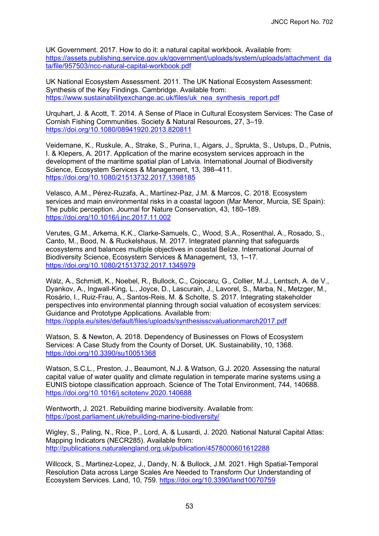UK Government. 2017. How to do it: a natural capital workbook. Available from: [https://assets.publishing.service.gov.uk/government/uploads/system/uploads/attachment\\_da](https://assets.publishing.service.gov.uk/government/uploads/system/uploads/attachment_data/file/957503/ncc-natural-capital-workbook.pdf) ta/file/957503/ncc-natural-capital-workbook.pdf

UK National Ecosystem Assessment. 2011. The UK National Ecosystem Assessment: Synthesis of the Key Findings. Cambridge. Available from: [https://www.sustainabilityexchange.ac.uk/files/uk\\_nea\\_synthesis\\_report.pdf](https://www.sustainabilityexchange.ac.uk/files/uk_nea_synthesis_report.pdf)

Urquhart, J. & Acott, T. 2014. A Sense of Place in Cultural Ecosystem Services: The Case of Cornish Fishing Communities. Society & Natural Resources, 27, 3–19. <https://doi.org/10.1080/08941920.2013.820811>

Veidemane, K., Ruskule, A., Strake, S., Purina, I., Aigars, J., Sprukta, S., Ustups, D., Putnis, I. & Klepers, A. 2017. Application of the marine ecosystem services approach in the development of the maritime spatial plan of Latvia. International Journal of Biodiversity Science, Ecosystem Services & Management, 13, 398–411. <https://doi.org/10.1080/21513732.2017.1398185>

Velasco, A.M., Pérez-Ruzafa, A., Martínez-Paz, J.M. & Marcos, C. 2018. Ecosystem services and main environmental risks in a coastal lagoon (Mar Menor, Murcia, SE Spain): The public perception. Journal for Nature Conservation, 43, 180–189. <https://doi.org/10.1016/j.jnc.2017.11.002>

Verutes, G.M., Arkema, K.K., Clarke-Samuels, C., Wood, S.A., Rosenthal, A., Rosado, S., Canto, M., Bood, N. & Ruckelshaus, M. 2017. Integrated planning that safeguards ecosystems and balances multiple objectives in coastal Belize. International Journal of Biodiversity Science, Ecosystem Services & Management, 13, 1–17. <https://doi.org/10.1080/21513732.2017.1345979>

Walz, A., Schmidt, K., Noebel, R., Bullock, C., Cojocaru, G., Collier, M.J., Lentsch, A. de V., Dyankov, A., Ingwall-King, L., Joyce, D., Lascurain, J., Lavorel, S., Marba, N., Metzger, M., Rosário, I., Ruiz-Frau, A., Santos-Reis, M. & Scholte, S. 2017. Integrating stakeholder perspectives into environmental planning through social valuation of ecosystem services: Guidance and Prototype Applications. Available from: <https://oppla.eu/sites/default/files/uploads/synthesisscvaluationmarch2017.pdf>

Watson, S. & Newton, A. 2018. Dependency of Businesses on Flows of Ecosystem Services: A Case Study from the County of Dorset, UK. Sustainability, 10, 1368. <https://doi.org/10.3390/su10051368>

Watson, S.C.L., Preston, J., Beaumont, N.J. & Watson, G.J. 2020. Assessing the natural capital value of water quality and climate regulation in temperate marine systems using a EUNIS biotope classification approach. Science of The Total Environment, 744, 140688. <https://doi.org/10.1016/j.scitotenv.2020.140688>

Wentworth, J. 2021. Rebuilding marine biodiversity. Available from: <https://post.parliament.uk/rebuilding-marine-biodiversity/>

Wigley, S., Paling, N., Rice, P., Lord, A. & Lusardi, J. 2020. National Natural Capital Atlas: Mapping Indicators (NECR285). Available from: <http://publications.naturalengland.org.uk/publication/4578000601612288>

Willcock, S., Martinez-Lopez, J., Dandy, N. & Bullock, J.M. 2021. High Spatial-Temporal Resolution Data across Large Scales Are Needed to Transform Our Understanding of Ecosystem Services. Land, 10, 759.<https://doi.org/10.3390/land10070759>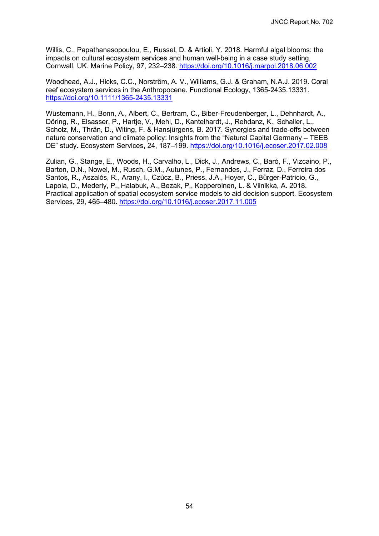Willis, C., Papathanasopoulou, E., Russel, D. & Artioli, Y. 2018. Harmful algal blooms: the impacts on cultural ecosystem services and human well-being in a case study setting, Cornwall, UK. Marine Policy, 97, 232–238.<https://doi.org/10.1016/j.marpol.2018.06.002>

Woodhead, A.J., Hicks, C.C., Norström, A. V., Williams, G.J. & Graham, N.A.J. 2019. Coral reef ecosystem services in the Anthropocene. Functional Ecology, 1365-2435.13331. <https://doi.org/10.1111/1365-2435.13331>

Wüstemann, H., Bonn, A., Albert, C., Bertram, C., Biber-Freudenberger, L., Dehnhardt, A., Döring, R., Elsasser, P., Hartje, V., Mehl, D., Kantelhardt, J., Rehdanz, K., Schaller, L., Scholz, M., Thrän, D., Witing, F. & Hansjürgens, B. 2017. Synergies and trade-offs between nature conservation and climate policy: Insights from the "Natural Capital Germany – TEEB DE" study. Ecosystem Services, 24, 187–199.<https://doi.org/10.1016/j.ecoser.2017.02.008>

Zulian, G., Stange, E., Woods, H., Carvalho, L., Dick, J., Andrews, C., Baró, F., Vizcaino, P., Barton, D.N., Nowel, M., Rusch, G.M., Autunes, P., Fernandes, J., Ferraz, D., Ferreira dos Santos, R., Aszalós, R., Arany, I., Czúcz, B., Priess, J.A., Hoyer, C., Bürger-Patricio, G., Lapola, D., Mederly, P., Halabuk, A., Bezak, P., Kopperoinen, L. & Viinikka, A. 2018. Practical application of spatial ecosystem service models to aid decision support. Ecosystem Services, 29, 465–480.<https://doi.org/10.1016/j.ecoser.2017.11.005>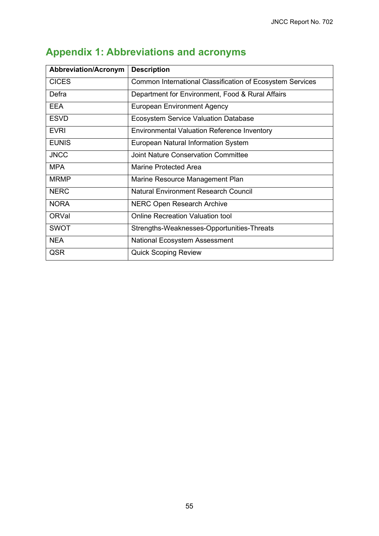| <b>Abbreviation/Acronym</b> | <b>Description</b>                                        |
|-----------------------------|-----------------------------------------------------------|
| <b>CICES</b>                | Common International Classification of Ecosystem Services |
| Defra                       | Department for Environment, Food & Rural Affairs          |
| <b>EEA</b>                  | <b>European Environment Agency</b>                        |
| <b>ESVD</b>                 | <b>Ecosystem Service Valuation Database</b>               |
| <b>EVRI</b>                 | <b>Environmental Valuation Reference Inventory</b>        |
| <b>EUNIS</b>                | <b>European Natural Information System</b>                |
| <b>JNCC</b>                 | <b>Joint Nature Conservation Committee</b>                |
| <b>MPA</b>                  | <b>Marine Protected Area</b>                              |
| <b>MRMP</b>                 | Marine Resource Management Plan                           |
| <b>NERC</b>                 | <b>Natural Environment Research Council</b>               |
| <b>NORA</b>                 | <b>NERC Open Research Archive</b>                         |
| <b>ORVal</b>                | <b>Online Recreation Valuation tool</b>                   |
| <b>SWOT</b>                 | Strengths-Weaknesses-Opportunities-Threats                |
| <b>NEA</b>                  | <b>National Ecosystem Assessment</b>                      |
| QSR                         | <b>Quick Scoping Review</b>                               |

# <span id="page-60-0"></span>**Appendix 1: Abbreviations and acronyms**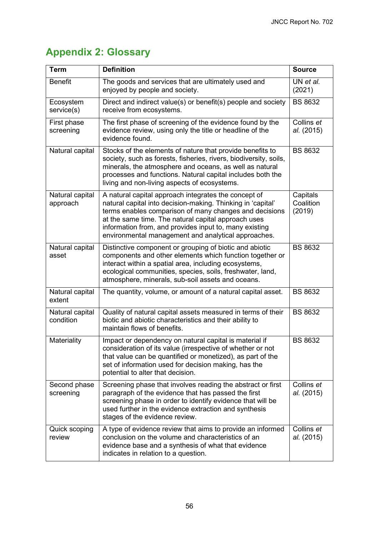# <span id="page-61-0"></span>**Appendix 2: Glossary**

| <b>Term</b>                  | <b>Definition</b>                                                                                                                                                                                                                                                                                                                                     | <b>Source</b>                   |
|------------------------------|-------------------------------------------------------------------------------------------------------------------------------------------------------------------------------------------------------------------------------------------------------------------------------------------------------------------------------------------------------|---------------------------------|
| <b>Benefit</b>               | The goods and services that are ultimately used and<br>enjoyed by people and society.                                                                                                                                                                                                                                                                 | UN et al.<br>(2021)             |
| Ecosystem<br>service(s)      | Direct and indirect value(s) or benefit(s) people and society<br>receive from ecosystems.                                                                                                                                                                                                                                                             | <b>BS 8632</b>                  |
| First phase<br>screening     | The first phase of screening of the evidence found by the<br>evidence review, using only the title or headline of the<br>evidence found.                                                                                                                                                                                                              | Collins et<br>al. (2015)        |
| Natural capital              | Stocks of the elements of nature that provide benefits to<br>society, such as forests, fisheries, rivers, biodiversity, soils,<br>minerals, the atmosphere and oceans, as well as natural<br>processes and functions. Natural capital includes both the<br>living and non-living aspects of ecosystems.                                               | <b>BS 8632</b>                  |
| Natural capital<br>approach  | A natural capital approach integrates the concept of<br>natural capital into decision-making. Thinking in 'capital'<br>terms enables comparison of many changes and decisions<br>at the same time. The natural capital approach uses<br>information from, and provides input to, many existing<br>environmental management and analytical approaches. | Capitals<br>Coalition<br>(2019) |
| Natural capital<br>asset     | Distinctive component or grouping of biotic and abiotic<br>components and other elements which function together or<br>interact within a spatial area, including ecosystems,<br>ecological communities, species, soils, freshwater, land,<br>atmosphere, minerals, sub-soil assets and oceans.                                                        | <b>BS 8632</b>                  |
| Natural capital<br>extent    | The quantity, volume, or amount of a natural capital asset.                                                                                                                                                                                                                                                                                           | <b>BS 8632</b>                  |
| Natural capital<br>condition | Quality of natural capital assets measured in terms of their<br>biotic and abiotic characteristics and their ability to<br>maintain flows of benefits.                                                                                                                                                                                                | <b>BS 8632</b>                  |
| Materiality                  | Impact or dependency on natural capital is material if<br>consideration of its value (irrespective of whether or not<br>that value can be quantified or monetized), as part of the<br>set of information used for decision making, has the<br>potential to alter that decision.                                                                       | <b>BS 8632</b>                  |
| Second phase<br>screening    | Screening phase that involves reading the abstract or first<br>paragraph of the evidence that has passed the first<br>screening phase in order to identify evidence that will be<br>used further in the evidence extraction and synthesis<br>stages of the evidence review.                                                                           | Collins et<br>al. (2015)        |
| Quick scoping<br>review      | A type of evidence review that aims to provide an informed<br>conclusion on the volume and characteristics of an<br>evidence base and a synthesis of what that evidence<br>indicates in relation to a question.                                                                                                                                       | Collins et<br>al. (2015)        |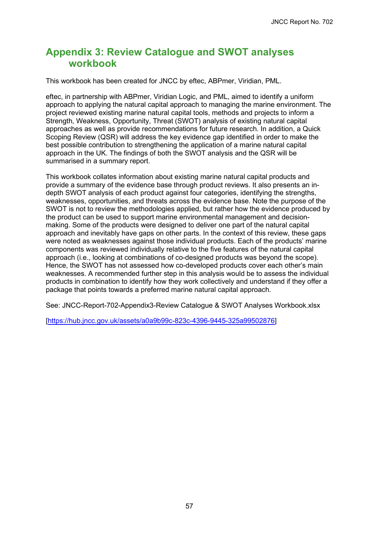# <span id="page-62-0"></span>**Appendix 3: Review Catalogue and SWOT analyses workbook**

This workbook has been created for JNCC by eftec, ABPmer, Viridian, PML.

eftec, in partnership with ABPmer, Viridian Logic, and PML, aimed to identify a uniform approach to applying the natural capital approach to managing the marine environment. The project reviewed existing marine natural capital tools, methods and projects to inform a Strength, Weakness, Opportunity, Threat (SWOT) analysis of existing natural capital approaches as well as provide recommendations for future research. In addition, a Quick Scoping Review (QSR) will address the key evidence gap identified in order to make the best possible contribution to strengthening the application of a marine natural capital approach in the UK. The findings of both the SWOT analysis and the QSR will be summarised in a summary report.

This workbook collates information about existing marine natural capital products and provide a summary of the evidence base through product reviews. It also presents an indepth SWOT analysis of each product against four categories, identifying the strengths, weaknesses, opportunities, and threats across the evidence base. Note the purpose of the SWOT is not to review the methodologies applied, but rather how the evidence produced by the product can be used to support marine environmental management and decisionmaking. Some of the products were designed to deliver one part of the natural capital approach and inevitably have gaps on other parts. In the context of this review, these gaps were noted as weaknesses against those individual products. Each of the products' marine components was reviewed individually relative to the five features of the natural capital approach (i.e., looking at combinations of co-designed products was beyond the scope). Hence, the SWOT has not assessed how co-developed products cover each other's main weaknesses. A recommended further step in this analysis would be to assess the individual products in combination to identify how they work collectively and understand if they offer a package that points towards a preferred marine natural capital approach.

See: JNCC-Report-702-Appendix3-Review Catalogue & SWOT Analyses Workbook.xlsx

[\[https://hub.jncc.gov.uk/assets/a0a9b99c-823c-4396-9445-325a99502876\]](https://hub.jncc.gov.uk/assets/a0a9b99c-823c-4396-9445-325a99502876)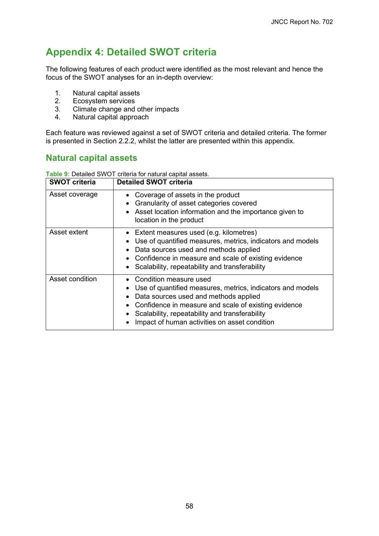# <span id="page-63-0"></span>**Appendix 4: Detailed SWOT criteria**

The following features of each product were identified as the most relevant and hence the focus of the SWOT analyses for an in-depth overview:

- 1. Natural capital assets<br>2. Ecosystem services
- Ecosystem services
- 3. Climate change and other impacts<br>4. Natural capital approach
- Natural capital approach

Each feature was reviewed against a set of SWOT criteria and detailed criteria. The former is presented in Section [2.2.2,](#page-9-1) whilst the latter are presented within this appendix.

## **Natural capital assets**

**Table 9:** Detailed SWOT criteria for natural capital assets.

| <b>SWOT criteria</b> | <b>Detailed SWOT criteria</b>                                                                                                                                                                                                                                                                |
|----------------------|----------------------------------------------------------------------------------------------------------------------------------------------------------------------------------------------------------------------------------------------------------------------------------------------|
| Asset coverage       | • Coverage of assets in the product<br>Granularity of asset categories covered<br>• Asset location information and the importance given to<br>location in the product                                                                                                                        |
| Asset extent         | • Extent measures used (e.g. kilometres)<br>Use of quantified measures, metrics, indicators and models<br>Data sources used and methods applied<br>• Confidence in measure and scale of existing evidence<br>• Scalability, repeatability and transferability                                |
| Asset condition      | • Condition measure used<br>Use of quantified measures, metrics, indicators and models<br>Data sources used and methods applied<br>• Confidence in measure and scale of existing evidence<br>Scalability, repeatability and transferability<br>Impact of human activities on asset condition |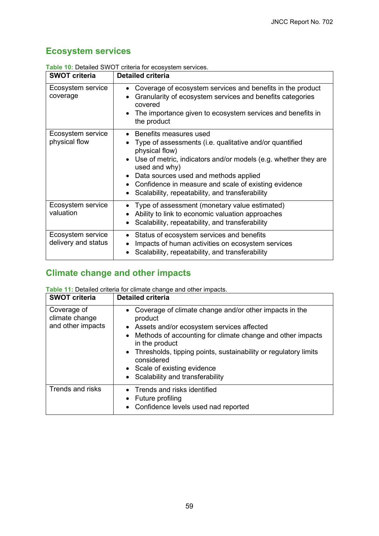## **Ecosystem services**

| <b>SWOT criteria</b>                     | <b>Detailed criteria</b>                                                                                                                                                                                                                                                                                                                     |
|------------------------------------------|----------------------------------------------------------------------------------------------------------------------------------------------------------------------------------------------------------------------------------------------------------------------------------------------------------------------------------------------|
| Ecosystem service<br>coverage            | Coverage of ecosystem services and benefits in the product<br>Granularity of ecosystem services and benefits categories<br>covered<br>The importance given to ecosystem services and benefits in<br>the product                                                                                                                              |
| Ecosystem service<br>physical flow       | Benefits measures used<br>Type of assessments (i.e. qualitative and/or quantified<br>physical flow)<br>Use of metric, indicators and/or models (e.g. whether they are<br>used and why)<br>Data sources used and methods applied<br>• Confidence in measure and scale of existing evidence<br>Scalability, repeatability, and transferability |
| Ecosystem service<br>valuation           | Type of assessment (monetary value estimated)<br>Ability to link to economic valuation approaches<br>Scalability, repeatability, and transferability                                                                                                                                                                                         |
| Ecosystem service<br>delivery and status | Status of ecosystem services and benefits<br>Impacts of human activities on ecosystem services<br>Scalability, repeatability, and transferability                                                                                                                                                                                            |

**Table 10:** Detailed SWOT criteria for ecosystem services.

## **Climate change and other impacts**

| <b>SWOT criteria</b>                               | <b>Detailed criteria</b>                                                                                                                                                                                                                                                                                                                                     |
|----------------------------------------------------|--------------------------------------------------------------------------------------------------------------------------------------------------------------------------------------------------------------------------------------------------------------------------------------------------------------------------------------------------------------|
| Coverage of<br>climate change<br>and other impacts | • Coverage of climate change and/or other impacts in the<br>product<br>• Assets and/or ecosystem services affected<br>• Methods of accounting for climate change and other impacts<br>in the product<br>• Thresholds, tipping points, sustainability or regulatory limits<br>considered<br>• Scale of existing evidence<br>• Scalability and transferability |
| <b>Trends and risks</b>                            | • Trends and risks identified<br>• Future profiling<br>• Confidence levels used nad reported                                                                                                                                                                                                                                                                 |

**Table 11:** Detailed criteria for climate change and other impacts.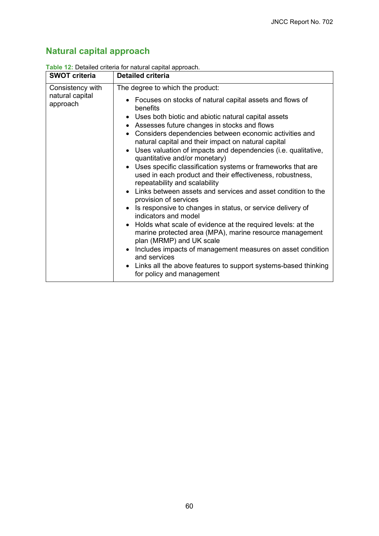# **Natural capital approach**

| <b>SWOT criteria</b>                            | <b>Detailed criteria</b>                                                                                                                                                                                                                                                                                                                                                                                                                                                                                                                                                                                                                                                                                                                                                                                                                                                                                                                                                                                                                                                                                                               |
|-------------------------------------------------|----------------------------------------------------------------------------------------------------------------------------------------------------------------------------------------------------------------------------------------------------------------------------------------------------------------------------------------------------------------------------------------------------------------------------------------------------------------------------------------------------------------------------------------------------------------------------------------------------------------------------------------------------------------------------------------------------------------------------------------------------------------------------------------------------------------------------------------------------------------------------------------------------------------------------------------------------------------------------------------------------------------------------------------------------------------------------------------------------------------------------------------|
| Consistency with<br>natural capital<br>approach | The degree to which the product:<br>• Focuses on stocks of natural capital assets and flows of<br>benefits<br>• Uses both biotic and abiotic natural capital assets<br>• Assesses future changes in stocks and flows<br>• Considers dependencies between economic activities and<br>natural capital and their impact on natural capital<br>• Uses valuation of impacts and dependencies (i.e. qualitative,<br>quantitative and/or monetary)<br>• Uses specific classification systems or frameworks that are<br>used in each product and their effectiveness, robustness,<br>repeatability and scalability<br>• Links between assets and services and asset condition to the<br>provision of services<br>• Is responsive to changes in status, or service delivery of<br>indicators and model<br>• Holds what scale of evidence at the required levels: at the<br>marine protected area (MPA), marine resource management<br>plan (MRMP) and UK scale<br>• Includes impacts of management measures on asset condition<br>and services<br>• Links all the above features to support systems-based thinking<br>for policy and management |

#### **Table 12:** Detailed criteria for natural capital approach.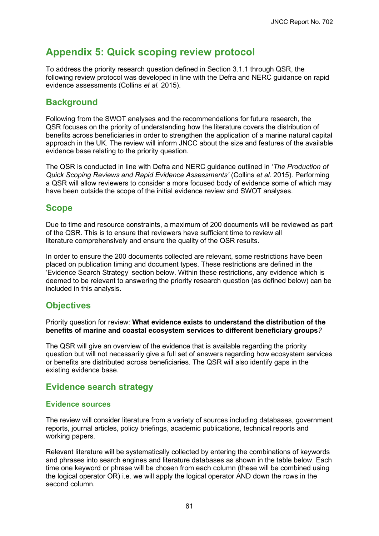# <span id="page-66-0"></span>**Appendix 5: Quick scoping review protocol**

To address the priority research question defined in Section [3.1.1](#page-27-2) through QSR, the following review protocol was developed in line with the Defra and NERC guidance on rapid evidence assessments (Collins *et al.* 2015).

## **Background**

Following from the SWOT analyses and the recommendations for future research, the QSR focuses on the priority of understanding how the literature covers the distribution of benefits across beneficiaries in order to strengthen the application of a marine natural capital approach in the UK. The review will inform JNCC about the size and features of the available evidence base relating to the priority question.

The QSR is conducted in line with Defra and NERC guidance outlined in '*The Production of Quick Scoping Reviews and Rapid Evidence Assessments'* (Collins *et al.* 2015). Performing a QSR will allow reviewers to consider a more focused body of evidence some of which may have been outside the scope of the initial evidence review and SWOT analyses.

## **Scope**

Due to time and resource constraints, a maximum of 200 documents will be reviewed as part of the QSR. This is to ensure that reviewers have sufficient time to review all literature comprehensively and ensure the quality of the QSR results.

In order to ensure the 200 documents collected are relevant, some restrictions have been placed on publication timing and document types. These restrictions are defined in the 'Evidence Search Strategy' section below. Within these restrictions, any evidence which is deemed to be relevant to answering the priority research question (as defined below) can be included in this analysis.

## **Objectives**

Priority question for review: **What evidence exists to understand the distribution of the benefits of marine and coastal ecosystem services to different beneficiary groups***?*

The QSR will give an overview of the evidence that is available regarding the priority question but will not necessarily give a full set of answers regarding how ecosystem services or benefits are distributed across beneficiaries. The QSR will also identify gaps in the existing evidence base.

## **Evidence search strategy**

#### **Evidence sources**

The review will consider literature from a variety of sources including databases, government reports, journal articles, policy briefings, academic publications, technical reports and working papers.

Relevant literature will be systematically collected by entering the combinations of keywords and phrases into search engines and literature databases as shown in the table below. Each time one keyword or phrase will be chosen from each column (these will be combined using the logical operator OR) i.e. we will apply the logical operator AND down the rows in the second column.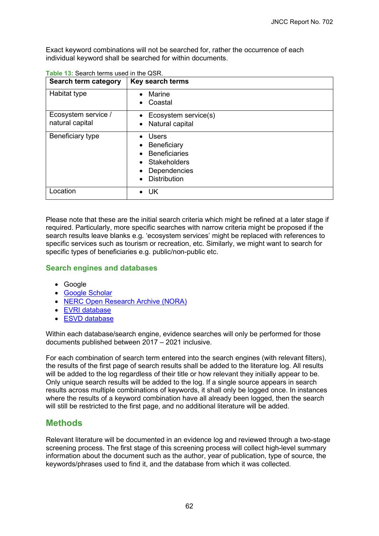Exact keyword combinations will not be searched for, rather the occurrence of each individual keyword shall be searched for within documents.

| Search term category                   | Key search terms                                                                                                  |
|----------------------------------------|-------------------------------------------------------------------------------------------------------------------|
| Habitat type                           | Marine<br>Coastal<br>$\bullet$                                                                                    |
| Ecosystem service /<br>natural capital | Ecosystem service(s)<br>Natural capital                                                                           |
| Beneficiary type                       | <b>Users</b><br>Beneficiary<br><b>Beneficiaries</b><br><b>Stakeholders</b><br>Dependencies<br><b>Distribution</b> |
| Location                               | UK<br>$\bullet$                                                                                                   |

**Table 13:** Search terms used in the QSR.

Please note that these are the initial search criteria which might be refined at a later stage if required. Particularly, more specific searches with narrow criteria might be proposed if the search results leave blanks e.g. 'ecosystem services' might be replaced with references to specific services such as tourism or recreation, etc. Similarly, we might want to search for specific types of beneficiaries e.g. public/non-public etc.

#### **Search engines and databases**

- Google
- [Google Scholar](https://scholar.google.com/)
- NERC [Open Research Archive \(NORA\)](https://nerc.ukri.org/research/sites/environmental-data-service-eds/)
- [EVRI database](https://www.evri.ca/)
- [ESVD database](https://www.es-partnership.org/esvd/)

Within each database/search engine, evidence searches will only be performed for those documents published between 2017 – 2021 inclusive.

For each combination of search term entered into the search engines (with relevant filters), the results of the first page of search results shall be added to the literature log. All results will be added to the log regardless of their title or how relevant they initially appear to be. Only unique search results will be added to the log. If a single source appears in search results across multiple combinations of keywords, it shall only be logged once. In instances where the results of a keyword combination have all already been logged, then the search will still be restricted to the first page, and no additional literature will be added.

### **Methods**

Relevant literature will be documented in an evidence log and reviewed through a two-stage screening process. The first stage of this screening process will collect high-level summary information about the document such as the author, year of publication, type of source, the keywords/phrases used to find it, and the database from which it was collected.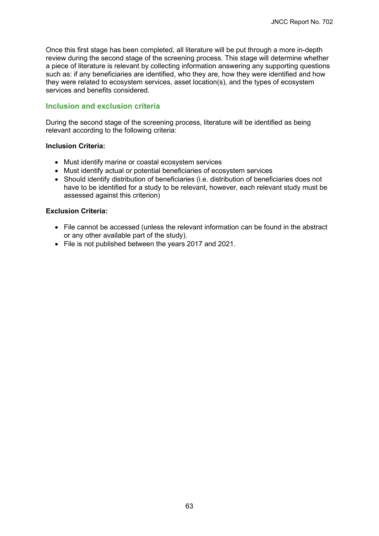Once this first stage has been completed, all literature will be put through a more in-depth review during the second stage of the screening process. This stage will determine whether a piece of literature is relevant by collecting information answering any supporting questions such as: if any beneficiaries are identified, who they are, how they were identified and how they were related to ecosystem services, asset location(s), and the types of ecosystem services and benefits considered.

#### **Inclusion and exclusion criteria**

During the second stage of the screening process, literature will be identified as being relevant according to the following criteria:

#### **Inclusion Criteria:**

- Must identify marine or coastal ecosystem services
- Must identify actual or potential beneficiaries of ecosystem services
- Should identify distribution of beneficiaries (i.e. distribution of beneficiaries does not have to be identified for a study to be relevant, however, each relevant study must be assessed against this criterion)

#### **Exclusion Criteria:**

- File cannot be accessed (unless the relevant information can be found in the abstract or any other available part of the study).
- File is not published between the years 2017 and 2021.